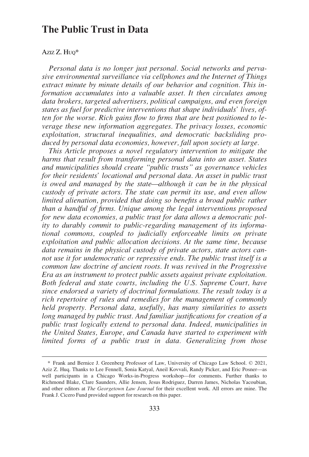# **The Public Trust in Data**

## AZIZ Z. HUQ\*

*Personal data is no longer just personal. Social networks and pervasive environmental surveillance via cellphones and the Internet of Things extract minute by minute details of our behavior and cognition. This information accumulates into a valuable asset. It then circulates among data brokers, targeted advertisers, political campaigns, and even foreign states as fuel for predictive interventions that shape individuals' lives, often for the worse. Rich gains flow to firms that are best positioned to leverage these new information aggregates. The privacy losses, economic exploitation, structural inequalities, and democratic backsliding produced by personal data economies, however, fall upon society at large.* 

*This Article proposes a novel regulatory intervention to mitigate the harms that result from transforming personal data into an asset. States and municipalities should create "public trusts" as governance vehicles for their residents' locational and personal data. An asset in public trust is owed and managed by the state—although it can be in the physical custody of private actors. The state can permit its use, and even allow limited alienation, provided that doing so benefits a broad public rather than a handful of firms. Unique among the legal interventions proposed for new data economies, a public trust for data allows a democratic polity to durably commit to public-regarding management of its informational commons, coupled to judicially enforceable limits on private exploitation and public allocation decisions. At the same time, because data remains in the physical custody of private actors, state actors cannot use it for undemocratic or repressive ends. The public trust itself is a common law doctrine of ancient roots. It was revived in the Progressive Era as an instrument to protect public assets against private exploitation. Both federal and state courts, including the U.S. Supreme Court, have since endorsed a variety of doctrinal formulations. The result today is a rich repertoire of rules and remedies for the management of commonly held property. Personal data, usefully, has many similarities to assets long managed by public trust. And familiar justifications for creation of a public trust logically extend to personal data. Indeed, municipalities in the United States, Europe, and Canada have started to experiment with limited forms of a public trust in data. Generalizing from those* 

<sup>\*</sup> Frank and Bernice J. Greenberg Professor of Law, University of Chicago Law School. © 2021, Aziz Z. Huq. Thanks to Lee Fennell, Sonia Katyal, Aneil Kovvali, Randy Picker, and Eric Posner—as well participants in a Chicago Works-in-Progress workshop––for comments. Further thanks to Richmond Blake, Clare Saunders, Allie Jensen, Jesus Rodriguez, Darren James, Nicholas Yacoubian, and other editors at *The Georgetown Law Journal* for their excellent work. All errors are mine. The Frank J. Cicero Fund provided support for research on this paper.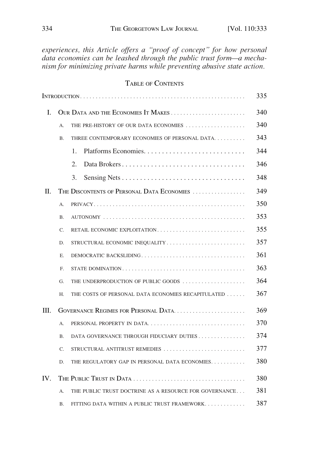*experiences, this Article offers a "proof of concept" for how personal data economies can be leashed through the public trust form—a mechanism for minimizing private harms while preventing abusive state action.* 

# TABLE OF CONTENTS

|     |                                     |                                                        | 335 |  |  |
|-----|-------------------------------------|--------------------------------------------------------|-----|--|--|
| I.  | OUR DATA AND THE ECONOMIES IT MAKES |                                                        |     |  |  |
|     | А.                                  | THE PRE-HISTORY OF OUR DATA ECONOMIES                  | 340 |  |  |
|     | <b>B.</b>                           | THREE CONTEMPORARY ECONOMIES OF PERSONAL DATA          |     |  |  |
|     |                                     | $\mathbf{1}$ .                                         | 344 |  |  |
|     |                                     | Data Brokers<br>2.                                     | 346 |  |  |
|     |                                     | 3.                                                     | 348 |  |  |
| H.  |                                     | THE DISCONTENTS OF PERSONAL DATA ECONOMIES             | 349 |  |  |
|     | A.                                  |                                                        | 350 |  |  |
|     | <b>B.</b>                           |                                                        | 353 |  |  |
|     | C.                                  | RETAIL ECONOMIC EXPLOITATION                           | 355 |  |  |
|     | D.                                  |                                                        | 357 |  |  |
|     | E.                                  | DEMOCRATIC BACKSLIDING                                 | 361 |  |  |
|     | F.                                  |                                                        | 363 |  |  |
|     | G.                                  | THE UNDERPRODUCTION OF PUBLIC GOODS                    | 364 |  |  |
|     | H.                                  | THE COSTS OF PERSONAL DATA ECONOMIES RECAPITULATED     | 367 |  |  |
| Ш.  |                                     |                                                        |     |  |  |
|     | A.                                  | PERSONAL PROPERTY IN DATA                              | 370 |  |  |
|     | <b>B.</b>                           | DATA GOVERNANCE THROUGH FIDUCIARY DUTIES               | 374 |  |  |
|     | C.                                  | STRUCTURAL ANTITRUST REMEDIES                          | 377 |  |  |
|     | D.                                  | THE REGULATORY GAP IN PERSONAL DATA ECONOMIES          | 380 |  |  |
| IV. |                                     |                                                        |     |  |  |
|     | А.                                  | THE PUBLIC TRUST DOCTRINE AS A RESOURCE FOR GOVERNANCE | 381 |  |  |
|     | <b>B.</b>                           | FITTING DATA WITHIN A PUBLIC TRUST FRAMEWORK           | 387 |  |  |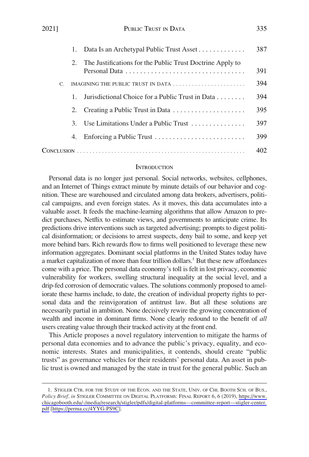<span id="page-2-0"></span>

|    | 1. | Data Is an Archetypal Public Trust Asset                  | 387 |
|----|----|-----------------------------------------------------------|-----|
|    | 2. | The Justifications for the Public Trust Doctrine Apply to | 391 |
| C. |    | IMAGINING THE PUBLIC TRUST IN DATA                        | 394 |
|    |    | Jurisdictional Choice for a Public Trust in Data          | 394 |
|    | 2. |                                                           | 395 |
|    | 3. | Use Limitations Under a Public Trust                      | 397 |
|    | 4. | Enforcing a Public Trust                                  | 399 |
|    |    |                                                           | 402 |

## **INTRODUCTION**

Personal data is no longer just personal. Social networks, websites, cellphones, and an Internet of Things extract minute by minute details of our behavior and cognition. These are warehoused and circulated among data brokers, advertisers, political campaigns, and even foreign states. As it moves, this data accumulates into a valuable asset. It feeds the machine-learning algorithms that allow Amazon to predict purchases, Netflix to estimate views, and governments to anticipate crime. Its predictions drive interventions such as targeted advertising; prompts to digest political disinformation; or decisions to arrest suspects, deny bail to some, and keep yet more behind bars. Rich rewards flow to firms well positioned to leverage these new information aggregates. Dominant social platforms in the United States today have a market capitalization of more than four trillion dollars.<sup>1</sup> But these new affordances come with a price. The personal data economy's toll is felt in lost privacy, economic vulnerability for workers, swelling structural inequality at the social level, and a drip-fed corrosion of democratic values. The solutions commonly proposed to ameliorate these harms include, to date, the creation of individual property rights to personal data and the reinvigoration of antitrust law. But all these solutions are necessarily partial in ambition. None decisively rewire the growing concentration of wealth and income in dominant firms. None clearly redound to the benefit of *all*  users creating value through their tracked activity at the front end.

This Article proposes a novel regulatory intervention to mitigate the harms of personal data economies and to advance the public's privacy, equality, and economic interests. States and municipalities, it contends, should create "public trusts" as governance vehicles for their residents' personal data. An asset in public trust is owned and managed by the state in trust for the general public. Such an

<sup>1.</sup> STIGLER CTR. FOR THE STUDY OF THE ECON. AND THE STATE, UNIV. OF CHI. BOOTH SCH. OF BUS., *Policy Brief, in* STIGLER COMMITTEE ON DIGITAL PLATFORMS: FINAL REPORT 6, 6 (2019), [https://www.](https://www.chicagobooth.edu/-/media/research/stigler/pdfs/digital-platforms---committee-report---stigler-center.pdf)  [chicagobooth.edu/-/media/research/stigler/pdfs/digital-platforms—committee-report—stigler-center.](https://www.chicagobooth.edu/-/media/research/stigler/pdfs/digital-platforms---committee-report---stigler-center.pdf) [pdf](https://www.chicagobooth.edu/-/media/research/stigler/pdfs/digital-platforms---committee-report---stigler-center.pdf) [\[https://perma.cc/4YYG-PS9C\]](https://perma.cc/4YYG-PS9C).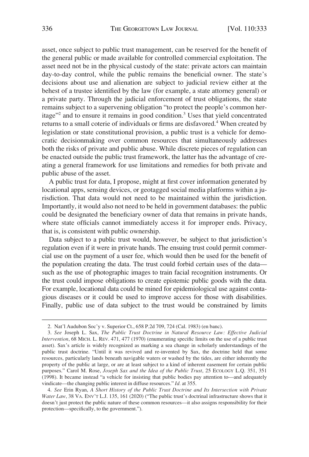asset, once subject to public trust management, can be reserved for the benefit of the general public or made available for controlled commercial exploitation. The asset need not be in the physical custody of the state: private actors can maintain day-to-day control, while the public remains the beneficial owner. The state's decisions about use and alienation are subject to judicial review either at the behest of a trustee identified by the law (for example, a state attorney general) or a private party. Through the judicial enforcement of trust obligations, the state remains subject to a supervening obligation "to protect the people's common heritage"2 and to ensure it remains in good condition.3 Uses that yield concentrated returns to a small coterie of individuals or firms are disfavored.<sup>4</sup> When created by legislation or state constitutional provision, a public trust is a vehicle for democratic decisionmaking over common resources that simultaneously addresses both the risks of private and public abuse. While discrete pieces of regulation can be enacted outside the public trust framework, the latter has the advantage of creating a general framework for use limitations and remedies for both private and public abuse of the asset.

A public trust for data, I propose, might at first cover information generated by locational apps, sensing devices, or geotagged social media platforms within a jurisdiction. That data would not need to be maintained within the jurisdiction. Importantly, it would also not need to be held in government databases: the public could be designated the beneficiary owner of data that remains in private hands, where state officials cannot immediately access it for improper ends. Privacy, that is, is consistent with public ownership.

Data subject to a public trust would, however, be subject to that jurisdiction's regulation even if it were in private hands. The ensuing trust could permit commercial use on the payment of a user fee, which would then be used for the benefit of the population creating the data. The trust could forbid certain uses of the data such as the use of photographic images to train facial recognition instruments. Or the trust could impose obligations to create epistemic public goods with the data. For example, locational data could be mined for epidemiological use against contagious diseases or it could be used to improve access for those with disabilities. Finally, public use of data subject to the trust would be constrained by limits

<sup>2.</sup> Nat'l Audubon Soc'y v. Superior Ct., 658 P.2d 709, 724 (Cal. 1983) (en banc).

<sup>3.</sup> *See* Joseph L. Sax, *The Public Trust Doctrine in Natural Resource Law: Effective Judicial Intervention*, 68 MICH. L. REV. 471, 477 (1970) (enumerating specific limits on the use of a public trust asset). Sax's article is widely recognized as marking a sea change in scholarly understandings of the public trust doctrine. "Until it was revived and re-invented by Sax, the doctrine held that some resources, particularly lands beneath navigable waters or washed by the tides, are either inherently the property of the public at large, or are at least subject to a kind of inherent easement for certain public purposes." Carol M. Rose, *Joseph Sax and the Idea of the Public Trust*, 25 ECOLOGY L.Q. 351, 351 (1998). It became instead "a vehicle for insisting that public bodies pay attention to—and adequately vindicate—the changing public interest in diffuse resources." *Id.* at 355.

<sup>4.</sup> *See* Erin Ryan, *A Short History of the Public Trust Doctrine and Its Intersection with Private Water Law*, 38 VA. ENV'T L.J. 135, 161 (2020) ("The public trust's doctrinal infrastructure shows that it doesn't just protect the public nature of these common resources—it also assigns responsibility for their protection—specifically, to the government.").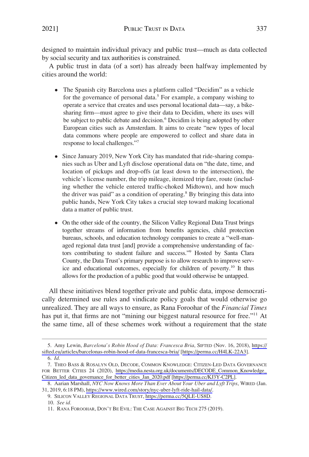designed to maintain individual privacy and public trust—much as data collected by social security and tax authorities is constrained.

A public trust in data (of a sort) has already been halfway implemented by cities around the world:

- The Spanish city Barcelona uses a platform called "Decidim" as a vehicle for the governance of personal data.<sup>5</sup> For example, a company wishing to operate a service that creates and uses personal locational data—say, a bikesharing firm—must agree to give their data to Decidim, where its uses will be subject to public debate and decision.<sup>6</sup> Decidim is being adopted by other European cities such as Amsterdam. It aims to create "new types of local data commons where people are empowered to collect and share data in response to local challenges."
- Since January 2019, New York City has mandated that ride-sharing companies such as Uber and Lyft disclose operational data on "the date, time, and location of pickups and drop-offs (at least down to the intersection), the vehicle's license number, the trip mileage, itemized trip fare, route (including whether the vehicle entered traffic-choked Midtown), and how much the driver was paid" as a condition of operating.<sup>8</sup> By bringing this data into public hands, New York City takes a crucial step toward making locational data a matter of public trust.
- On the other side of the country, the Silicon Valley Regional Data Trust brings together streams of information from benefits agencies, child protection bureaus, schools, and education technology companies to create a "well-managed regional data trust [and] provide a comprehensive understanding of factors contributing to student failure and success."<sup>9</sup> Hosted by Santa Clara County, the Data Trust's primary purpose is to allow research to improve service and educational outcomes, especially for children of poverty.<sup>10</sup> It thus allows for the production of a public good that would otherwise be untapped.

All these initiatives blend together private and public data, impose democratically determined use rules and vindicate policy goals that would otherwise go unrealized. They are all ways to ensure, as Rana Foroohar of the *Financial Times*  has put it, that firms are not "mining our biggest natural resource for free."<sup>11</sup> At the same time, all of these schemes work without a requirement that the state

<sup>5.</sup> Amy Lewin, *Barcelona's Robin Hood of Data: Francesca Bria*, SIFTED (Nov. 16, 2018), https:// [sifted.eu/articles/barcelonas-robin-hood-of-data-francesca-bria/](https://sifted.eu/articles/barcelonas-robin-hood-of-data-francesca-bria/) [<https://perma.cc/H4LK-22A3>].

<sup>6.</sup> *Id.* 

<sup>7.</sup> THEO BASS & ROSALYN OLD, DECODE, COMMON KNOWLEDGE: CITIZEN-LED DATA GOVERNANCE FOR BETTER CITIES 24 (2020), [https://media.nesta.org.uk/documents/DECODE\\_Common\\_Knowledge\\_](https://media.nesta.org.uk/documents/DECODE_Common_Knowledge_Citizen_led_data_governance_for_better_cities_Jan_2020.pdf)  [Citizen\\_led\\_data\\_governance\\_for\\_better\\_cities\\_Jan\\_2020.pdf](https://media.nesta.org.uk/documents/DECODE_Common_Knowledge_Citizen_led_data_governance_for_better_cities_Jan_2020.pdf) [[https://perma.cc/KJ3Y-C2PL\]](https://perma.cc/KJ3Y-C2PL).

Aarian Marshall, *NYC Now Knows More Than Ever About Your Uber and Lyft Trips*, WIRED (Jan. 8. 31, 2019, 6:18 PM), [https://www.wired.com/story/nyc-uber-lyft-ride-hail-data/.](https://www.wired.com/story/nyc-uber-lyft-ride-hail-data/)

<sup>9.</sup> SILICON VALLEY REGIONAL DATA TRUST, [https://perma.cc/5QLE-US8D.](https://perma.cc/5QLE-US8D)

<sup>10.</sup> *See id.* 

<sup>11.</sup> RANA FOROOHAR, DON'T BE EVIL: THE CASE AGAINST BIG TECH 275 (2019).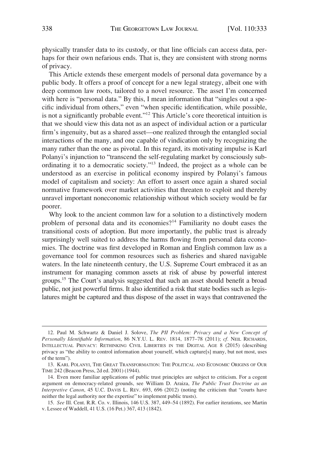physically transfer data to its custody, or that line officials can access data, perhaps for their own nefarious ends. That is, they are consistent with strong norms of privacy.

This Article extends these emergent models of personal data governance by a public body. It offers a proof of concept for a new legal strategy, albeit one with deep common law roots, tailored to a novel resource. The asset I'm concerned with here is "personal data." By this, I mean information that "singles out a specific individual from others," even "when specific identification, while possible, is not a significantly probable event."12 This Article's core theoretical intuition is that we should view this data not as an aspect of individual action or a particular firm's ingenuity, but as a shared asset—one realized through the entangled social interactions of the many, and one capable of vindication only by recognizing the many rather than the one as pivotal. In this regard, its motivating impulse is Karl Polanyi's injunction to "transcend the self-regulating market by consciously subordinating it to a democratic society."13 Indeed, the project as a whole can be understood as an exercise in political economy inspired by Polanyi's famous model of capitalism and society: An effort to assert once again a shared social normative framework over market activities that threaten to exploit and thereby unravel important noneconomic relationship without which society would be far poorer.

Why look to the ancient common law for a solution to a distinctively modern problem of personal data and its economies?14 Familiarity no doubt eases the transitional costs of adoption. But more importantly, the public trust is already surprisingly well suited to address the harms flowing from personal data economies. The doctrine was first developed in Roman and English common law as a governance tool for common resources such as fisheries and shared navigable waters. In the late nineteenth century, the U.S. Supreme Court embraced it as an instrument for managing common assets at risk of abuse by powerful interest groups.15 The Court's analysis suggested that such an asset should benefit a broad public, not just powerful firms. It also identified a risk that state bodies such as legislatures might be captured and thus dispose of the asset in ways that contravened the

<sup>12.</sup> Paul M. Schwartz & Daniel J. Solove, *The PII Problem: Privacy and a New Concept of Personally Identifiable Information*, 86 N.Y.U. L. REV. 1814, 1877–78 (2011); *cf.* NEIL RICHARDS, INTELLECTUAL PRIVACY: RETHINKING CIVIL LIBERTIES IN THE DIGITAL AGE 8 (2015) (describing privacy as "the ability to control information about yourself, which capture[s] many, but not most, uses of the term").

<sup>13.</sup> KARL POLANYI, THE GREAT TRANSFORMATION: THE POLITICAL AND ECONOMIC ORIGINS OF OUR TIME 242 (Beacon Press, 2d ed. 2001) (1944).

<sup>14.</sup> Even more familiar applications of public trust principles are subject to criticism. For a cogent argument on democracy-related grounds, see William D. Araiza, *The Public Trust Doctrine as an Interpretive Canon*, 45 U.C. DAVIS L. REV. 693, 696 (2012) (noting the criticism that "courts have neither the legal authority nor the expertise" to implement public trusts).

<sup>15.</sup> *See* Ill. Cent. R.R. Co. v. Illinois, 146 U.S. 387, 449–54 (1892). For earlier iterations, see Martin v. Lessee of Waddell, 41 U.S. (16 Pet.) 367, 413 (1842).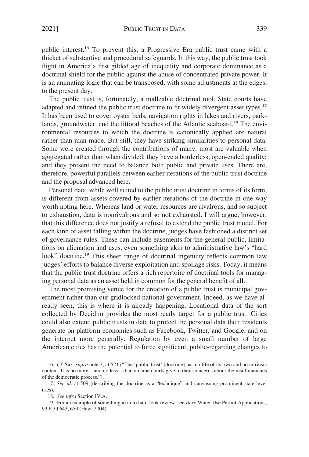public interest.16 To prevent this, a Progressive Era public trust came with a thicket of substantive and procedural safeguards. In this way, the public trust took flight in America's first gilded age of inequality and corporate dominance as a doctrinal shield for the public against the abuse of concentrated private power. It is an animating logic that can be transposed, with some adjustments at the edges, to the present day.

The public trust is, fortunately, a malleable doctrinal tool. State courts have adapted and refined the public trust doctrine to fit widely divergent asset types.<sup>17</sup> It has been used to cover oyster beds, navigation rights in lakes and rivers, parklands, groundwater, and the littoral beaches of the Atlantic seaboard.<sup>18</sup> The environmental resources to which the doctrine is canonically applied are natural rather than man-made. But still, they have striking similarities to personal data. Some were created through the contributions of many; most are valuable when aggregated rather than when divided; they have a borderless, open-ended quality; and they present the need to balance both public and private uses. There are, therefore, powerful parallels between earlier iterations of the public trust doctrine and the proposal advanced here.

Personal data, while well suited to the public trust doctrine in terms of its form, is different from assets covered by earlier iterations of the doctrine in one way worth noting here. Whereas land or water resources are rivalrous, and so subject to exhaustion, data is nonrivalrous and so not exhausted. I will argue, however, that this difference does not justify a refusal to extend the public trust model. For each kind of asset falling within the doctrine, judges have fashioned a distinct set of governance rules. These can include easements for the general public, limitations on alienation and uses, even something akin to administrative law's "hard look" doctrine.<sup>19</sup> This sheer range of doctrinal ingenuity reflects common law judges' efforts to balance diverse exploitation and spoilage risks. Today, it means that the public trust doctrine offers a rich repertoire of doctrinal tools for managing personal data as an asset held in common for the general benefit of all.

The most promising venue for the creation of a public trust is municipal government rather than our gridlocked national government. Indeed, as we have already seen, this is where it is already happening. Locational data of the sort collected by Decidim provides the most ready target for a public trust. Cities could also extend public trusts in data to protect the personal data their residents generate on platform economies such as Facebook, Twitter, and Google, and on the internet more generally. Regulation by even a small number of large American cities has the potential to force significant, public-regarding changes to

<sup>16.</sup> *Cf.* Sax, *supra* note 3, at 521 ("The 'public trust' [doctrine] has no life of its own and no intrinsic content. It is no more—and no less—than a name courts give to their concerns about the insufficiencies of the democratic process.").

<sup>17.</sup> *See id.* at 509 (describing the doctrine as a "technique" and canvassing prominent state-level uses).

<sup>18.</sup> *See infra* Section IV.A.

<sup>19.</sup> For an example of something akin to hard look review, see *In re* Water Use Permit Applications, 93 P.3d 643, 650 (Haw. 2004).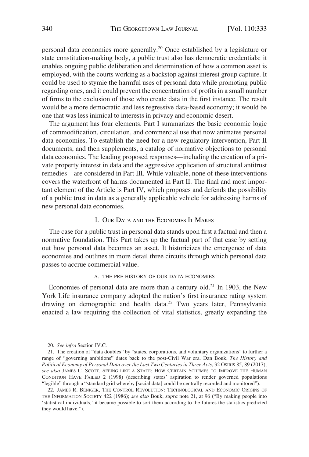<span id="page-7-0"></span>personal data economies more generally.20 Once established by a legislature or state constitution-making body, a public trust also has democratic credentials: it enables ongoing public deliberation and determination of how a common asset is employed, with the courts working as a backstop against interest group capture. It could be used to stymie the harmful uses of personal data while promoting public regarding ones, and it could prevent the concentration of profits in a small number of firms to the exclusion of those who create data in the first instance. The result would be a more democratic and less regressive data-based economy; it would be one that was less inimical to interests in privacy and economic desert.

The argument has four elements. Part I summarizes the basic economic logic of commodification, circulation, and commercial use that now animates personal data economies. To establish the need for a new regulatory intervention, Part II documents, and then supplements, a catalog of normative objections to personal data economies. The leading proposed responses—including the creation of a private property interest in data and the aggressive application of structural antitrust remedies—are considered in Part III. While valuable, none of these interventions covers the waterfront of harms documented in Part II. The final and most important element of the Article is Part IV, which proposes and defends the possibility of a public trust in data as a generally applicable vehicle for addressing harms of new personal data economies.

# I. OUR DATA AND THE ECONOMIES IT MAKES

The case for a public trust in personal data stands upon first a factual and then a normative foundation. This Part takes up the factual part of that case by setting out how personal data becomes an asset. It historicizes the emergence of data economies and outlines in more detail three circuits through which personal data passes to accrue commercial value.

#### A. THE PRE-HISTORY OF OUR DATA ECONOMIES

Economies of personal data are more than a century old.<sup>21</sup> In 1903, the New York Life insurance company adopted the nation's first insurance rating system drawing on demographic and health data.<sup>22</sup> Two years later, Pennsylvania enacted a law requiring the collection of vital statistics, greatly expanding the

<sup>20.</sup> *See infra* Section IV.C.

<sup>21.</sup> The creation of "data doubles" by "states, corporations, and voluntary organizations" to further a range of "governing ambitions" dates back to the post-Civil War era. Dan Bouk, *The History and Political Economy of Personal Data over the Last Two Centuries in Three Acts*, 32 OSIRIS 85, 89 (2017); *see also* JAMES C. SCOTT, SEEING LIKE A STATE: HOW CERTAIN SCHEMES TO IMPROVE THE HUMAN CONDITION HAVE FAILED 2 (1998) (describing states' aspiration to render governed populations "legible" through a "standard grid whereby [social data] could be centrally recorded and monitored").

<sup>22.</sup> JAMES R. BENIGER, THE CONTROL REVOLUTION: TECHNOLOGICAL AND ECONOMIC ORIGINS OF THE INFORMATION SOCIETY 422 (1986); *see also* Bouk, *supra* note 21, at 96 ("By making people into 'statistical individuals,' it became possible to sort them according to the futures the statistics predicted they would have.").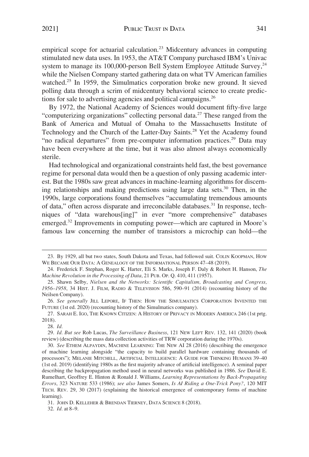empirical scope for actuarial calculation.<sup>23</sup> Midcentury advances in computing stimulated new data uses. In 1953, the AT&T Company purchased IBM's Univac system to manage its 100,000-person Bell System Employee Attitude Survey, $^{24}$ while the Nielsen Company started gathering data on what TV American families watched.<sup>25</sup> In 1959, the Simulmatics corporation broke new ground. It sieved polling data through a scrim of midcentury behavioral science to create predictions for sale to advertising agencies and political campaigns.26

By 1972, the National Academy of Sciences would document fifty-five large "computerizing organizations" collecting personal data.27 These ranged from the Bank of America and Mutual of Omaha to the Massachusetts Institute of Technology and the Church of the Latter-Day Saints.<sup>28</sup> Yet the Academy found "no radical departures" from pre-computer information practices.<sup>29</sup> Data may have been everywhere at the time, but it was also almost always economically sterile.

Had technological and organizational constraints held fast, the best governance regime for personal data would then be a question of only passing academic interest. But the 1980s saw great advances in machine-learning algorithms for discerning relationships and making predictions using large data sets.<sup>30</sup> Then, in the 1990s, large corporations found themselves "accumulating tremendous amounts of data," often across disparate and irreconcilable databases.<sup>31</sup> In response, techniques of "data warehous[ing]" in ever "more comprehensive" databases emerged.<sup>32</sup> Improvements in computing power—which are captured in Moore's famous law concerning the number of transistors a microchip can hold—the

32. *Id.* at 8–9.

<sup>23.</sup> By 1929, all but two states, South Dakota and Texas, had followed suit. COLIN KOOPMAN, HOW WE BECAME OUR DATA: A GENEALOGY OF THE INFORMATIONAL PERSON 47–48 (2019).

<sup>24.</sup> Frederick F. Stephan, Roger K. Harter, Eli S. Marks, Joseph F. Daly & Robert H. Hanson, *The Machine Revolution in the Processing of Data*, 21 PUB. OP. Q. 410, 411 (1957).

<sup>25.</sup> Shawn Selby, *Nielsen and the Networks: Scientific Capitalism, Broadcasting and Congress, 1956–1958*, 34 HIST. J. FILM, RADIO & TELEVISION 586, 590–91 (2014) (recounting history of the Neilsen Company).

<sup>26.</sup> *See generally* JILL LEPORE, IF THEN: HOW THE SIMULMATICS CORPORATION INVENTED THE FUTURE (1st ed. 2020) (recounting history of the Simulmatics company).

<sup>27.</sup> SARAH E. IGO, THE KNOWN CITIZEN: A HISTORY OF PRIVACY IN MODERN AMERICA 246 (1st prtg. 2018).

<sup>28.</sup> *Id.* 

<sup>29.</sup> *Id. But see* Rob Lucas, *The Surveillance Business*, 121 NEW LEFT REV. 132, 141 (2020) (book review) (describing the mass data collection activities of TRW corporation during the 1970s).

<sup>30.</sup> *See* ETHEM ALPAYDIN, MACHINE LEARNING: THE NEW AI 28 (2016) (describing the emergence of machine learning alongside "the capacity to build parallel hardware containing thousands of processors"); MELANIE MITCHELL, ARTIFICIAL INTELLIGENCE: A GUIDE FOR THINKING HUMANS 39–40 (1st ed. 2019) (identifying 1980s as the first majority advance of artificial intelligence). A seminal paper describing the backpropagation method used in neural networks was published in 1986. *See* David E. Rumelhart, Geoffrey E. Hinton & Ronald J. Williams, *Learning Representations by Back-Propagating Errors*, 323 NATURE 533 (1986); *see also* James Somers, *Is AI Riding a One-Trick Pony?*, 120 MIT TECH. REV. 29, 30 (2017) (explaining the historical emergence of contemporary forms of machine learning).

<sup>31.</sup> JOHN D. KELLEHER & BRENDAN TIERNEY, DATA SCIENCE 8 (2018).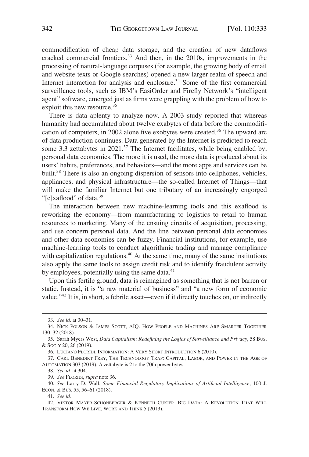commodification of cheap data storage, and the creation of new dataflows cracked commercial frontiers.<sup>33</sup> And then, in the 2010s, improvements in the processing of natural-language corpuses (for example, the growing body of email and website texts or Google searches) opened a new larger realm of speech and Internet interaction for analysis and enclosure.<sup>34</sup> Some of the first commercial surveillance tools, such as IBM's EasiOrder and Firefly Network's "intelligent agent" software, emerged just as firms were grappling with the problem of how to exploit this new resource.<sup>35</sup>

There is data aplenty to analyze now. A 2003 study reported that whereas humanity had accumulated about twelve exabytes of data before the commodification of computers, in 2002 alone five exobytes were created.36 The upward arc of data production continues. Data generated by the Internet is predicted to reach some 3.3 zettabytes in  $2021$ .<sup>37</sup> The Internet facilitates, while being enabled by, personal data economies. The more it is used, the more data is produced about its users' habits, preferences, and behaviors—and the more apps and services can be built.<sup>38</sup> There is also an ongoing dispersion of sensors into cellphones, vehicles, appliances, and physical infrastructure—the so-called Internet of Things—that will make the familiar Internet but one tributary of an increasingly engorged "[e]xaflood" of data.<sup>39</sup>

The interaction between new machine-learning tools and this exaflood is reworking the economy—from manufacturing to logistics to retail to human resources to marketing. Many of the ensuing circuits of acquisition, processing, and use concern personal data. And the line between personal data economies and other data economies can be fuzzy. Financial institutions, for example, use machine-learning tools to conduct algorithmic trading and manage compliance with capitalization regulations.<sup> $40$ </sup> At the same time, many of the same institutions also apply the same tools to assign credit risk and to identify fraudulent activity by employees, potentially using the same data.<sup>41</sup>

Upon this fertile ground, data is reimagined as something that is not barren or static. Instead, it is "a raw material of business" and "a new form of economic value."<sup>42</sup> It is, in short, a febrile asset—even if it directly touches on, or indirectly

<sup>33.</sup> *See id.* at 30–31.

<sup>34.</sup> NICK POLSON & JAMES SCOTT, AIQ: HOW PEOPLE AND MACHINES ARE SMARTER TOGETHER 130–32 (2018).

<sup>35.</sup> Sarah Myers West, *Data Capitalism: Redefining the Logics of Surveillance and Privacy*, 58 BUS. & SOC'Y 20, 26 (2019).

<sup>36.</sup> LUCIANO FLORIDI, INFORMATION: A VERY SHORT INTRODUCTION 6 (2010).

<sup>37.</sup> CARL BENEDIKT FREY, THE TECHNOLOGY TRAP: CAPITAL, LABOR, AND POWER IN THE AGE OF AUTOMATION 303 (2019). A zettabyte is 2 to the 70th power bytes.

<sup>38.</sup> *See id.* at 304.

<sup>39.</sup> *See* FLORIDI, *supra* note 36.

<sup>40.</sup> *See* Larry D. Wall, *Some Financial Regulatory Implications of Artificial Intelligence*, 100 J. ECON. & BUS. 55, 56–61 (2018).

<sup>41.</sup> *See id.* 

<sup>42.</sup> VIKTOR MAYER-SCHÖNBERGER & KENNETH CUKIER, BIG DATA: A REVOLUTION THAT WILL TRANSFORM HOW WE LIVE, WORK AND THINK 5 (2013).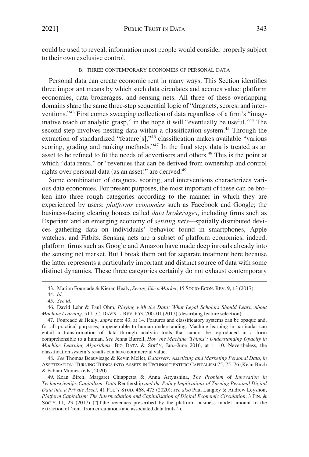<span id="page-10-0"></span>could be used to reveal, information most people would consider properly subject to their own exclusive control.

## B. THREE CONTEMPORARY ECONOMIES OF PERSONAL DATA

Personal data can create economic rent in many ways. This Section identifies three important means by which such data circulates and accrues value: platform economies, data brokerages, and sensing nets. All three of these overlapping domains share the same three-step sequential logic of "dragnets, scores, and interventions."43 First comes sweeping collection of data regardless of a firm's "imaginative reach or analytic grasp," in the hope it will "eventually be useful."44 The second step involves nesting data within a classification system.<sup>45</sup> Through the extraction of standardized "feature[s],"46 classification makes available "various scoring, grading and ranking methods."<sup>47</sup> In the final step, data is treated as an asset to be refined to fit the needs of advertisers and others.48 This is the point at which "data rents," or "revenues that can be derived from ownership and control rights over personal data (as an asset)" are derived.<sup>49</sup>

Some combination of dragnets, scoring, and interventions characterizes various data economies. For present purposes, the most important of these can be broken into three rough categories according to the manner in which they are experienced by users: *platforms economies* such as Facebook and Google; the business-facing clearing houses called *data brokerages*, including firms such as Experian; and an emerging economy of *sensing nets*—spatially distributed devices gathering data on individuals' behavior found in smartphones, Apple watches, and Fitbits. Sensing nets are a subset of platform economies; indeed, platform firms such as Google and Amazon have made deep inroads already into the sensing net market. But I break them out for separate treatment here because the latter represents a particularly important and distinct source of data with some distinct dynamics. These three categories certainly do not exhaust contemporary

48. *See* Thomas Beauvisage & Kevin Mellet, *Datassets: Assetizing and Marketing Personal Data*, *in*  ASSETIZATION: TURNING THINGS INTO ASSETS IN TECHNOSCIENTIFIC CAPITALISM 75, 75–76 (Kean Birch & Fabian Muniesa eds., 2020).

<sup>43.</sup> Marion Fourcade & Kieran Healy, *Seeing like a Market*, 15 SOCIO-ECON. REV. 9, 13 (2017).

<sup>44.</sup> *Id.* 

<sup>45.</sup> *See id.* 

<sup>46.</sup> David Lehr & Paul Ohm, *Playing with the Data: What Legal Scholars Should Learn About Machine Learning*, 51 U.C. DAVIS L. REV. 653, 700–01 (2017) (describing feature selection).

<sup>47.</sup> Fourcade & Healy, *supra* note 43, at 14. Features and classificatory systems can be opaque and, for all practical purposes, impenetrable to human understanding. Machine learning in particular can entail a transformation of data through analytic tools that cannot be reproduced in a form comprehensible to a human. *See* Jenna Burrell, *How the Machine 'Thinks': Understanding Opacity in Machine Learning Algorithms*, BIG DATA & SOC'Y, Jan.–June 2016, at 1, 10. Nevertheless, the classification system's results can have commercial value.

<sup>49.</sup> Kean Birch, Margaret Chiappetta & Anna Artyushina, *The Problem* of *Innovation in Technoscientific Capitalism: Data* Rentiership *and the Policy Implications of Turning Personal Digital Data into a Private Asset*, 41 POL'Y STUD. 468, 475 (2020); *see also* Paul Langley & Andrew Leyshon, *Platform Capitalism: The Intermediation and Capitalisation of Digital Economic Circulation*, 3 FIN. & SOC'Y 11, 23 (2017) ("[T]he revenues prescribed by the platform business model amount to the extraction of 'rent' from circulations and associated data trails.").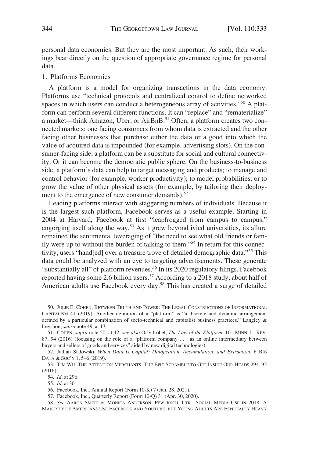<span id="page-11-0"></span>personal data economies. But they are the most important. As such, their workings bear directly on the question of appropriate governance regime for personal data.

## 1. Platforms Economies

A platform is a model for organizing transactions in the data economy. Platforms use "technical protocols and centralized control to define networked spaces in which users can conduct a heterogeneous array of activities."<sup>50</sup> A platform can perform several different functions. It can "replace" and "rematerialize" a market—think Amazon, Uber, or AirBnB.<sup>51</sup> Often, a platform creates two connected markets: one facing consumers from whom data is extracted and the other facing other businesses that purchase either the data or a good into which the value of acquired data is impounded (for example, advertising slots). On the consumer-facing side, a platform can be a substitute for social and cultural connectivity. Or it can become the democratic public sphere. On the business-to-business side, a platform's data can help to target messaging and products; to manage and control behavior (for example, worker productivity); to model probabilities; or to grow the value of other physical assets (for example, by tailoring their deployment to the emergence of new consumer demands).<sup>52</sup>

Leading platforms interact with staggering numbers of individuals. Because it is the largest such platform, Facebook serves as a useful example. Starting in 2004 at Harvard, Facebook at first "leapfrogged from campus to campus," engorging itself along the way.53 As it grew beyond ivied universities, its allure remained the sentimental leveraging of "the need to see what old friends or family were up to without the burden of talking to them."54 In return for this connectivity, users "hand[ed] over a treasure trove of detailed demographic data."55 This data could be analyzed with an eye to targeting advertisements. These generate "substantially all" of platform revenues.<sup>56</sup> In its 2020 regulatory filings, Facebook reported having some 2.6 billion users.<sup>57</sup> According to a 2018 study, about half of American adults use Facebook every day.<sup>58</sup> This has created a surge of detailed

<sup>50.</sup> JULIE E. COHEN, BETWEEN TRUTH AND POWER: THE LEGAL CONSTRUCTIONS OF INFORMATIONAL CAPITALISM 41 (2019). Another definition of a "platform" is "a discrete and dynamic arrangement defined by a particular combination of socio-technical and capitalist business practices." Langley & Leyshon, *supra* note 49, at 13.

<sup>51.</sup> COHEN, *supra* note 50, at 42; *see also* Orly Lobel, *The Law of the Platform*, 101 MINN. L. REV. 87, 94 (2016) (focusing on the role of a "platform company . . . as an online intermediary between buyers and sellers of goods and services" aided by new digital technologies).

<sup>52.</sup> Jathan Sadowski, *When Data Is Capital: Datafication, Accumulation, and Extraction*, 6 BIG DATA & SOC'Y 1, 5–6 (2019).

<sup>53.</sup> TIM WU, THE ATTENTION MERCHANTS: THE EPIC SCRAMBLE TO GET INSIDE OUR HEADS 294–95 (2016).

<sup>54.</sup> *Id.* at 296.

<sup>55.</sup> *Id.* at 301.

<sup>56.</sup> Facebook, Inc., Annual Report (Form 10-K) 7 (Jan. 28, 2021).

<sup>57.</sup> Facebook, Inc., Quarterly Report (Form 10-Q) 31 (Apr. 30, 2020).

*See* AARON SMITH & MONICA ANDERSON, PEW RSCH. CTR., SOCIAL MEDIA USE IN 2018: A 58. MAJORITY OF AMERICANS USE FACEBOOK AND YOUTUBE, BUT YOUNG ADULTS ARE ESPECIALLY HEAVY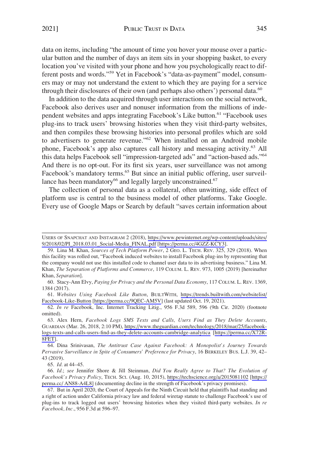data on items, including "the amount of time you hover your mouse over a particular button and the number of days an item sits in your shopping basket, to every location you've visited with your phone and how you psychologically react to different posts and words."59 Yet in Facebook's "data-as-payment" model, consumers may or may not understand the extent to which they are paying for a service through their disclosures of their own (and perhaps also others') personal data.<sup>60</sup>

In addition to the data acquired through user interactions on the social network, Facebook also derives user and nonuser information from the millions of independent websites and apps integrating Facebook's Like button.<sup>61</sup> "Facebook uses plug-ins to track users' browsing histories when they visit third-party websites, and then compiles these browsing histories into personal profiles which are sold to advertisers to generate revenue."<sup>62</sup> When installed on an Android mobile phone, Facebook's app also captures call history and messaging activity.<sup>63</sup> All this data helps Facebook sell "impression-targeted ads" and "action-based ads."<sup>64</sup> And there is no opt-out. For its first six years, user surveillance was not among Facebook's mandatory terms.<sup>65</sup> But since an initial public offering, user surveillance has been mandatory<sup>66</sup> and legally largely unconstrained.<sup>67</sup>

The collection of personal data as a collateral, often unwitting, side effect of platform use is central to the business model of other platforms. Take Google. Every use of Google Maps or Search by default "saves certain information about

60. Stacy-Ann Elvy, *Paying for Privacy and the Personal Data Economy*, 117 COLUM. L. REV. 1369, 1384 (2017).

*Websites Using Facebook Like Button*, BUILTWITH, [https://trends.builtwith.com/websitelist/](https://trends.builtwith.com/websitelist/Facebook-Like-Button)  61. [Facebook-Like-Button](https://trends.builtwith.com/websitelist/Facebook-Like-Button) [\[https://perma.cc/9QEC-AM5V\]](https://perma.cc/9QEC-AM5V) (last updated Oct. 19, 2021).

62. *In re* Facebook, Inc. Internet Tracking Litig., 956 F.3d 589, 596 (9th Cir. 2020) (footnote omitted).

65. *Id.* at 44–45.

*Id.*; *see* Jennifer Shore & Jill Steinman, *Did You Really Agree to That? The Evolution of*  66. *Facebook's Privacy Policy*, TECH. SCI. (Aug. 10, 2015), <https://techscience.org/a/2015081102>[\[https://](https://perma.cc/AN88-A4L8)  [perma.cc/ AN88-A4L8\]](https://perma.cc/AN88-A4L8) (documenting decline in the strength of Facebook's privacy promises).

USERS OF SNAPCHAT AND INSTAGRAM 2 (2018), [https://www.pewinternet.org/wp-content/uploads/sites/](https://www.pewinternet.org/wp-content/uploads/sites/9/2018/02/PI_2018.03.01_Social-Media_FINAL.pdf)  [9/2018/02/PI\\_2018.03.01\\_Social-Media\\_FINAL.pdf](https://www.pewinternet.org/wp-content/uploads/sites/9/2018/02/PI_2018.03.01_Social-Media_FINAL.pdf) [\[https://perma.cc/4GZZ-KCY3](https://perma.cc/4GZZ-KCY3)].

<sup>59.</sup> Lina M. Khan, *Sources of Tech Platform Power*, 2 GEO. L. TECH. REV. 325, 329 (2018). When this facility was rolled out, "Facebook induced websites to install Facebook plug-ins by representing that the company would not use this installed code to channel user data to its advertising business." Lina M. Khan, *The Separation of Platforms and Commerce*, 119 COLUM. L. REV. 973, 1005 (2019) [hereinafter Khan, *Separation*].

<sup>63.</sup> Alex Hern, *Facebook Logs SMS Texts and Calls, Users Find as They Delete Accounts*, GUARDIAN (Mar. 26, 2018, 2:10 PM), [https://www.theguardian.com/technology/2018/mar/25/facebook](https://www.theguardian.com/technology/2018/mar/25/facebook-logs-texts-and-calls-users-find-as-they-delete-accounts-cambridge-analytica)[logs-texts-and-calls-users-find-as-they-delete-accounts-cambridge-analytica](https://www.theguardian.com/technology/2018/mar/25/facebook-logs-texts-and-calls-users-find-as-they-delete-accounts-cambridge-analytica) [[https://perma.cc/X72R-](https://perma.cc/X72R-8FET)[8FET\]](https://perma.cc/X72R-8FET).

<sup>64.</sup> Dina Srinivasan, *The Antitrust Case Against Facebook: A Monopolist's Journey Towards Pervasive Surveillance in Spite of Consumers' Preference for Privacy*, 16 BERKELEY BUS. L.J. 39, 42– 43 (2019).

<sup>67.</sup> But in April 2020, the Court of Appeals for the Ninth Circuit held that plaintiffs had standing and a right of action under California privacy law and federal wiretap statute to challenge Facebook's use of plug-ins to track logged out users' browsing histories when they visited third-party websites. *In re Facebook, Inc.*, 956 F.3d at 596–97.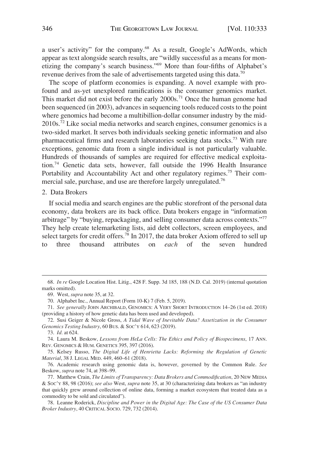<span id="page-13-0"></span>a user's activity" for the company.68 As a result, Google's AdWords, which appear as text alongside search results, are "wildly successful as a means for monetizing the company's search business."69 More than four-fifths of Alphabet's revenue derives from the sale of advertisements targeted using this data.70

The scope of platform economies is expanding. A novel example with profound and as-yet unexplored ramifications is the consumer genomics market. This market did not exist before the early  $2000s$ .<sup>71</sup> Once the human genome had been sequenced (in 2003), advances in sequencing tools reduced costs to the point where genomics had become a multibillion-dollar consumer industry by the mid- $2010s$ <sup>72</sup> Like social media networks and search engines, consumer genomics is a two-sided market. It serves both individuals seeking genetic information and also pharmaceutical firms and research laboratories seeking data stocks.73 With rare exceptions, genomic data from a single individual is not particularly valuable. Hundreds of thousands of samples are required for effective medical exploitation.74 Genetic data sets, however, fall outside the 1996 Health Insurance Portability and Accountability Act and other regulatory regimes.<sup>75</sup> Their commercial sale, purchase, and use are therefore largely unregulated.<sup>76</sup>

## 2. Data Brokers

If social media and search engines are the public storefront of the personal data economy, data brokers are its back office. Data brokers engage in "information arbitrage" by "buying, repackaging, and selling consumer data across contexts."<sup>77</sup> They help create telemarketing lists, aid debt collectors, screen employees, and select targets for credit offers.<sup>78</sup> In 2017, the data broker Axiom offered to sell up to three thousand attributes on *each* of the seven hundred

- 71. *See generally* JOHN ARCHIBALD, GENOMICS: A VERY SHORT INTRODUCTION 14–26 (1st ed. 2018) (providing a history of how genetic data has been used and developed).
- 72. Susi Geiger & Nicole Gross, *A Tidal Wave of Inevitable Data? Assetization in the Consumer Genomics Testing Industry*, 60 BUS. & SOC'Y 614, 623 (2019).

74. Laura M. Beskow, *Lessons from HeLa Cells: The Ethics and Policy of Biospecimens*, 17 ANN. REV. GENOMICS & HUM. GENETICS 395, 397 (2016).

<sup>68.</sup> *In re* Google Location Hist. Litig., 428 F. Supp. 3d 185, 188 (N.D. Cal. 2019) (internal quotation marks omitted).

<sup>69.</sup> West, *supra* note 35, at 32.

<sup>70.</sup> Alphabet Inc., Annual Report (Form 10-K) 7 (Feb. 5, 2019).

<sup>73.</sup> *Id.* at 624.

<sup>75.</sup> Kelsey Russo, *The Digital Life of Henrietta Lacks: Reforming the Regulation of Genetic Material*, 38 J. LEGAL MED. 449, 460–61 (2018).

<sup>76.</sup> Academic research using genomic data is, however, governed by the Common Rule. *See*  Beskow, *supra* note 74, at 398–99.

<sup>77.</sup> Matthew Crain, *The Limits of Transparency: Data Brokers and Commodification*, 20 NEW MEDIA & SOC'Y 88, 98 (2016); *see also* West, *supra* note 35, at 30 (characterizing data brokers as "an industry that quickly grew around collection of online data, forming a market ecosystem that treated data as a commodity to be sold and circulated").

<sup>78.</sup> Leanne Roderick, *Discipline and Power in the Digital Age: The Case of the US Consumer Data Broker Industry*, 40 CRITICAL SOCIO. 729, 732 (2014).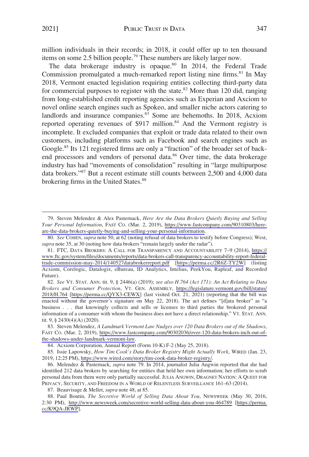million individuals in their records; in 2018, it could offer up to ten thousand items on some 2.5 billion people.<sup>79</sup> These numbers are likely larger now.

The data brokerage industry is opaque.<sup>80</sup> In 2014, the Federal Trade Commission promulgated a much-remarked report listing nine firms.<sup>81</sup> In May 2018, Vermont enacted legislation requiring entities collecting third-party data for commercial purposes to register with the state.<sup>82</sup> More than 120 did, ranging from long-established credit reporting agencies such as Experian and Axciom to novel online search engines such as Spokeo, and smaller niche actors catering to landlords and insurance companies.<sup>83</sup> Some are behemoths. In 2018, Acxiom reported operating revenues of \$917 million.<sup>84</sup> And the Vermont registry is incomplete. It excluded companies that exploit or trade data related to their own customers, including platforms such as Facebook and search engines such as Google.<sup>85</sup> Its 121 registered firms are only a "fraction" of the broader set of backend processors and vendors of personal data.<sup>86</sup> Over time, the data brokerage industry has had "movements of consolidation" resulting in "large multipurpose data brokers."87 But a recent estimate still counts between 2,500 and 4,000 data brokering firms in the United States.<sup>88</sup>

Steven Melendez & Alex Pasternack, *Here Are the Data Brokers Quietly Buying and Selling*  79. *Your Personal Information*, FAST CO. (Mar. 2, 2019), [https://www.fastcompany.com/90310803/here](https://www.fastcompany.com/90310803/here-are-the-data-brokers-quietly-buying-and-selling-your-personal-information)[are-the-data-brokers-quietly-buying-and-selling-your-personal-information.](https://www.fastcompany.com/90310803/here-are-the-data-brokers-quietly-buying-and-selling-your-personal-information)

<sup>80.</sup> *See* COHEN, *supra* note 50, at 62 (noting refusal of data brokers to testify before Congress); West, *supra* note 35, at 30 (noting how data brokers "remain largely under the radar").

FTC, DATA BROKERS: A CALL FOR TRANSPARENCY AND ACCOUNTABILITY 7–9 (2014), [https://](https://www.ftc.gov/system/files/documents/reports/data-brokers-call-transparency-accountability-report-federal-trade-commission-may-2014/140527databrokerreport.pdf)  81. [www.ftc.gov/system/files/documents/reports/data-brokers-call-transparency-accountability-report-federal](https://www.ftc.gov/system/files/documents/reports/data-brokers-call-transparency-accountability-report-federal-trade-commission-may-2014/140527databrokerreport.pdf)[trade-commission-may-2014/140527databrokerreport.pdf](https://www.ftc.gov/system/files/documents/reports/data-brokers-call-transparency-accountability-report-federal-trade-commission-may-2014/140527databrokerreport.pdf) [\[https://perma.cc/2R6Z-TY2W\]](https://perma.cc/2R6Z-TY2W) (listing Acxiom, Corelogic, Datalogix, eBureau, ID Analytics, Intelius, PeekYou, Rapleaf, and Recorded Future).

*See* VT. STAT. ANN. tit. 9, § 2446(a) (2019); *see also H.764 (Act 171): An Act Relating to Data*  82. *Brokers and Consumer Protection*, VT. GEN. ASSEMBLY, [https://legislature.vermont.gov/bill/status/](https://legislature.vermont.gov/bill/status/2018/H.764)  [2018/H.764](https://legislature.vermont.gov/bill/status/2018/H.764) [\[https://perma.cc/QYX3-CEWX](https://perma.cc/QYX3-CEWX)] (last visited Oct. 21, 2021) (reporting that the bill was enacted without the governor's signature on May 22, 2018). The act defines "[d]ata broker" as "a business . . . that knowingly collects and sells or licenses to third parties the brokered personal information of a consumer with whom the business does not have a direct relationship." VT. STAT. ANN. tit. 9, § 2430(4)(A) (2020).

Steven Melendez, *A Landmark Vermont Law Nudges over 120 Data Brokers out of the Shadows*, 83. FAST CO. (Mar. 2, 2019), [https://www.fastcompany.com/90302036/over-120-data-brokers-inch-out-of](https://www.fastcompany.com/90302036/over-120-data-brokers-inch-out-of-the-shadows-under-landmark-vermont-law)[the-shadows-under-landmark-vermont-law](https://www.fastcompany.com/90302036/over-120-data-brokers-inch-out-of-the-shadows-under-landmark-vermont-law).

<sup>84.</sup> Acxiom Corporation, Annual Report (Form 10-K) F-2 (May 25, 2018).

<sup>85.</sup> Issie Lapowsky, *How Tim Cook's Data Broker Registry Might Actually Work*, WIRED (Jan. 23, 2019, 12:25 PM), [https://www.wired.com/story/tim-cook-data-broker-registry/.](https://www.wired.com/story/tim-cook-data-broker-registry/)

<sup>86.</sup> Melendez & Pasternack, *supra* note 79. In 2014, journalist Julia Angwin reported that she had identified 212 data brokers by searching for entities that held her own information; her efforts to scrub personal data from them were only partially successful. JULIA ANGWIN, DRAGNET NATION: A QUEST FOR PRIVACY, SECURITY, AND FREEDOM IN A WORLD OF RELENTLESS SURVEILLANCE 161–63 (2014).

<sup>87.</sup> Beauvisage & Mellet, *supra* note 48, at 85.

<sup>88.</sup> Paul Boutin, *The Secretive World of Selling Data About You*, NEWSWEEK (May 30, 2016, 2:30 PM), <http://www.newsweek.com/secretive-world-selling-data-about-you-464789>[[https://perma.](https://perma.cc/K9QA-JRWP)  [cc/K9QA-JRWP](https://perma.cc/K9QA-JRWP)].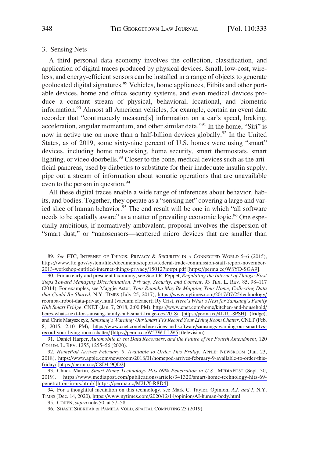## <span id="page-15-0"></span>3. Sensing Nets

A third personal data economy involves the collection, classification, and application of digital traces produced by physical devices. Small, low-cost, wireless, and energy-efficient sensors can be installed in a range of objects to generate geolocated digital signatures.<sup>89</sup> Vehicles, home appliances, Fitbits and other portable devices, home and office security systems, and even medical devices produce a constant stream of physical, behavioral, locational, and biometric information.<sup>90</sup> Almost all American vehicles, for example, contain an event data recorder that "continuously measure[s] information on a car's speed, braking, acceleration, angular momentum, and other similar data."91 In the home, "Siri" is now in active use on more than a half-billion devices globally.<sup>92</sup> In the United States, as of 2019, some sixty-nine percent of U.S. homes were using "smart" devices, including home networking, home security, smart thermostats, smart lighting, or video doorbells.<sup>93</sup> Closer to the bone, medical devices such as the artificial pancreas, used by diabetics to substitute for their inadequate insulin supply, pipe out a stream of information about somatic operations that are unavailable even to the person in question.<sup>94</sup>

All these digital traces enable a wide range of inferences about behavior, habits, and bodies. Together, they operate as a "sensing net" covering a large and varied slice of human behavior.<sup>95</sup> The end result will be one in which "all software needs to be spatially aware" as a matter of prevailing economic logic.<sup>96</sup> One especially ambitious, if normatively ambivalent, proposal involves the dispersion of "smart dust," or "nanosensors—scattered micro devices that are smaller than

*See* FTC, INTERNET OF THINGS: PRIVACY & SECURITY IN A CONNECTED WORLD 5–6 (2015), 89. [https://www.ftc.gov/system/files/documents/reports/federal-trade-commission-staff-report-november-](https://www.ftc.gov/system/files/documents/reports/federal-trade-commission-staff-report-november-2013-workshop-entitled-internet-things-privacy/150127iotrpt.pdf)[2013-workshop-entitled-internet-things-privacy/150127iotrpt.pdf](https://www.ftc.gov/system/files/documents/reports/federal-trade-commission-staff-report-november-2013-workshop-entitled-internet-things-privacy/150127iotrpt.pdf) [<https://perma.cc/W8YD-SGA9>].

For an early and prescient taxonomy, see Scott R. Peppet, *Regulating the Internet of Things: First*  90. *Steps Toward Managing Discrimination, Privacy, Security, and Consent*, 93 TEX. L. REV. 85, 98–117 (2014). For examples, see Maggie Astor, *Your Roomba May Be Mapping Your Home, Collecting Data that Could Be Shared*, N.Y. TIMES (July 25, 2017), [https://www.nytimes.com/2017/07/25/technology/](https://www.nytimes.com/2017/07/25/technology/roomba-irobot-data-privacy.html)  [roomba-irobot-data-privacy.html](https://www.nytimes.com/2017/07/25/technology/roomba-irobot-data-privacy.html) (vacuum cleaner); Ry Crist, *Here's What's Next for Samsung's Family Hub Smart Fridge*, CNET (Jan. 7, 2018, 2:00 PM), [https://www.cnet.com/home/kitchen-and-household/](https://www.cnet.com/home/kitchen-and-household/heres-whats-next-for-samsung-family-hub-smart-fridge-ces-2018/)  [heres-whats-next-for-samsung-family-hub-smart-fridge-ces-2018/](https://www.cnet.com/home/kitchen-and-household/heres-whats-next-for-samsung-family-hub-smart-fridge-ces-2018/) [[https://perma.cc/4LTU-8PSH\]](https://perma.cc/4LTU-8PSH) (fridge); and Chris Matyszczyk, *Samsung's Warning: Our Smart TVs Record Your Living Room Chatter*, CNET (Feb. 8, 2015, 2:10 PM), [https://www.cnet.com/tech/services-and-software/samsungs-warning-our-smart-tvs](https://www.cnet.com/tech/services-and-software/samsungs-warning-our-smart-tvs-record-your-living-room-chatter/)[record-your-living-room-chatter/](https://www.cnet.com/tech/services-and-software/samsungs-warning-our-smart-tvs-record-your-living-room-chatter/) [\[https://perma.cc/W57W-LLW5](https://perma.cc/W57W-LLW5)] (television).

<sup>91.</sup> Daniel Harper, *Automobile Event Data Recorders, and the Future of the Fourth Amendment*, 120 COLUM. L. REV. 1255, 1255–56 (2020).

*HomePod Arrives February 9, Available to Order This Friday*, APPLE: NEWSROOM (Jan. 23, 92. 2018), [https://www.apple.com/newsroom/2018/01/homepod-arrives-february-9-available-to-order-this](https://www.apple.com/newsroom/2018/01/homepod-arrives-february-9-available-to-order-this-friday/)[friday/](https://www.apple.com/newsroom/2018/01/homepod-arrives-february-9-available-to-order-this-friday/) [\[https://perma.cc/C8D4-9QD2](https://perma.cc/C8D4-9QD2)].

<sup>93.</sup> Chuck Martin, Smart Home Technology Hits 69% Penetration in U.S., MEDIAPOST (Sept. 30, 2019), [https://www.mediapost.com/publications/article/341320/smart-home-technology-hits-69](https://www.mediapost.com/publications/article/341320/smart-home-technology-hits-69-penetration-in-us.html/) [penetration-in-us.html/](https://www.mediapost.com/publications/article/341320/smart-home-technology-hits-69-penetration-in-us.html/) [[https://perma.cc/M2LX-R8D4\]](https://perma.cc/M2LX-R8D4).

<sup>94.</sup> For a thoughtful mediation on this technology, see Mark C. Taylor, Opinion, A.I. and I, N.Y. TIMES (Dec. 14, 2020),<https://www.nytimes.com/2020/12/14/opinion/AI-human-body.html>.

<sup>95.</sup> COHEN, *supra* note 50, at 57–58.

<sup>96.</sup> SHASHI SHEKHAR & PAMELA VOLD, SPATIAL COMPUTING 23 (2019).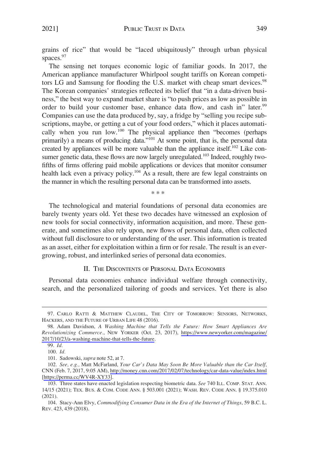<span id="page-16-0"></span>grains of rice" that would be "laced ubiquitously" through urban physical spaces.<sup>97</sup>

The sensing net torques economic logic of familiar goods. In 2017, the American appliance manufacturer Whirlpool sought tariffs on Korean competitors LG and Samsung for flooding the U.S. market with cheap smart devices.<sup>98</sup> The Korean companies' strategies reflected its belief that "in a data-driven business," the best way to expand market share is "to push prices as low as possible in order to build your customer base, enhance data flow, and cash in" later.<sup>99</sup> Companies can use the data produced by, say, a fridge by "selling you recipe subscriptions, maybe, or getting a cut of your food orders," which it places automatically when you run  $low.^{100}$  The physical appliance then "becomes (perhaps primarily) a means of producing data."<sup>101</sup> At some point, that is, the personal data created by appliances will be more valuable than the appliance itself.<sup>102</sup> Like consumer genetic data, these flows are now largely unregulated.<sup>103</sup> Indeed, roughly twofifths of firms offering paid mobile applications or devices that monitor consumer health lack even a privacy policy.<sup>104</sup> As a result, there are few legal constraints on the manner in which the resulting personal data can be transformed into assets.

\* \* \*

The technological and material foundations of personal data economies are barely twenty years old. Yet these two decades have witnessed an explosion of new tools for social connectivity, information acquisition, and more. These generate, and sometimes also rely upon, new flows of personal data, often collected without full disclosure to or understanding of the user. This information is treated as an asset, either for exploitation within a firm or for resale. The result is an evergrowing, robust, and interlinked series of personal data economies.

#### II. THE DISCONTENTS OF PERSONAL DATA ECONOMIES

Personal data economies enhance individual welfare through connectivity, search, and the personalized tailoring of goods and services. Yet there is also

<sup>97.</sup> CARLO RATTI & MATTHEW CLAUDEL, THE CITY OF TOMORROW: SENSORS, NETWORKS, HACKERS, AND THE FUTURE OF URBAN LIFE 48 (2016).

Adam Davidson, *A Washing Machine that Tells the Future: How Smart Appliances Are*  98. *Revolutionizing Commerce.*, NEW YORKER (Oct. 23, 2017), [https://www.newyorker.com/magazine/](https://www.newyorker.com/magazine/2017/10/23/a-washing-machine-that-tells-the-future)  [2017/10/23/a-washing-machine-that-tells-the-future](https://www.newyorker.com/magazine/2017/10/23/a-washing-machine-that-tells-the-future).

<sup>99.</sup> *Id.* 

<sup>100.</sup> *Id.* 

<sup>101.</sup> Sadowski, *supra* note 52, at 7.

*See, e.g.,* Matt McFarland, *Your Car's Data May Soon Be More Valuable than the Car Itself*, 102. CNN (Feb. 7, 2017, 9:05 AM),<http://money.cnn.com/2017/02/07/technology/car-data-value/index.html> [[https://perma.cc/WV4R-XY33\]](https://perma.cc/WV4R-XY33).

<sup>103.</sup> Three states have enacted legislation respecting biometric data. *See* 740 ILL. COMP. STAT. ANN. 14/15 (2021); TEX. BUS. & COM. CODE ANN. § 503.001 (2021); WASH. REV. CODE ANN. § 19.375.010 (2021).

<sup>104.</sup> Stacy-Ann Elvy, *Commodifying Consumer Data in the Era of the Internet of Things*, 59 B.C. L. REV. 423, 439 (2018).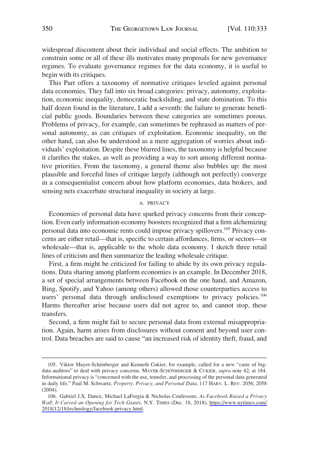<span id="page-17-0"></span>widespread discontent about their individual and social effects. The ambition to constrain some or all of these ills motivates many proposals for new governance regimes. To evaluate governance regimes for the data economy, it is useful to begin with its critiques.

This Part offers a taxonomy of normative critiques leveled against personal data economies. They fall into six broad categories: privacy, autonomy, exploitation, economic inequality, democratic backsliding, and state domination. To this half dozen found in the literature, I add a seventh: the failure to generate beneficial public goods. Boundaries between these categories are sometimes porous. Problems of privacy, for example, can sometimes be rephrased as matters of personal autonomy, as can critiques of exploitation. Economic inequality, on the other hand, can also be understood as a mere aggregation of worries about individuals' exploitation. Despite these blurred lines, the taxonomy is helpful because it clarifies the stakes, as well as providing a way to sort among different normative priorities. From the taxonomy, a general theme also bubbles up: the most plausible and forceful lines of critique largely (although not perfectly) converge in a consequentialist concern about how platform economies, data brokers, and sensing nets exacerbate structural inequality in society at large.

#### A. PRIVACY

Economies of personal data have sparked privacy concerns from their conception. Even early information-economy boosters recognized that a firm alchemizing personal data into economic rents could impose privacy spillovers.<sup>105</sup> Privacy concerns are either retail—that is, specific to certain affordances, firms, or sectors—or wholesale—that is, applicable to the whole data economy. I sketch three retail lines of criticism and then summarize the leading wholesale critique.

First, a firm might be criticized for failing to abide by its own privacy regulations. Data sharing among platform economies is an example. In December 2018, a set of special arrangements between Facebook on the one hand, and Amazon, Bing, Spotify, and Yahoo (among others) allowed those counterparties access to users' personal data through undisclosed exemptions to privacy policies.<sup>106</sup> Harms thereafter arise because users did not agree to, and cannot stop, these transfers.

Second, a firm might fail to secure personal data from external misappropriation. Again, harm arises from disclosures without consent and beyond user control. Data breaches are said to cause "an increased risk of identity theft, fraud, and

<sup>105.</sup> Viktor Mayer-Schönberger and Kenneth Cukier, for example, called for a new "caste of bigdata auditors" to deal with privacy concerns. MAYER-SCHÖNBERGER & CUKIER, *supra* note 42, at 184. Informational privacy is "concerned with the use, transfer, and processing of the personal data generated in daily life." Paul M. Schwartz, *Property, Privacy, and Personal Data*, 117 HARV. L. REV. 2056, 2058 (2004).

Gabriel J.X. Dance, Michael LaForgia & Nicholas Confessore, *As Facebook Raised a Privacy*  106. *Wall, It Carved an Opening for Tech Giants*, N.Y. TIMES (Dec. 18, 2018), [https://www.nytimes.com/](https://www.nytimes.com/2018/12/18/technology/facebook-privacy.html)  [2018/12/18/technology/facebook-privacy.html.](https://www.nytimes.com/2018/12/18/technology/facebook-privacy.html)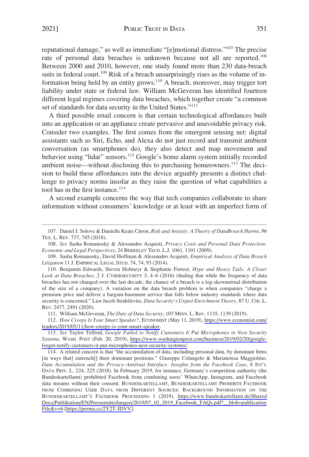reputational damage," as well as immediate "[e]motional distress."107 The precise rate of personal data breaches is unknown because not all are reported.<sup>108</sup> Between 2000 and 2010, however, one study found more than 230 data-breach suits in federal court.<sup>109</sup> Risk of a breach unsurprisingly rises as the volume of information being held by an entity grows.<sup>110</sup> A breach, moreover, may trigger tort liability under state or federal law. William McGeveran has identified fourteen different legal regimes covering data breaches, which together create "a common set of standards for data security in the United States."<sup>111</sup>

A third possible retail concern is that certain technological affordances built into an application or an appliance create pervasive and unavoidable privacy risk. Consider two examples. The first comes from the emergent sensing net: digital assistants such as Siri, Echo, and Alexa do not just record and transmit ambient conversation (as smartphones do), they also detect and map movement and behavior using "lidar" sensors.<sup>112</sup> Google's home alarm system initially recorded ambient noise—without disclosing this to purchasing homeowners.<sup>113</sup> The decision to build these affordances into the device arguably presents a distinct challenge to privacy norms insofar as they raise the question of what capabilities a tool has in the first instance.<sup>114</sup>

A second example concerns the way that tech companies collaborate to share information without consumers' knowledge or at least with an imperfect form of

108. *See* Sasha Romanosky & Alessandro Acquisti, *Privacy Costs and Personal Data Protection: Economic and Legal Perspectives*, 24 BERKELEY TECH. L.J. 1061, 1101 (2009).

111. William McGeveran, *The Duty of Data Security*, 103 MINN. L. Rev. 1135, 1139 (2019).

*How Creepy Is Your Smart Speaker?*, ECONOMIST (May 11, 2019), [https://www.economist.com/](https://www.economist.com/leaders/2019/05/11/how-creepy-is-your-smart-speaker)  112. [leaders/2019/05/11/how-creepy-is-your-smart-speaker](https://www.economist.com/leaders/2019/05/11/how-creepy-is-your-smart-speaker).

<sup>107.</sup> Daniel J. Solove & Danielle Keats Citron, *Risk and Anxiety: A Theory of DataBreach Harms*, 96 TEX. L. REV. 737, 745 (2018).

<sup>109.</sup> Sasha Romanosky, David Hoffman & Alessandro Acquisti, *Empirical Analysis of Data Breach Litigation* 11 J. EMPIRICAL LEGAL STUD. 74, 74, 93 (2014).

<sup>110.</sup> Benjamin Edwards, Steven Hofmeyr & Stephanie Forrest, *Hype and Heavy Tails: A Closer Look at Data Breaches*, 2 J. CYBERSECURITY 3, 4–6 (2016) (finding that while the frequency of data breaches has not changed over the last decade, the chance of a breach is a log-skewnormal distribution of the size of a company). A variation on the data breach problem is when companies "charge a premium price and deliver a bargain-basement service that falls below industry standards where data security is concerned." Lior Jacob Strahilevitz, *Data Security's Unjust Enrichment Theory*, 87 U. CHI. L. REV. 2477, 2491 (2020).

<sup>113.</sup> See Taylor Telford, *Google Failed to Notify Customers It Put Microphones in Nest Security Systems*, WASH. POST (Feb. 20, 2019), [https://www.washingtonpost.com/business/2019/02/20/google](https://www.washingtonpost.com/business/2019/02/20/google-forgot-notify-customers-it-put-microphones-nest-security-systems/)[forgot-notify-customers-it-put-microphones-nest-security-systems/.](https://www.washingtonpost.com/business/2019/02/20/google-forgot-notify-customers-it-put-microphones-nest-security-systems/)

A related concern is that "the accumulation of data, including personal data, by dominant firms 114. [in ways that] entrench]] their dominant positions." Giuseppe Colangelo & Mariateresa Maggiolino, *Data Accumulation and the Privacy–Antitrust Interface: Insights from the Facebook Case*, 8 INT'L DATA PRIV. L. 224, 225 (2018). In February 2019, for instance, Germany's competition authority (the Bundeskartellamt) prohibited Facebook from combining users' WhatsApp, Instagram, and Facebook data streams without their consent. BUNDESKARTELLAMT, BUNDESKARTELLAMT PROHIBITS FACEBOOK FROM COMBINING USER DATA FROM DIFFERENT SOURCES: BACKGROUND INFORMATION ON THE BUNDESKARTELLAMT'S FACEBOOK PROCEEDING 1 (2019), [https://www.bundeskartellamt.de/Shared](https://www.bundeskartellamt.de/SharedDocs/Publikation/EN/Pressemitteilungen/2019/07_02_2019_Facebook_FAQs.pdf?__blob=publicationFile&v=6) [Docs/Publikation/EN/Pressemitteilungen/2019/07\\_02\\_2019\\_Facebook\\_FAQs.pdf?\\_\\_blob=publication](https://www.bundeskartellamt.de/SharedDocs/Publikation/EN/Pressemitteilungen/2019/07_02_2019_Facebook_FAQs.pdf?__blob=publicationFile&v=6) [File&v=6](https://www.bundeskartellamt.de/SharedDocs/Publikation/EN/Pressemitteilungen/2019/07_02_2019_Facebook_FAQs.pdf?__blob=publicationFile&v=6) [\[https://perma.cc/2Y2T-JDVV\]](https://perma.cc/2Y2T-JDVV).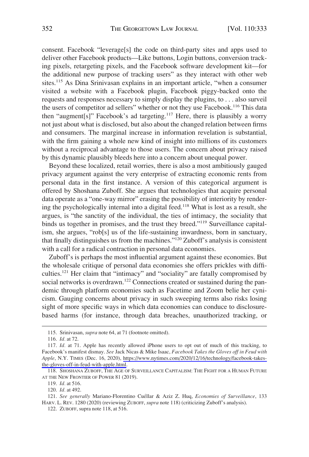consent. Facebook "leverage[s] the code on third-party sites and apps used to deliver other Facebook products—Like buttons, Login buttons, conversion tracking pixels, retargeting pixels, and the Facebook software development kit—for the additional new purpose of tracking users" as they interact with other web sites.<sup>115</sup> As Dina Srinivasan explains in an important article, "when a consumer visited a website with a Facebook plugin, Facebook piggy-backed onto the requests and responses necessary to simply display the plugins, to . . . also surveil the users of competitor ad sellers" whether or not they use Facebook.<sup>116</sup> This data then "augment[s]" Facebook's ad targeting.<sup>117</sup> Here, there is plausibly a worry not just about what is disclosed, but also about the changed relation between firms and consumers. The marginal increase in information revelation is substantial, with the firm gaining a whole new kind of insight into millions of its customers without a reciprocal advantage to those users. The concern about privacy raised by this dynamic plausibly bleeds here into a concern about unequal power.

Beyond these localized, retail worries, there is also a most ambitiously gauged privacy argument against the very enterprise of extracting economic rents from personal data in the first instance. A version of this categorical argument is offered by Shoshana Zuboff. She argues that technologies that acquire personal data operate as a "one-way mirror" erasing the possibility of interiority by rendering the psychologically internal into a digital feed.<sup>118</sup> What is lost as a result, she argues, is "the sanctity of the individual, the ties of intimacy, the sociality that binds us together in promises, and the trust they breed."<sup>119</sup> Surveillance capitalism, she argues, "rob[s] us of the life-sustaining inwardness, born in sanctuary, that finally distinguishes us from the machines."120 Zuboff's analysis is consistent with a call for a radical contraction in personal data economies.

Zuboff's is perhaps the most influential argument against these economies. But the wholesale critique of personal data economies she offers prickles with difficulties.121 Her claim that "intimacy" and "sociality" are fatally compromised by social networks is overdrawn.<sup>122</sup> Connections created or sustained during the pandemic through platform economies such as Facetime and Zoom belie her cynicism. Gauging concerns about privacy in such sweeping terms also risks losing sight of more specific ways in which data economies can conduce to disclosurebased harms (for instance, through data breaches, unauthorized tracking, or

119. *Id.* at 516.

120. *Id.* at 492.

<sup>115.</sup> Srinivasan, *supra* note 64, at 71 (footnote omitted).

<sup>116.</sup> *Id.* at 72.

<sup>117.</sup> *Id.* at 71. Apple has recently allowed iPhone users to opt out of much of this tracking, to Facebook's manifest dismay. *See* Jack Nicas & Mike Isaac, *Facebook Takes the Gloves off in Feud with Apple*, N.Y. TIMES (Dec. 16, 2020), [https://www.nytimes.com/2020/12/16/technology/facebook-takes](https://www.nytimes.com/2020/12/16/technology/facebook-takes-the-gloves-off-in-feud-with-apple.html)[the-gloves-off-in-feud-with-apple.html.](https://www.nytimes.com/2020/12/16/technology/facebook-takes-the-gloves-off-in-feud-with-apple.html)

<sup>118.</sup> SHOSHANA ZUBOFF, THE AGE OF SURVEILLANCE CAPITALISM: THE FIGHT FOR A HUMAN FUTURE AT THE NEW FRONTIER OF POWER 81 (2019).

<sup>121.</sup> *See generally Mariano-Florentino Cuéllar & Aziz Z. Huq, <i>Economies of Surveillance*, 133 HARV. L. REV. 1280 (2020) (reviewing ZUBOFF, *supra* note 118) (criticizing Zuboff's analysis).

<sup>122.</sup> ZUBOFF, supra note 118, at 516.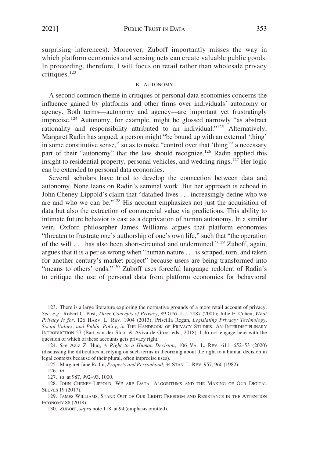<span id="page-20-0"></span>surprising inferences). Moreover, Zuboff importantly misses the way in which platform economies and sensing nets can create valuable public goods. In proceeding, therefore, I will focus on retail rather than wholesale privacy critiques.<sup>123</sup>

#### B. AUTONOMY

A second common theme in critiques of personal data economies concerns the influence gained by platforms and other firms over individuals' autonomy or agency. Both terms—autonomy and agency—are important yet frustratingly imprecise.124 Autonomy, for example, might be glossed narrowly "as abstract rationality and responsibility attributed to an individual."<sup>125</sup> Alternatively, Margaret Radin has argued, a person might "be bound up with an external 'thing' in some constitutive sense," so as to make "control over that 'thing'" a necessary part of their "autonomy" that the law should recognize.<sup>126</sup> Radin applied this insight to residential property, personal vehicles, and wedding rings.<sup>127</sup> Her logic can be extended to personal data economies.

Several scholars have tried to develop the connection between data and autonomy. None leans on Radin's seminal work. But her approach is echoed in John Cheney-Lippold's claim that "datafied lives . . . increasingly define who we are and who we can be."128 His account emphasizes not just the acquisition of data but also the extraction of commercial value via predictions. This ability to intimate future behavior is cast as a deprivation of human autonomy. In a similar vein, Oxford philosopher James Williams argues that platform economies "threaten to frustrate one's authorship of one's own life," such that "the operation of the will . . . has also been short-circuited and undermined."129 Zuboff, again, argues that it is a per se wrong when "human nature . . . is scraped, torn, and taken for another century's market project" because users are being transformed into "means to others' ends."<sup>130</sup> Zuboff uses forceful language redolent of Radin's to critique the use of personal data from platform economies for behavioral

<sup>123.</sup> There is a large literature exploring the normative grounds of a more retail account of privacy. *See, e.g.*, Robert C. Post, *Three Concepts of Privacy*, 89 GEO. L.J. 2087 (2001); Julie E. Cohen, *What Privacy Is for*, 126 HARV. L. REV. 1904 (2013); Priscilla Regan, *Legislating Privacy: Technology, Social Values, and Public Policy*, *in* THE HANDBOOK OF PRIVACY STUDIES: AN INTERDISCIPLINARY INTRODUCTION 57 (Bart van der Sloot & Aviva de Groot eds., 2018). I do not engage here with the question of which of these accounts gets privacy right.

<sup>124.</sup> *See* Aziz Z. Huq, *A Right to a Human Decision*, 106 VA. L. REV. 611, 652–53 (2020) (discussing the difficulties in relying on such terms in theorizing about the right to a human decision in legal contexts because of their plural, often imprecise uses).

<sup>125.</sup> Margaret Jane Radin, *Property and Personhood*, 34 STAN. L. REV. 957, 960 (1982).

<sup>126.</sup> *Id.* 

<sup>127.</sup> *Id.* at 987, 992–93, 1000.

<sup>128.</sup> JOHN CHENEY-LIPPOLD, WE ARE DATA: ALGORITHMS AND THE MAKING OF OUR DIGITAL SELVES 19 (2017).

<sup>129.</sup> JAMES WILLIAMS, STAND OUT OF OUR LIGHT: FREEDOM AND RESISTANCE IN THE ATTENTION ECONOMY 88 (2018).

<sup>130.</sup> ZUBOFF, *supra* note 118, at 94 (emphasis omitted).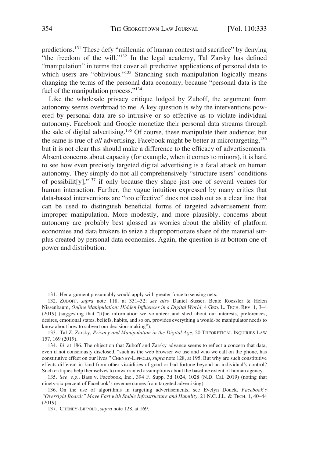predictions.131 These defy "millennia of human contest and sacrifice" by denying "the freedom of the will."<sup>132</sup> In the legal academy, Tal Zarsky has defined "manipulation" in terms that cover all predictive applications of personal data to which users are "oblivious."<sup>133</sup> Stanching such manipulation logically means changing the terms of the personal data economy, because "personal data is the fuel of the manipulation process."<sup>134</sup>

Like the wholesale privacy critique lodged by Zuboff, the argument from autonomy seems overbroad to me. A key question is why the interventions powered by personal data are so intrusive or so effective as to violate individual autonomy. Facebook and Google monetize their personal data streams through the sale of digital advertising.<sup>135</sup> Of course, these manipulate their audience; but the same is true of *all* advertising. Facebook might be better at microtargeting,<sup>136</sup> but it is not clear this should make a difference to the efficacy of advertisements. Absent concerns about capacity (for example, when it comes to minors), it is hard to see how even precisely targeted digital advertising is a fatal attack on human autonomy. They simply do not all comprehensively "structure users' conditions of possibilit[y],"137 if only because they shape just one of several venues for human interaction. Further, the vague intuition expressed by many critics that data-based interventions are "too effective" does not cash out as a clear line that can be used to distinguish beneficial forms of targeted advertisement from improper manipulation. More modestly, and more plausibly, concerns about autonomy are probably best glossed as worries about the ability of platform economies and data brokers to seize a disproportionate share of the material surplus created by personal data economies. Again, the question is at bottom one of power and distribution.

<sup>131.</sup> Her argument presumably would apply with greater force to sensing nets.

<sup>132.</sup> ZUBOFF, *supra* note 118, at 331–32; *see also* Daniel Susser, Beate Roessler & Helen Nissenbaum, *Online Manipulation: Hidden Influences in a Digital World*, 4 GEO. L. TECH. REV. 1, 3–4 (2019) (suggesting that "[t]he information we volunteer and shed about our interests, preferences, desires, emotional states, beliefs, habits, and so on, provides everything a would-be manipulator needs to know about how to subvert our decision-making").

<sup>133.</sup> Tal Z. Zarsky, *Privacy and Manipulation in the Digital Age*, 20 THEORETICAL INQUIRIES LAW 157, 169 (2019).

<sup>134.</sup> *Id.* at 186. The objection that Zuboff and Zarsky advance seems to reflect a concern that data, even if not consciously disclosed, "such as the web browser we use and who we call on the phone, has constitutive effect on our lives." CHENEY-LIPPOLD, *supra* note 128, at 195. But why are such constitutive effects different in kind from other viscidities of good or bad fortune beyond an individual's control? Such critiques help themselves to unwarranted assumptions about the baseline extent of human agency.

<sup>135.</sup> *See, e.g.*, Bass v. Facebook, Inc., 394 F. Supp. 3d 1024, 1028 (N.D. Cal. 2019) (noting that ninety-six percent of Facebook's revenue comes from targeted advertising).

<sup>136.</sup> On the use of algorithms in targeting advertisements, see Evelyn Douek, *Facebook's "Oversight Board:" Move Fast with Stable Infrastructure and Humility*, 21 N.C. J.L. & TECH. 1, 40–44 (2019).

<sup>137.</sup> CHENEY-LIPPOLD, *supra* note 128, at 169.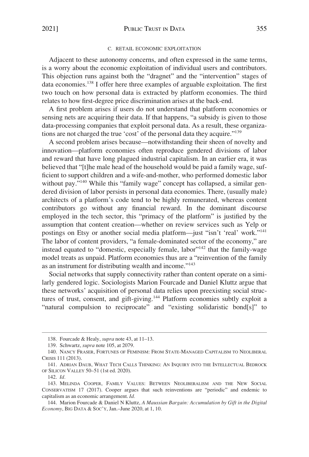#### C. RETAIL ECONOMIC EXPLOITATION

<span id="page-22-0"></span>Adjacent to these autonomy concerns, and often expressed in the same terms, is a worry about the economic exploitation of individual users and contributors. This objection runs against both the "dragnet" and the "intervention" stages of data economies.<sup>138</sup> I offer here three examples of arguable exploitation. The first two touch on how personal data is extracted by platform economies. The third relates to how first-degree price discrimination arises at the back-end.

A first problem arises if users do not understand that platform economies or sensing nets are acquiring their data. If that happens, "a subsidy is given to those data-processing companies that exploit personal data. As a result, these organizations are not charged the true 'cost' of the personal data they acquire."<sup>139</sup>

A second problem arises because—notwithstanding their sheen of novelty and innovation—platform economies often reproduce gendered divisions of labor and reward that have long plagued industrial capitalism. In an earlier era, it was believed that "[t]he male head of the household would be paid a family wage, sufficient to support children and a wife-and-mother, who performed domestic labor without pay."<sup>140</sup> While this "family wage" concept has collapsed, a similar gendered division of labor persists in personal data economies. There, (usually male) architects of a platform's code tend to be highly remunerated, whereas content contributors go without any financial reward. In the dominant discourse employed in the tech sector, this "primacy of the platform" is justified by the assumption that content creation—whether on review services such as Yelp or postings on Etsy or another social media platform--just "isn't 'real' work."<sup>141</sup> The labor of content providers, "a female-dominated sector of the economy," are instead equated to "domestic, especially female, labor"<sup>142</sup> that the family-wage model treats as unpaid. Platform economies thus are a "reinvention of the family as an instrument for distributing wealth and income."<sup>143</sup>

Social networks that supply connectivity rather than content operate on a similarly gendered logic. Sociologists Marion Fourcade and Daniel Kluttz argue that these networks' acquisition of personal data relies upon preexisting social structures of trust, consent, and gift-giving.<sup>144</sup> Platform economies subtly exploit a "natural compulsion to reciprocate" and "existing solidaristic bond[s]" to

<sup>138.</sup> Fourcade & Healy, *supra* note 43, at 11–13.

<sup>139.</sup> Schwartz, *supra* note 105, at 2079.

<sup>140.</sup> NANCY FRASER, FORTUNES OF FEMINISM: FROM STATE-MANAGED CAPITALISM TO NEOLIBERAL CRISIS 111 (2013).

<sup>141.</sup> ADRIAN DAUB, WHAT TECH CALLS THINKING: AN INQUIRY INTO THE INTELLECTUAL BEDROCK OF SILICON VALLEY 50–51 (1st ed. 2020).

<sup>142.</sup> *Id.* 

<sup>143.</sup> MELINDA COOPER, FAMILY VALUES: BETWEEN NEOLIBERALISM AND THE NEW SOCIAL CONSERVATISM 17 (2017). Cooper argues that such reinventions are "periodic" and endemic to capitalism as an economic arrangement. *Id.* 

<sup>144.</sup> Marion Fourcade & Daniel N Kluttz, *A Maussian Bargain: Accumulation by Gift in the Digital Economy*, BIG DATA & SOC'Y, Jan.–June 2020, at 1, 10.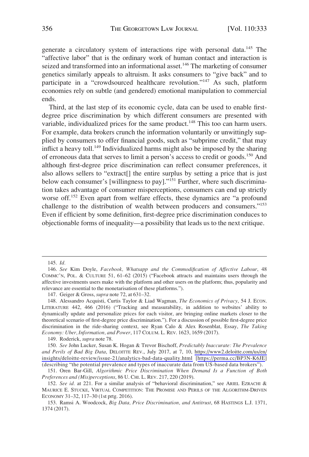generate a circulatory system of interactions ripe with personal data.145 The "affective labor" that is the ordinary work of human contact and interaction is seized and transformed into an informational asset.<sup>146</sup> The marketing of consumer genetics similarly appeals to altruism. It asks consumers to "give back" and to participate in a "crowdsourced healthcare revolution."147 As such, platform economies rely on subtle (and gendered) emotional manipulation to commercial ends.

Third, at the last step of its economic cycle, data can be used to enable firstdegree price discrimination by which different consumers are presented with variable, individualized prices for the same product.<sup>148</sup> This too can harm users. For example, data brokers crunch the information voluntarily or unwittingly supplied by consumers to offer financial goods, such as "subprime credit," that may inflict a heavy toll.<sup>149</sup> Individualized harms might also be imposed by the sharing of erroneous data that serves to limit a person's access to credit or goods.<sup>150</sup> And although first-degree price discrimination can reflect consumer preferences, it also allows sellers to "extract[] the entire surplus by setting a price that is just below each consumer's [willingness to pay]."<sup>151</sup> Further, where such discrimination takes advantage of consumer misperceptions, consumers can end up strictly worse off.<sup>152</sup> Even apart from welfare effects, these dynamics are "a profound challenge to the distribution of wealth between producers and consumers."<sup>153</sup> Even if efficient by some definition, first-degree price discrimination conduces to objectionable forms of inequality—a possibility that leads us to the next critique.

147. Geiger & Gross, *supra* note 72, at 631–32.

149. Roderick, *supra* note 78.

*See* John Lucker, Susan K. Hogan & Trevor Bischoff, *Predictably Inaccurate: The Prevalence*  150. *and Perils of Bad Big Data*, DELOITTE REV., July 2017, at 7, 10, [https://www2.deloitte.com/us/en/](https://www2.deloitte.com/us/en/insights/deloitte-review/issue-21/analytics-bad-data-quality.html)  [insights/deloitte-review/issue-21/analytics-bad-data-quality.html](https://www2.deloitte.com/us/en/insights/deloitte-review/issue-21/analytics-bad-data-quality.html) [<https://perma.cc/BP3N-K6JE>] (describing "the potential prevalence and types of inaccurate data from US-based data brokers").

151. Oren Bar-Gill, *Algorithmic Price Discrimination When Demand Is a Function of Both Preferences and (Mis)perceptions*, 86 U. CHI. L. REV. 217, 220 (2019).

152. *See id.* at 221. For a similar analysis of "behavioral discrimination," see ARIEL EZRACHI & MAURICE E. STUCKE, VIRTUAL COMPETITION: THE PROMISE AND PERILS OF THE ALGORITHM-DRIVEN ECONOMY 31–32, 117–30 (1st prtg. 2016).

153. Ramsi A. Woodcock, *Big Data, Price Discrimination, and Antitrust*, 68 HASTINGS L.J. 1371, 1374 (2017).

<sup>145.</sup> *Id.* 

<sup>146.</sup> *See* Kim Doyle, *Facebook, Whatsapp and the Commodification of Affective Labour*, 48 COMMC'N, POL. & CULTURE 51, 61–62 (2015) ("Facebook attracts and maintains users through the affective investments users make with the platform and other users on the platform; thus, popularity and relevance are essential to the monetarisation of these platforms.").

<sup>148.</sup> Alessandro Acquisti, Curtis Taylor & Liad Wagman, *The Economics of Privacy*, 54 J. ECON. LITERATURE 442, 466 (2016) ("Tracking and measurability, in addition to websites' ability to dynamically update and personalize prices for each visitor, are bringing online markets closer to the theoretical scenario of first-degree price discrimination."). For a discussion of possible first-degree price discrimination in the ride-sharing context, see Ryan Calo & Alex Rosenblat, Essay, *The Taking Economy: Uber, Information, and Power*, 117 COLUM. L. REV. 1623, 1659 (2017).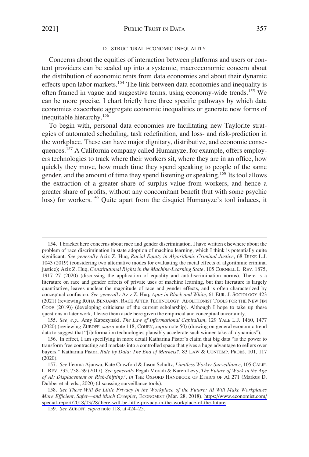#### D. STRUCTURAL ECONOMIC INEQUALITY

<span id="page-24-0"></span>Concerns about the equities of interaction between platforms and users or content providers can be scaled up into a systemic, macroeconomic concern about the distribution of economic rents from data economies and about their dynamic effects upon labor markets.154 The link between data economies and inequality is often framed in vague and suggestive terms, using economy-wide trends.155 We can be more precise. I chart briefly here three specific pathways by which data economies exacerbate aggregate economic inequalities or generate new forms of inequitable hierarchy.<sup>156</sup>

To begin with, personal data economies are facilitating new Taylorite strategies of automated scheduling, task redefinition, and loss- and risk-prediction in the workplace. These can have major dignitary, distributive, and economic consequences.157 A California company called Humanyze, for example, offers employers technologies to track where their workers sit, where they are in an office, how quickly they move, how much time they spend speaking to people of the same gender, and the amount of time they spend listening or speaking.<sup>158</sup> Its tool allows the extraction of a greater share of surplus value from workers, and hence a greater share of profits, without any concomitant benefit (but with some psychic loss) for workers.<sup>159</sup> Quite apart from the disquiet Humanyze's tool induces, it

<sup>154.</sup> I bracket here concerns about race and gender discrimination. I have written elsewhere about the problem of race discrimination in state adoption of machine learning, which I think is potentially quite significant. *See generally* Aziz Z. Huq, *Racial Equity in Algorithmic Criminal Justice*, 68 DUKE L.J. 1043 (2019) (considering two alternative modes for evaluating the racial effects of algorithmic criminal justice); Aziz Z. Huq, *Constitutional Rights in the Machine-Learning State*, 105 CORNELL L. REV. 1875, 1917–27 (2020) (discussing the application of equality and antidiscrimination norms). There is a literature on race and gender effects of private uses of machine learning, but that literature is largely quantitative, leaves unclear the magnitude of race and gender effects, and is often characterized by conceptual confusion. *See generally* Aziz Z. Huq, *Apps in Black and White*, 61 EUR. J. SOCIOLOGY 423 (2021) (reviewing RUHA BENJAMIN, RACE AFTER TECHNOLOGY: ABOLITIONIST TOOLS FOR THE NEW JIM CODE (2019)) (developing criticisms of the current scholarship). Although I hope to take up these questions in later work, I leave them aside here given the empirical and conceptual uncertainty.

<sup>155.</sup> *See, e.g.*, Amy Kapczynski, *The Law of Informational Capitalism*, 129 YALE L.J. 1460, 1477 (2020) (reviewing ZUBOFF, *supra* note 118; COHEN, *supra* note 50) (drawing on general economic trend data to suggest that "[i]nformation technologies plausibly accelerate such winner-take-all dynamics").

<sup>156.</sup> In effect, I am specifying in more detail Katharina Pistor's claim that big data "is the power to transform free contracting and markets into a controlled space that gives a huge advantage to sellers over buyers." Katharina Pistor, *Rule by Data: The End of Markets?*, 83 LAW & CONTEMP. PROBS. 101, 117 (2020).

<sup>157.</sup> *See* Ifeoma Ajunwa, Kate Crawford & Jason Schultz, *Limitless Worker Surveillance*, 105 CALIF. L. REV. 735, 738–39 (2017). *See generally* Pegah Moradi & Karen Levy, *The Future of Work in the Age of AI: Displacement or Risk-Shifting?*, *in* THE OXFORD HANDBOOK OF ETHICS OF AI 271 (Markus D. Dubber et al. eds., 2020) (discussing surveillance tools).

<sup>158.</sup> See There Will Be Little Privacy in the Workplace of the Future: AI Will Make Workplaces *More Efficient, Safer—and Much Creepier*, ECONOMIST (Mar. 28, 2018), [https://www.economist.com/](https://www.economist.com/special-report/2018/03/28/there-will-be-little-privacy-in-the-workplace-of-the-future)  [special-report/2018/03/28/there-will-be-little-privacy-in-the-workplace-of-the-future.](https://www.economist.com/special-report/2018/03/28/there-will-be-little-privacy-in-the-workplace-of-the-future)

<sup>159.</sup> *See* ZUBOFF, *supra* note 118, at 424–25.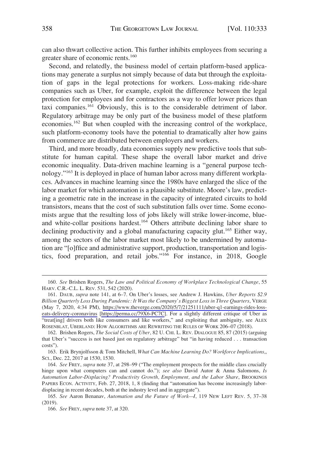can also thwart collective action. This further inhibits employees from securing a greater share of economic rents.<sup>160</sup>

Second, and relatedly, the business model of certain platform-based applications may generate a surplus not simply because of data but through the exploitation of gaps in the legal protections for workers. Loss-making ride-share companies such as Uber, for example, exploit the difference between the legal protection for employees and for contractors as a way to offer lower prices than taxi companies.<sup>161</sup> Obviously, this is to the considerable detriment of labor. Regulatory arbitrage may be only part of the business model of these platform economies.162 But when coupled with the increasing control of the workplace, such platform-economy tools have the potential to dramatically alter how gains from commerce are distributed between employers and workers.

Third, and more broadly, data economies supply new predictive tools that substitute for human capital. These shape the overall labor market and drive economic inequality. Data-driven machine learning is a "general purpose technology."163 It is deployed in place of human labor across many different workplaces. Advances in machine learning since the 1980s have enlarged the slice of the labor market for which automation is a plausible substitute. Moore's law, predicting a geometric rate in the increase in the capacity of integrated circuits to hold transistors, means that the cost of such substitution falls over time. Some economists argue that the resulting loss of jobs likely will strike lower-income, blueand white-collar positions hardest.<sup>164</sup> Others attribute declining labor share to declining productivity and a global manufacturing capacity glut.<sup>165</sup> Either way, among the sectors of the labor market most likely to be undermined by automation are "[o]ffice and administrative support, production, transportation and logistics, food preparation, and retail jobs."166 For instance, in 2018, Google

<sup>160.</sup> *See* Brishen Rogers, *The Law and Political Economy of Workplace Technological Change*, 55 HARV. C.R.-C.L. L. REV. 531, 542 (2020).

<sup>161.</sup> DAUB, *supra* note 141, at 6–7. On Uber's losses, see Andrew J. Hawkins, *Uber Reports* \$2.9 *Billion Quarterly Loss During Pandemic: It Was the Company's Biggest Loss in Three Quarters*, VERGE (May 7, 2020, 4:34 PM), [https://www.theverge.com/2020/5/7/21251111/uber-q1-earnings-rides-loss](https://www.theverge.com/2020/5/7/21251111/uber-q1-earnings-rides-loss-eats-delivery-coronavirus)[eats-delivery-coronavirus](https://www.theverge.com/2020/5/7/21251111/uber-q1-earnings-rides-loss-eats-delivery-coronavirus) [\[https://perma.cc/79X6-PC7C\]](https://perma.cc/79X6-PC7C). For a slightly different critique of Uber as "treat[ing] drivers both like consumers and like workers," and exploiting that ambiguity, see ALEX ROSENBLAT, UBERLAND: HOW ALGORITHMS ARE REWRITING THE RULES OF WORK 206–07 (2018).

<sup>162.</sup> Brishen Rogers, *The Social Costs of Uber*, 82 U. CHI. L. REV. DIALOGUE 85, 87 (2015) (arguing that Uber's "success is not based just on regulatory arbitrage" but "in having reduced . . . transaction costs").

<sup>163.</sup> Erik Brynjolfsson & Tom Mitchell, *What Can Machine Learning Do? Workforce Implications*,, SCI., Dec. 22, 2017 at 1530, 1530.

<sup>164.</sup> *See* FREY, *supra* note 37, at 298–99 ("The employment prospects for the middle class crucially hinge upon what computers can and cannot do."); *see also* David Autor & Anna Salomons, *Is Automation Labor-Displacing? Productivity Growth, Employment, and the Labor Share*, BROOKINGS PAPERS ECON. ACTIVITY, Feb. 27, 2018, 1, 8 (finding that "automation has become increasingly labordisplacing in recent decades, both at the industry level and in aggregate").

<sup>165.</sup> *See* Aaron Benanav, *Automation and the Future of Work—I*, 119 NEW LEFT REV. 5, 37–38 (2019).

<sup>166.</sup> *See* FREY, *supra* note 37, at 320.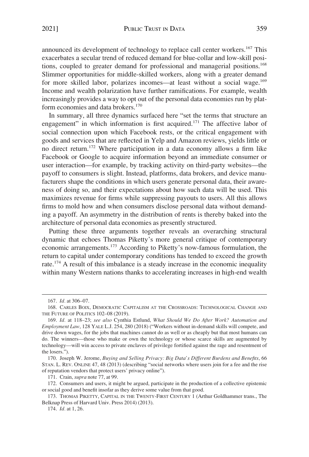announced its development of technology to replace call center workers.<sup>167</sup> This exacerbates a secular trend of reduced demand for blue-collar and low-skill positions, coupled to greater demand for professional and managerial positions.<sup>168</sup> Slimmer opportunities for middle-skilled workers, along with a greater demand for more skilled labor, polarizes incomes—at least without a social wage.<sup>169</sup> Income and wealth polarization have further ramifications. For example, wealth increasingly provides a way to opt out of the personal data economies run by platform economies and data brokers.<sup>170</sup>

In summary, all three dynamics surfaced here "set the terms that structure an engagement" in which information is first acquired.<sup>171</sup> The affective labor of social connection upon which Facebook rests, or the critical engagement with goods and services that are reflected in Yelp and Amazon reviews, yields little or no direct return.<sup>172</sup> Where participation in a data economy allows a firm like Facebook or Google to acquire information beyond an immediate consumer or user interaction—for example, by tracking activity on third-party websites—the payoff to consumers is slight. Instead, platforms, data brokers, and device manufacturers shape the conditions in which users generate personal data, their awareness of doing so, and their expectations about how such data will be used. This maximizes revenue for firms while suppressing payouts to users. All this allows firms to mold how and when consumers disclose personal data without demanding a payoff. An asymmetry in the distribution of rents is thereby baked into the architecture of personal data economies as presently structured.

Putting these three arguments together reveals an overarching structural dynamic that echoes Thomas Piketty's more general critique of contemporary economic arrangements.173 According to Piketty's now-famous formulation, the return to capital under contemporary conditions has tended to exceed the growth rate.174 A result of this imbalance is a steady increase in the economic inequality within many Western nations thanks to accelerating increases in high-end wealth

<sup>167.</sup> *Id.* at 306–07.

<sup>168.</sup> CARLES BOIX, DEMOCRATIC CAPITALISM AT THE CROSSROADS: TECHNOLOGICAL CHANGE AND THE FUTURE OF POLITICS 102-08 (2019).

<sup>169.</sup> *Id.* at 118–23; *see also* Cynthia Estlund, *What Should We Do After Work? Automation and Employment Law*, 128 YALE L.J. 254, 280 (2018) ("Workers without in-demand skills will compete, and drive down wages, for the jobs that machines cannot do as well or as cheaply but that most humans can do. The winners—those who make or own the technology or whose scarce skills are augmented by technology—will win access to private enclaves of privilege fortified against the rage and resentment of the losers.").

<sup>170.</sup> Joseph W. Jerome, *Buying and Selling Privacy: Big Data's Different Burdens and Benefits*, 66 STAN. L. REV. ONLINE 47, 48 (2013) (describing "social networks where users join for a fee and the rise of reputation vendors that protect users' privacy online").

<sup>171.</sup> Crain, *supra* note 77, at 99.

<sup>172.</sup> Consumers and users, it might be argued, participate in the production of a collective epistemic or social good and benefit insofar as they derive some value from that good.

<sup>173.</sup> THOMAS PIKETTY, CAPITAL IN THE TWENTY-FIRST CENTURY 1 (Arthur Goldhammer trans., The Belknap Press of Harvard Univ. Press 2014) (2013).

<sup>174.</sup> *Id.* at 1, 26.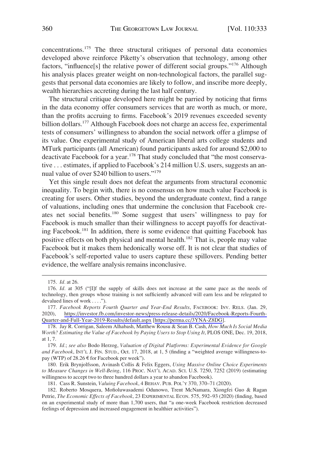concentrations.175 The three structural critiques of personal data economies developed above reinforce Piketty's observation that technology, among other factors, "influence[s] the relative power of different social groups."176 Although his analysis places greater weight on non-technological factors, the parallel suggests that personal data economies are likely to follow, and inscribe more deeply, wealth hierarchies accreting during the last half century.

The structural critique developed here might be parried by noticing that firms in the data economy offer consumers services that are worth as much, or more, than the profits accruing to firms. Facebook's 2019 revenues exceeded seventy billion dollars.<sup>177</sup> Although Facebook does not charge an access fee, experimental tests of consumers' willingness to abandon the social network offer a glimpse of its value. One experimental study of American liberal arts college students and MTurk participants (all American) found participants asked for around \$2,000 to deactivate Facebook for a year.<sup>178</sup> That study concluded that "the most conservative . . . estimates, if applied to Facebook's 214 million U.S. users, suggests an annual value of over \$240 billion to users."<sup>179</sup>

Yet this single result does not defeat the arguments from structural economic inequality. To begin with, there is no consensus on how much value Facebook is creating for users. Other studies, beyond the undergraduate context, find a range of valuations, including ones that undermine the conclusion that Facebook creates net social benefits.180 Some suggest that users' willingness to pay for Facebook is much smaller than their willingness to accept payoffs for deactivating Facebook.181 In addition, there is some evidence that quitting Facebook has positive effects on both physical and mental health.<sup>182</sup> That is, people may value Facebook but it makes them hedonically worse off. It is not clear that studies of Facebook's self-reported value to users capture these spillovers. Pending better evidence, the welfare analysis remains inconclusive.

<sup>175.</sup> *Id.* at 26.

<sup>176.</sup> *Id.* at 305 ("[I]f the supply of skills does not increase at the same pace as the needs of technology, then groups whose training is not sufficiently advanced will earn less and be relegated to devalued lines of work . . . .").

<sup>177.</sup> Facebook Reports Fourth Quarter and Year-End Results, FACEBOOK: INV. RELS. (Jan. 29, 2020), [https://investor.fb.com/investor-news/press-release-details/2020/Facebook-Reports-Fourth-](https://investor.fb.com/investor-news/press-release-details/2020/Facebook-Reports-Fourth-Quarter-and-Full-Year-2019-Results/default.aspx)[Quarter-and-Full-Year-2019-Results/default.aspx](https://investor.fb.com/investor-news/press-release-details/2020/Facebook-Reports-Fourth-Quarter-and-Full-Year-2019-Results/default.aspx) [\[https://perma.cc/3YNA-Z8DG\]](https://perma.cc/3YNA-Z8DG).

<sup>178.</sup> Jay R. Corrigan, Saleem Alhabash, Matthew Rousu & Sean B. Cash, *How Much Is Social Media Worth? Estimating the Value of Facebook by Paying Users to Stop Using It*, PLOS ONE, Dec. 19, 2018, at 1, 7.

<sup>179.</sup> *Id.*; *see also* Bodo Herzog, *Valuation of Digital Platforms: Experimental Evidence for Google and Facebook*, INT'L J. FIN. STUD., Oct. 17, 2018, at 1, 5 (finding a "weighted average willingness-topay (WTP) of  $28.26 \text{ } \in$  for Facebook per week").

<sup>180.</sup> Erik Brynjolfsson, Avinash Collis & Felix Eggers, *Using Massive Online Choice Experiments to Measure Changes in Well-Being*, 116 PROC. NAT'L ACAD. SCI. U.S. 7250, 7252 (2019) (estimating willingness to accept two to three hundred dollars a year to abandon Facebook).

<sup>181.</sup> Cass R. Sunstein, *Valuing Facebook*, 4 BEHAV. PUB. POL'Y 370, 370–71 (2020).

<sup>182.</sup> Roberto Mosquera, Mofioluwasademi Odunowo, Trent McNamara, Xiongfei Guo & Ragan Petrie, *The Economic Effects of Facebook*, 23 EXPERIMENTAL ECON. 575, 592–93 (2020) (finding, based on an experimental study of more than 1,700 users, that "a one-week Facebook restriction decreased feelings of depression and increased engagement in healthier activities").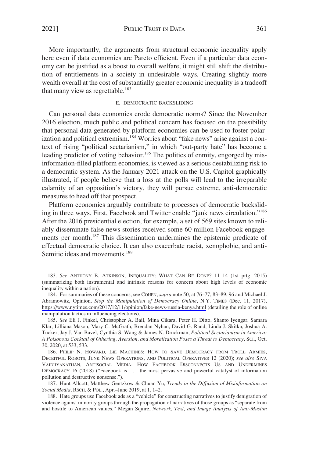<span id="page-28-0"></span>2021] PUBLIC TRUST IN DATA 361

More importantly, the arguments from structural economic inequality apply here even if data economies are Pareto efficient. Even if a particular data economy can be justified as a boost to overall welfare, it might still shift the distribution of entitlements in a society in undesirable ways. Creating slightly more wealth overall at the cost of substantially greater economic inequality is a tradeoff that many view as regrettable.<sup>183</sup>

## E. DEMOCRATIC BACKSLIDING

Can personal data economies erode democratic norms? Since the November 2016 election, much public and political concern has focused on the possibility that personal data generated by platform economies can be used to foster polarization and political extremism.<sup>184</sup> Worries about "fake news" arise against a context of rising "political sectarianism," in which "out-party hate" has become a leading predictor of voting behavior.<sup>185</sup> The politics of enmity, engorged by misinformation-filled platform economies, is viewed as a serious destabilizing risk to a democratic system. As the January 2021 attack on the U.S. Capitol graphically illustrated, if people believe that a loss at the polls will lead to the irreparable calamity of an opposition's victory, they will pursue extreme, anti-democratic measures to head off that prospect.

Platform economies arguably contribute to processes of democratic backsliding in three ways. First, Facebook and Twitter enable "junk news circulation."<sup>186</sup> After the 2016 presidential election, for example, a set of 569 sites known to reliably disseminate false news stories received some 60 million Facebook engagements per month.<sup>187</sup> This dissemination undermines the epistemic predicate of effectual democratic choice. It can also exacerbate racist, xenophobic, and anti-Semitic ideas and movements.<sup>188</sup>

<sup>183.</sup> *See* ANTHONY B. ATKINSON, INEQUALITY: WHAT CAN BE DONE? 11–14 (1st prtg. 2015) (summarizing both instrumental and intrinsic reasons for concern about high levels of economic inequality within a nation).

<sup>184.</sup> For summaries of these concerns, see COHEN, *supra* note 50, at 76–77, 83–89, 96 and Michael J. Abramowitz, Opinion, *Stop the Manipulation of Democracy Online*, N.Y. TIMES (Dec. 11, 2017), <https://www.nytimes.com/2017/12/11/opinion/fake-news-russia-kenya.html>(detailing the role of online manipulation tactics in influencing elections).

<sup>185.</sup> *See* Eli J. Finkel, Christopher A. Bail, Mina Cikara, Peter H. Ditto, Shanto Iyengar, Samara Klar, Lilliana Mason, Mary C. McGrath, Brendan Nyhan, David G. Rand, Linda J. Skitka, Joshua A. Tucker, Jay J. Van Bavel, Cynthia S. Wang & James N. Druckman, *Political Sectarianism in America: A Poisonous Cocktail of Othering, Aversion, and Moralization Poses a Threat to Democracy*, SCI., Oct. 30, 2020, at 533, 533.

<sup>186.</sup> PHILIP N. HOWARD, LIE MACHINES: HOW TO SAVE DEMOCRACY FROM TROLL ARMIES, DECEITFUL ROBOTS, JUNK NEWS OPERATIONS, AND POLITICAL OPERATIVES 12 (2020); *see also* SIVA VAIDHYANATHAN, ANTISOCIAL MEDIA: HOW FACEBOOK DISCONNECTS US AND UNDERMINES DEMOCRACY 16 (2018) ("Facebook is . . . the most pervasive and powerful catalyst of information pollution and destructive nonsense.").

<sup>187.</sup> Hunt Allcott, Matthew Gentzkow & Chuan Yu, *Trends in the Diffusion of Misinformation on Social Media*, RSCH. & POL., Apr.–June 2019, at 1, 1–2.

<sup>188.</sup> Hate groups use Facebook ads as a "vehicle" for constructing narratives to justify denigration of violence against minority groups through the propagation of narratives of those groups as "separate from and hostile to American values." Megan Squire, *Network, Text, and Image Analysis of Anti-Muslim*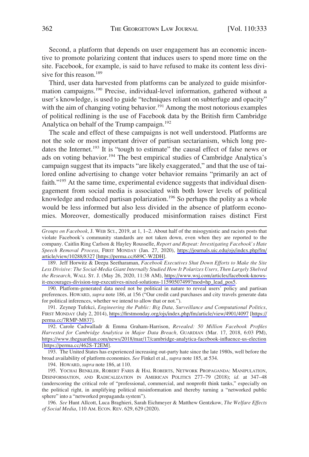Second, a platform that depends on user engagement has an economic incentive to promote polarizing content that induces users to spend more time on the site. Facebook, for example, is said to have refused to make its content less divisive for this reason.<sup>189</sup>

Third, user data harvested from platforms can be analyzed to guide misinformation campaigns.190 Precise, individual-level information, gathered without a user's knowledge, is used to guide "techniques reliant on subterfuge and opacity" with the aim of changing voting behavior.<sup>191</sup> Among the most notorious examples of political redlining is the use of Facebook data by the British firm Cambridge Analytica on behalf of the Trump campaign.<sup>192</sup>

The scale and effect of these campaigns is not well understood. Platforms are not the sole or most important driver of partisan sectarianism, which long predates the Internet.<sup>193</sup> It is "tough to estimate" the causal effect of false news or ads on voting behavior.194 The best empirical studies of Cambridge Analytica's campaign suggest that its impacts "are likely exaggerated," and that the use of tailored online advertising to change voter behavior remains "primarily an act of faith."195 At the same time, experimental evidence suggests that individual disengagement from social media is associated with both lower levels of political knowledge and reduced partisan polarization.<sup>196</sup> So perhaps the polity as a whole would be less informed but also less divided in the absence of platform economies. Moreover, domestically produced misinformation raises distinct First

189. Jeff Horwitz & Deepa Seetharaman, *Facebook Executives Shut Down Efforts to Make the Site Less Divisive: The Social-Media Giant Internally Studied How It Polarizes Users, Then Largely Shelved the Research*, WALL ST. J. (May 26, 2020, 11:38 AM), [https://www.wsj.com/articles/facebook-knows](https://www.wsj.com/articles/facebook-knows-it-encourages-division-top-executives-nixed-solutions-11590507499?mod=hp_lead_pos5)[it-encourages-division-top-executives-nixed-solutions-11590507499?mod=hp\\_lead\\_pos5.](https://www.wsj.com/articles/facebook-knows-it-encourages-division-top-executives-nixed-solutions-11590507499?mod=hp_lead_pos5)

190. Platform-generated data need not be political in nature to reveal users' policy and partisan preferences. HOWARD, *supra* note 186, at 156 ("Our credit card purchases and city travels generate data for political inferences, whether we intend to allow that or not.").

191. Zeynep Tufekci, *Engineering the Public: Big Data, Surveillance and Computational Politics*, FIRST MONDAY (July 2, 2014), <https://firstmonday.org/ojs/index.php/fm/article/view/4901/4097> [\[https://](https://perma.cc/7RMP-M837)  [perma.cc/7RMP-M837\]](https://perma.cc/7RMP-M837).

192. Carole Cadwalladr & Emma Graham-Harrison, *Revealed: 50 Million Facebook Profiles Harvested for Cambridge Analytica in Major Data Breach,* GUARDIAN (Mar. 17, 2018, 6:03 PM), <https://www.theguardian.com/news/2018/mar/17/cambridge-analytica-facebook-influence-us-election> [<https://perma.cc/462S-T2EM>].

193. The United States has experienced increasing out-party hate since the late 1980s, well before the broad availability of platform economies. *See* Finkel et al., *supra* note 185, at 534.

194. HOWARD, *supra* note 186, at 110.

195. YOCHAI BENKLER, ROBERT FARIS & HAL ROBERTS, NETWORK PROPAGANDA: MANIPULATION, DISINFORMATION, AND RADICALIZATION IN AMERICAN POLITICS 277–79 (2018); *id.* at 347–48 (underscoring the critical role of "professional, commercial, and nonprofit think tanks," especially on the political right, in amplifying political misinformation and thereby turning a "networked public sphere" into a "networked propaganda system").

196. *See* Hunt Allcott, Luca Braghieri, Sarah Eichmeyer & Matthew Gentzkow, *The Welfare Effects of Social Media*, 110 AM. ECON. REV. 629, 629 (2020).

*Groups on Facebook*, J. WEB SCI., 2019, at 1, 1–2. About half of the misogynistic and racists posts that violate Facebook's community standards are not taken down, even when they are reported to the company. Caitlin Ring Carlson & Hayley Rousselle, *Report and Repeat: Investigating Facebook's Hate Speech Removal Process*, FIRST MONDAY (Jan. 27, 2020), [https://journals.uic.edu/ojs/index.php/fm/](https://journals.uic.edu/ojs/index.php/fm/article/view/10288/8327)  [article/view/10288/8327](https://journals.uic.edu/ojs/index.php/fm/article/view/10288/8327) [\[https://perma.cc/689C-W2DH\]](https://perma.cc/689C-W2DH).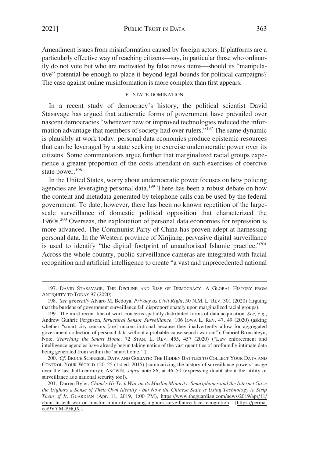<span id="page-30-0"></span>Amendment issues from misinformation caused by foreign actors. If platforms are a particularly effective way of reaching citizens—say, in particular those who ordinarily do not vote but who are motivated by false news items—should its "manipulative" potential be enough to place it beyond legal bounds for political campaigns? The case against online misinformation is more complex than first appears.

## F. STATE DOMINATION

In a recent study of democracy's history, the political scientist David Stasavage has argued that autocratic forms of government have prevailed over nascent democracies "whenever new or improved technologies reduced the information advantage that members of society had over rulers."<sup>197</sup> The same dynamic is plausibly at work today: personal data economies produce epistemic resources that can be leveraged by a state seeking to exercise undemocratic power over its citizens. Some commentators argue further that marginalized racial groups experience a greater proportion of the costs attendant on such exercises of coercive state power.<sup>198</sup>

In the United States, worry about undemocratic power focuses on how policing agencies are leveraging personal data.199 There has been a robust debate on how the content and metadata generated by telephone calls can be used by the federal government. To date, however, there has been no known repetition of the largescale surveillance of domestic political opposition that characterized the 1960s.200 Overseas, the exploitation of personal data economies for repression is more advanced. The Communist Party of China has proven adept at harnessing personal data. In the Western province of Xinjiang, pervasive digital surveillance is used to identify "the digital footprint of unauthorised Islamic practice."<sup>201</sup> Across the whole country, public surveillance cameras are integrated with facial recognition and artificial intelligence to create "a vast and unprecedented national

<sup>197.</sup> DAVID STASAVAGE, THE DECLINE AND RISE OF DEMOCRACY: A GLOBAL HISTORY FROM ANTIQUITY TO TODAY 97 (2020).

<sup>198.</sup> *See generally* Alvaro M. Bedoya, *Privacy as Civil Right*, 50 N.M. L. REV. 301 (2020) (arguing that the burdens of government surveillance fall disproportionately upon marginalized racial groups).

<sup>199.</sup> The most recent line of work concerns spatially distributed forms of data acquisition. *See, e.g.*, Andrew Guthrie Ferguson, *Structural Sensor Surveillance*, 106 IOWA L. REV. 47, 49 (2020) (asking whether "smart city sensors [are] unconstitutional because they inadvertently allow for aggregated government collection of personal data without a probable-cause search warrant"); Gabriel Bronshteyn, Note, *Searching the Smart Home*, 72 STAN. L. REV. 455, 457 (2020) ("Law enforcement and intelligence agencies have already begun taking notice of the vast quantities of profoundly intimate data being generated from within the 'smart home.'").

<sup>200.</sup> *Cf.* BRUCE SCHNEIER, DATA AND GOLIATH: THE HIDDEN BATTLES TO COLLECT YOUR DATA AND CONTROL YOUR WORLD 120–25 (1st ed. 2015) (summarizing the history of surveillance powers' usage over the last half-cenrtury); ANGWIN, *supra* note 86, at 46–50 (expressing doubt about the utility of surveillance as a national security tool).

<sup>201.</sup> Darren Byler, *China's Hi-Tech War on its Muslim Minority: Smartphones and the Internet Gave the Uighurs a Sense of Their Own Identity - but Now the Chinese State is Using Technology to Strip Them of It,* GUARDIAN (Apr. 11, 2019, 1:00 PM), [https://www.theguardian.com/news/2019/apr/11/](https://www.theguardian.com/news/2019/apr/11/china-hi-tech-war-on-muslim-minority-xinjiang-uighurs-surveillance-face-recognition)  [china-hi-tech-war-on-muslim-minority-xinjiang-uighurs-surveillance-face-recognition](https://www.theguardian.com/news/2019/apr/11/china-hi-tech-war-on-muslim-minority-xinjiang-uighurs-surveillance-face-recognition) [[https://perma.](https://perma.cc/9VYM-PHQX)  [cc/9VYM-PHQX\]](https://perma.cc/9VYM-PHQX).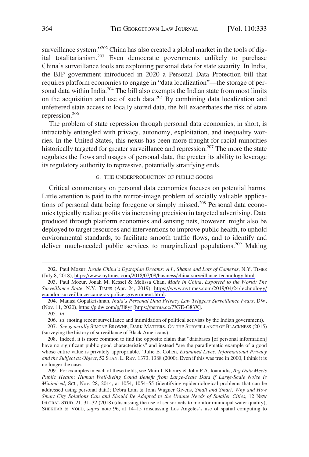<span id="page-31-0"></span>surveillance system."<sup>202</sup> China has also created a global market in the tools of digital totalitarianism.<sup>203</sup> Even democratic governments unlikely to purchase China's surveillance tools are exploiting personal data for state security. In India, the BJP government introduced in 2020 a Personal Data Protection bill that requires platform economies to engage in "data localization"—the storage of personal data within India.<sup>204</sup> The bill also exempts the Indian state from most limits on the acquisition and use of such data.<sup>205</sup> By combining data localization and unfettered state access to locally stored data, the bill exacerbates the risk of state repression.206

The problem of state repression through personal data economies, in short, is intractably entangled with privacy, autonomy, exploitation, and inequality worries. In the United States, this nexus has been more fraught for racial minorities historically targeted for greater surveillance and repression.<sup>207</sup> The more the state regulates the flows and usages of personal data, the greater its ability to leverage its regulatory authority to repressive, potentially stratifying ends.

## G. THE UNDERPRODUCTION OF PUBLIC GOODS

Critical commentary on personal data economies focuses on potential harms. Little attention is paid to the mirror-image problem of socially valuable applications of personal data being foregone or simply missed.208 Personal data economies typically realize profits via increasing precision in targeted advertising. Data produced through platform economies and sensing nets, however, might also be deployed to target resources and interventions to improve public health, to uphold environmental standards, to facilitate smooth traffic flows, and to identify and deliver much-needed public services to marginalized populations.<sup>209</sup> Making

Paul Mozur, *Inside China's Dystopian Dreams: A.I., Shame and Lots of Cameras*, N.Y. TIMES 202. (July 8, 2018), [https://www.nytimes.com/2018/07/08/business/china-surveillance-technology.html.](https://www.nytimes.com/2018/07/08/business/china-surveillance-technology.html)

<sup>203.</sup> Paul Mozur, Jonah M. Kessel & Melissa Chan, *Made in China, Exported to the World: The Surveillance State*, N.Y. TIMES (Apr. 24, 2019), [https://www.nytimes.com/2019/04/24/technology/](https://www.nytimes.com/2019/04/24/technology/ecuador-surveillance-cameras-police-government.html) [ecuador-surveillance-cameras-police-government.html](https://www.nytimes.com/2019/04/24/technology/ecuador-surveillance-cameras-police-government.html).

<sup>204.</sup> Manasi Gopalkrishnan, *India's Personal Data Privacy Law Triggers Surveillance Fears*, DW, (Nov. 11, 2020),<https://p.dw.com/p/3l8yr> [<https://perma.cc/7X7E-G83X>].

<sup>205.</sup> *Id.* 

<sup>206.</sup> *Id.* (noting recent surveillance and intimidation of political activists by the Indian government).

<sup>207.</sup> *See generally* SIMONE BROWNE, DARK MATTERS: ON THE SURVEILLANCE OF BLACKNESS (2015) (surveying the history of surveillance of Black Americans).

<sup>208.</sup> Indeed, it is more common to find the opposite claim that "databases [of personal information] have no significant public good characteristics" and instead "are the paradigmatic example of a good whose entire value is privately appropriable." Julie E. Cohen, *Examined Lives: Informational Privacy and the Subject as Object*, 52 STAN. L. REV. 1373, 1388 (2000). Even if this was true in 2000, I think it is no longer the case.

<sup>209.</sup> For examples in each of these fields, see Muin J. Khoury & John P.A. Ioannidis, *Big Data Meets Public Health: Human Well-Being Could Benefit from Large-Scale Data if Large-Scale Noise Is Minimized*, SCI., Nov. 28, 2014, at 1054, 1054–55 (identifying epidemiological problems that can be addressed using personal data); Debra Lam & John Wagner Givens, *Small and Smart: Why and How Smart City Solutions Can and Should Be Adapted to the Unique Needs of Smaller Cities*, 12 NEW GLOBAL STUD. 21, 31–32 (2018) (discussing the use of sensor nets to monitor municipal water quality); SHEKHAR & VOLD, *supra* note 96, at 14–15 (discussing Los Angeles's use of spatial computing to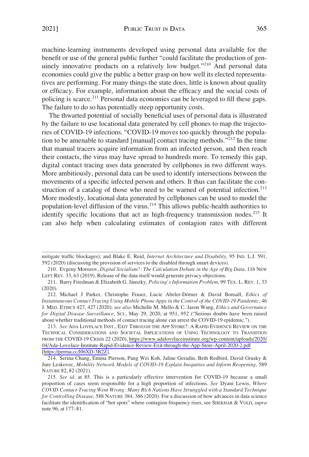2021] PUBLIC TRUST IN DATA 365

machine-learning instruments developed using personal data available for the benefit or use of the general public further "could facilitate the production of genuinely innovative products on a relatively low budget."<sup>210</sup> And personal data economies could give the public a better grasp on how well its elected representatives are performing. For many things the state does, little is known about quality or efficacy. For example, information about the efficacy and the social costs of policing is scarce.<sup>211</sup> Personal data economies can be leveraged to fill these gaps. The failure to do so has potentially steep opportunity costs.

The thwarted potential of socially beneficial uses of personal data is illustrated by the failure to use locational data generated by cell phones to map the trajectories of COVID-19 infections. "COVID-19 moves too quickly through the population to be amenable to standard [manual] contact tracing methods."212 In the time that manual tracers acquire information from an infected person, and then reach their contacts, the virus may have spread to hundreds more. To remedy this gap, digital contact tracing uses data generated by cellphones in two different ways. More ambitiously, personal data can be used to identify intersections between the movements of a specific infected person and others. It thus can facilitate the construction of a catalog of those who need to be warned of potential infection.<sup>213</sup> More modestly, locational data generated by cellphones can be used to model the population-level diffusion of the virus.<sup>214</sup> This allows public-health authorities to identify specific locations that act as high-frequency transmission nodes.<sup>215</sup> It can also help when calculating estimates of contagion rates with different

mitigate traffic blockages); and Blake E. Reid, *Internet Architecture and Disability*, 95 IND. L.J. 591, 592 (2020) (discussing the provision of services to the disabled through smart devices).

<sup>210.</sup> Evgeny Morozov, *Digital Socialism?: The Calculation Debate in the Age of Big Data*, 116 NEW LEFT REV. 33, 63 (2019). Release of the data itself would generate privacy objections.

<sup>211.</sup> Barry Friedman & Elizabeth G. Jánszky, *Policing's Information Problem*, 99 TEX. L. REV. 1, 33 (2020).

<sup>212.</sup> Michael J Parker, Christophe Fraser, Lucie Abeler-Dörner & David Bonsall, *Ethics of Instantaneous Contact Tracing Using Mobile Phone Apps in the Control of the COVID-19 Pandemic*, 46 J. MED. ETHICS 427, 427 (2020); *see also* Michelle M. Mello & C. Jason Wang, *Ethics and Governance for Digital Disease Surveillance*, SCI., May 29, 2020, at 951, 952 ("Serious doubts have been raised about whether traditional methods of contact tracing alone can arrest the COVID-19 epidemic.").

<sup>213.</sup> See ADA LOVELACE INST., EXIT THROUGH THE APP STORE?: A RAPID EVIDENCE REVIEW ON THE TECHNICAL CONSIDERATIONS AND SOCIETAL IMPLICATIONS OF USING TECHNOLOGY TO TRANSITION FROM THE COVID-19 CRISIS 22 (2020), [https://www.adalovelaceinstitute.org/wp-content/uploads/2020/](https://www.adalovelaceinstitute.org/wp-content/uploads/2020/04/Ada-Lovelace-Institute-Rapid-Evidence-Review-Exit-through-the-App-Store-April-2020-2.pdf)  [04/Ada-Lovelace-Institute-Rapid-Evidence-Review-Exit-through-the-App-Store-April-2020-2.pdf](https://www.adalovelaceinstitute.org/wp-content/uploads/2020/04/Ada-Lovelace-Institute-Rapid-Evidence-Review-Exit-through-the-App-Store-April-2020-2.pdf)  [<https://perma.cc/H6XD-3B2Z>].

<sup>214.</sup> Serina Chang, Emma Pierson, Pang Wei Koh, Jaline Geradin, Beth Redbird, David Grusky & Jure Leskovec, *Mobility Network Models of COVID-19 Explain Inequities and Inform Reopening*, 589 NATURE 82, 82 (2021).

<sup>215.</sup> *See id.* at 85. This is a particularly effective intervention for COVID-19 because a small proportion of cases seem responsible for a high proportion of infections. *See* Dyani Lewis, *Where COVID Contact-Tracing Went Wrong: Many Rich Nations Have Strunggled with a Standard Technique for Controlling Disease*, 588 NATURE 384, 386 (2020). For a discussion of how advances in data science facilitate the identification of "hot spots" where contagion frequency rises, see SHEKHAR & VOLD, *supra*  note 96, at 177–81.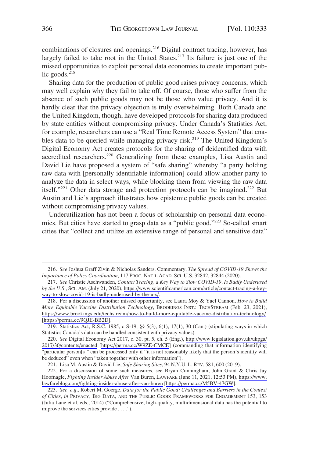combinations of closures and openings.<sup>216</sup> Digital contract tracing, however, has largely failed to take root in the United States.<sup>217</sup> Its failure is just one of the missed opportunities to exploit personal data economies to create important public goods. $218$ 

Sharing data for the production of public good raises privacy concerns, which may well explain why they fail to take off. Of course, those who suffer from the absence of such public goods may not be those who value privacy. And it is hardly clear that the privacy objection is truly overwhelming. Both Canada and the United Kingdom, though, have developed protocols for sharing data produced by state entities without compromising privacy. Under Canada's Statistics Act, for example, researchers can use a "Real Time Remote Access System" that enables data to be queried while managing privacy risk.<sup>219</sup> The United Kingdom's Digital Economy Act creates protocols for the sharing of deidentified data with accredited researchers.<sup>220</sup> Generalizing from these examples, Lisa Austin and David Lie have proposed a system of "safe sharing" whereby "a party holding raw data with [personally identifiable information] could allow another party to analyze the data in select ways, while blocking them from viewing the raw data itself."<sup>221</sup> Other data storage and protection protocols can be imagined.<sup>222</sup> But Austin and Lie's approach illustrates how epistemic public goods can be created without compromising privacy values.

Underutilization has not been a focus of scholarship on personal data economies. But cities have started to grasp data as a "public good."223 So-called smart cities that "collect and utilize an extensive range of personal and sensitive data"

<sup>216.</sup> *See* Joshua Graff Zivin & Nicholas Sanders, Commentary, *The Spread of COVID-19 Shows the Importance of Policy Coordination*, 117 PROC. NAT'L ACAD. SCI. U.S. 32842, 32844 (2020).

*See* Christie Aschwanden, *Contact Tracing, a Key Way to Slow COVID-19, Is Badly Underused*  217. *by the U.S.*, SCI. AM. (July 21, 2020), [https://www.scientificamerican.com/article/contact-tracing-a-key](https://www.scientificamerican.com/article/contact-tracing-a-key-way-to-slow-covid-19-is-badly-underused-by-the-u-s/)[way-to-slow-covid-19-is-badly-underused-by-the-u-s/.](https://www.scientificamerican.com/article/contact-tracing-a-key-way-to-slow-covid-19-is-badly-underused-by-the-u-s/)

<sup>218.</sup> For a discussion of another missed opportunity, see Laura Moy & Yael Cannon, *How to Build More Equitable Vaccine Distribution Technology*, BROOKINGS INST.: TECHSTREAM (Feb. 23, 2021), <https://www.brookings.edu/techstream/how-to-build-more-equitable-vaccine-distribution-technology/> [[https://perma.cc/9QJE-BB2D\]](https://perma.cc/9QJE-BB2D).

<sup>219.</sup> Statistics Act, R.S.C. 1985, c S-19, §§ 5(3), 6(1), 17(1), 30 (Can.) (stipulating ways in which Statistics Canada's data can be handled consistent with privacy values).

*See* Digital Economy Act 2017, c. 30, pt. 5, ch. 5 (Eng.), [http://www.legislation.gov.uk/ukpga/](http://www.legislation.gov.uk/ukpga/2017/30/contents/enacted)  220. [2017/30/contents/enacted](http://www.legislation.gov.uk/ukpga/2017/30/contents/enacted) [\[https://perma.cc/W9ZE-CMCE](https://perma.cc/W9ZE-CMCE)] (commanding that information identifying "particular person[s]" can be processed only if "it is not reasonably likely that the person's identity will be deduced" even when "taken together with other information").

<sup>221.</sup> Lisa M. Austin & David Lie, *Safe Sharing Sites*, 94 N.Y.U. L. REV. 581, 600 (2019).

<sup>222.</sup> For a discussion of some such measures, see Bryan Cunningham, John Grant & Chris Jay Hoofnagle, *Fighting Insider Abuse After* Van Buren, LAWFARE (June 11, 2021, 12:53 PM), [https://www.](https://www.lawfareblog.com/fighting-insider-abuse-after-van-buren)  [lawfareblog.com/fighting-insider-abuse-after-van-buren](https://www.lawfareblog.com/fighting-insider-abuse-after-van-buren) [\[https://perma.cc/M5BV-47GW](https://perma.cc/M5BV-47GW)].

<sup>223.</sup> *See, e.g.*, Robert M. Goerge, *Data for the Public Good: Challenges and Barriers in the Context of Cities*, *in* PRIVACY, BIG DATA, AND THE PUBLIC GOOD: FRAMEWORKS FOR ENGAGEMENT 153, 153 (Julia Lane et al. eds., 2014) ("Comprehensive, high-quality, multidimensional data has the potential to improve the services cities provide . . . .").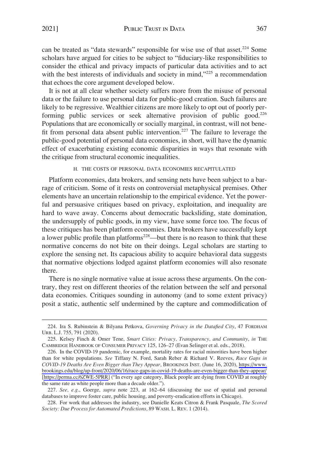<span id="page-34-0"></span>can be treated as "data stewards" responsible for wise use of that asset.<sup>224</sup> Some scholars have argued for cities to be subject to "fiduciary-like responsibilities to consider the ethical and privacy impacts of particular data activities and to act with the best interests of individuals and society in mind,"225 a recommendation that echoes the core argument developed below.

It is not at all clear whether society suffers more from the misuse of personal data or the failure to use personal data for public-good creation. Such failures are likely to be regressive. Wealthier citizens are more likely to opt out of poorly performing public services or seek alternative provision of public good.<sup>226</sup> Populations that are economically or socially marginal, in contrast, will not benefit from personal data absent public intervention.<sup>227</sup> The failure to leverage the public-good potential of personal data economies, in short, will have the dynamic effect of exacerbating existing economic disparities in ways that resonate with the critique from structural economic inequalities.

H. THE COSTS OF PERSONAL DATA ECONOMIES RECAPITULATED

Platform economies, data brokers, and sensing nets have been subject to a barrage of criticism. Some of it rests on controversial metaphysical premises. Other elements have an uncertain relationship to the empirical evidence. Yet the powerful and persuasive critiques based on privacy, exploitation, and inequality are hard to wave away. Concerns about democratic backsliding, state domination, the undersupply of public goods, in my view, have some force too. The focus of these critiques has been platform economies. Data brokers have successfully kept a lower public profile than platforms<sup>228</sup>—but there is no reason to think that these normative concerns do not bite on their doings. Legal scholars are starting to explore the sensing net. Its capacious ability to acquire behavioral data suggests that normative objections lodged against platform economies will also resonate there.

There is no single normative value at issue across these arguments. On the contrary, they rest on different theories of the relation between the self and personal data economies. Critiques sounding in autonomy (and to some extent privacy) posit a static, authentic self undermined by the capture and commodification of

<sup>224.</sup> Ira S. Rubinstein & Bilyana Petkova, *Governing Privacy in the Datafied City*, 47 FORDHAM URB. L.J. 755, 791 (2020).

<sup>225.</sup> Kelsey Finch & Omer Tene, *Smart Cities: Privacy, Transparency, and Community*, *in* THE CAMBRIDGE HANDBOOK OF CONSUMER PRIVACY 125, 126–27 (Evan Selinger et al. eds., 2018).

<sup>226.</sup> In the COVID-19 pandemic, for example, mortality rates for racial minorities have been higher than for white populations. *See* Tiffany N. Ford, Sarah Reber & Richard V. Reeves, *Race Gaps in COVID-19 Deaths Are Even Bigger than They Appear*, BROOKINGS INST. (June 16, 2020), [https://www.](https://www.brookings.edu/blog/up-front/2020/06/16/race-gaps-in-covid-19-deaths-are-even-bigger-than-they-appear/)  [brookings.edu/blog/up-front/2020/06/16/race-gaps-in-covid-19-deaths-are-even-bigger-than-they-appear/](https://www.brookings.edu/blog/up-front/2020/06/16/race-gaps-in-covid-19-deaths-are-even-bigger-than-they-appear/) [<https://perma.cc/6ZWE-5PRR>] ("In every age category, Black people are dying from COVID at roughly the same rate as white people more than a decade older.").

<sup>227.</sup> *See, e.g.*, Goerge, *supra* note 223, at 162–64 (discussing the use of spatial and personal databases to improve foster care, public housing, and poverty-eradication efforts in Chicago).

<sup>228.</sup> For work that addresses the industry, see Danielle Keats Citron & Frank Pasquale, *The Scored Society: Due Process for Automated Predictions*, 89 WASH. L. REV. 1 (2014).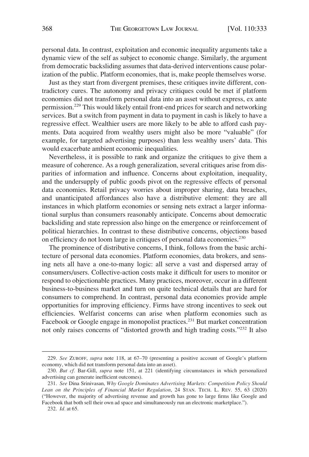personal data. In contrast, exploitation and economic inequality arguments take a dynamic view of the self as subject to economic change. Similarly, the argument from democratic backsliding assumes that data-derived interventions cause polarization of the public. Platform economies, that is, make people themselves worse.

Just as they start from divergent premises, these critiques invite different, contradictory cures. The autonomy and privacy critiques could be met if platform economies did not transform personal data into an asset without express, ex ante permission.229 This would likely entail front-end prices for search and networking services. But a switch from payment in data to payment in cash is likely to have a regressive effect. Wealthier users are more likely to be able to afford cash payments. Data acquired from wealthy users might also be more "valuable" (for example, for targeted advertising purposes) than less wealthy users' data. This would exacerbate ambient economic inequalities.

Nevertheless, it is possible to rank and organize the critiques to give them a measure of coherence. As a rough generalization, several critiques arise from disparities of information and influence. Concerns about exploitation, inequality, and the undersupply of public goods pivot on the regressive effects of personal data economies. Retail privacy worries about improper sharing, data breaches, and unanticipated affordances also have a distributive element: they are all instances in which platform economies or sensing nets extract a larger informational surplus than consumers reasonably anticipate. Concerns about democratic backsliding and state repression also hinge on the emergence or reinforcement of political hierarchies. In contrast to these distributive concerns, objections based on efficiency do not loom large in critiques of personal data economies.230

The prominence of distributive concerns, I think, follows from the basic architecture of personal data economies. Platform economies, data brokers, and sensing nets all have a one-to-many logic: all serve a vast and dispersed array of consumers/users. Collective-action costs make it difficult for users to monitor or respond to objectionable practices. Many practices, moreover, occur in a different business-to-business market and turn on quite technical details that are hard for consumers to comprehend. In contrast, personal data economies provide ample opportunities for improving efficiency. Firms have strong incentives to seek out efficiencies. Welfarist concerns can arise when platform economies such as Facebook or Google engage in monopolist practices.<sup>231</sup> But market concentration not only raises concerns of "distorted growth and high trading costs."232 It also

232. *Id.* at 65.

<sup>229.</sup> *See* ZUBOFF, *supra* note 118, at 67–70 (presenting a positive account of Google's platform economy, which did not transform personal data into an asset).

<sup>230.</sup> *But cf.* Bar-Gill, *supra* note 151, at 221 (identifying circumstances in which personalized advertising can generate inefficient outcomes).

<sup>231.</sup> *See* Dina Srinivasan, *Why Google Dominates Advertising Markets: Competition Policy Should Lean on the Principles of Financial Market Regulation*, 24 STAN. TECH. L. REV. 55, 63 (2020) ("However, the majority of advertising revenue and growth has gone to large firms like Google and Facebook that both sell their own ad space and simultaneously run an electronic marketplace.").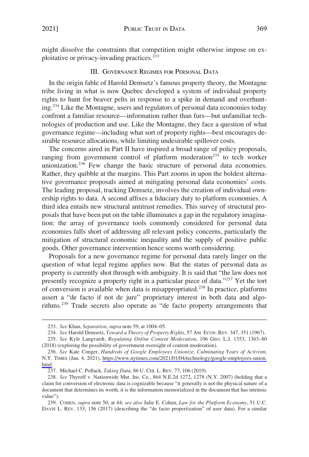<span id="page-36-0"></span>might dissolve the constraints that competition might otherwise impose on exploitative or privacy-invading practices.<sup>233</sup>

## III. GOVERNANCE REGIMES FOR PERSONAL DATA

In the origin fable of Harold Demsetz's famous property theory, the Montagne tribe living in what is now Quebec developed a system of individual property rights to hunt for beaver pelts in response to a spike in demand and overhunting.234 Like the Montagne, users and regulators of personal data economies today confront a familiar resource—information rather than furs—but unfamiliar technologies of production and use. Like the Montagne, they face a question of what governance regime—including what sort of property rights—best encourages desirable resource allocations, while limiting undesirable spillover costs.

The concerns aired in Part II have inspired a broad range of policy proposals, ranging from government control of platform moderation<sup>235</sup> to tech worker unionization.<sup>236</sup> Few change the basic structure of personal data economies. Rather, they quibble at the margins. This Part zooms in upon the boldest alternative governance proposals aimed at mitigating personal data economies' costs. The leading proposal, tracking Demsetz, involves the creation of individual ownership rights to data. A second affixes a fiduciary duty to platform economies. A third idea entails new structural antitrust remedies. This survey of structural proposals that have been put on the table illuminates a gap in the regulatory imagination: the array of governance tools commonly considered for personal data economies falls short of addressing all relevant policy concerns, particularly the mitigation of structural economic inequality and the supply of positive public goods. Other governance intervention hence seems worth considering.

Proposals for a new governance regime for personal data rarely linger on the question of what legal regime applies now. But the status of personal data as property is currently shot through with ambiguity. It is said that "the law does not presently recognize a property right in a particular piece of data."237 Yet the tort of conversion is available when data is misappropriated.238 In practice, platforms assert a "de facto if not de jure" proprietary interest in both data and algorithms.239 Trade secrets also operate as "de facto property arrangements that

<sup>233.</sup> *See* Khan, *Separation*, *supra* note 59, at 1004–05.

<sup>234.</sup> *See* Harold Demsetz, *Toward a Theory of Property Rights*, 57 AM. ECON. REV. 347, 351 (1967).

<sup>235.</sup> *See* Kyle Langvardt, *Regulating Online Content Moderation*, 106 GEO. L.J. 1353, 1363–80 (2018) (exploring the possibility of government oversight of content moderation).

*See* Kate Conger, *Hundreds of Google Employees Unionize, Culminating Years of Activism*, 236. N.Y. TIMES (Jan. 4, 2021), [https://www.nytimes.com/2021/01/04/technology/google-employees-union.](https://www.nytimes.com/2021/01/04/technology/google-employees-union.html)  [html.](https://www.nytimes.com/2021/01/04/technology/google-employees-union.html)

<sup>237.</sup> Michael C. Pollack, *Taking Data*, 86 U. CHI. L. REV. 77, 106 (2019).

<sup>238.</sup> *See* Thyroff v. Nationwide Mut. Ins. Co., 864 N.E.2d 1272, 1278 (N.Y. 2007) (holding that a claim for conversion of electronic data is cognizable because "it generally is not the physical nature of a document that determines its worth, it is the information memorialized in the document that has intrinsic value").

<sup>239.</sup> COHEN, *supra* note 50, at 44; *see also* Julie E. Cohen, *Law for the Platform Economy*, 51 U.C. DAVIS L. REV. 133, 156 (2017) (describing the "de facto propertization" of user data). For a similar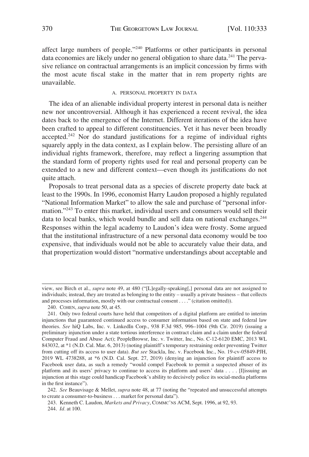<span id="page-37-0"></span>affect large numbers of people."240 Platforms or other participants in personal data economies are likely under no general obligation to share data.<sup>241</sup> The pervasive reliance on contractual arrangements is an implicit concession by firms with the most acute fiscal stake in the matter that in rem property rights are unavailable.

#### A. PERSONAL PROPERTY IN DATA

The idea of an alienable individual property interest in personal data is neither new nor uncontroversial. Although it has experienced a recent revival, the idea dates back to the emergence of the Internet. Different iterations of the idea have been crafted to appeal to different constituencies. Yet it has never been broadly accepted.242 Nor do standard justifications for a regime of individual rights squarely apply in the data context, as I explain below. The persisting allure of an individual rights framework, therefore, may reflect a lingering assumption that the standard form of property rights used for real and personal property can be extended to a new and different context—even though its justifications do not quite attach.

Proposals to treat personal data as a species of discrete property date back at least to the 1990s. In 1996, economist Harry Laudon proposed a highly regulated "National Information Market" to allow the sale and purchase of "personal information."<sup>243</sup> To enter this market, individual users and consumers would sell their data to local banks, which would bundle and sell data on national exchanges.<sup>244</sup> Responses within the legal academy to Laudon's idea were frosty. Some argued that the institutional infrastructure of a new personal data economy would be too expensive, that individuals would not be able to accurately value their data, and that propertization would distort "normative understandings about acceptable and

242. *See* Beauvisage & Mellet, *supra* note 48, at 77 (noting the "repeated and unsuccessful attempts to create a consumer-to-business . . . market for personal data").

243. Kenneth C. Laudon, *Markets and Privacy*, COMMC'NS ACM, Sept. 1996, at 92, 93. 244. *Id.* at 100.

view, see Birch et al., *supra* note 49, at 480 ("[L]egally-speaking[,] personal data are not assigned to individuals; instead, they are treated as belonging to the entity – usually a private business – that collects and processes information, mostly with our contractual consent . . . ." (citation omitted)).

<sup>240.</sup> COHEN, *supra* note 50, at 45.

<sup>241.</sup> Only two federal courts have held that competitors of a digital platform are entitled to interim injunctions that guaranteed continued access to consumer information based on state and federal law theories. *See* hiQ Labs, Inc. v. LinkedIn Corp., 938 F.3d 985, 996–1004 (9th Cir. 2019) (issuing a preliminary injunction under a state tortious interference in contract claim and a claim under the federal Computer Fraud and Abuse Act); PeopleBrowsr, Inc. v. Twitter, Inc., No. C-12-6120 EMC, 2013 WL 843032, at \*1 (N.D. Cal. Mar. 6, 2013) (noting plaintiff's temporary restraining order preventing Twitter from cutting off its access to user data). *But see* Stackla, Inc. v. Facebook Inc., No. 19-cv-05849-PJH, 2019 WL 4738288, at \*6 (N.D. Cal. Sept. 27, 2019) (denying an injunction for plaintiff access to Facebook user data, as such a remedy "would compel Facebook to permit a suspected abuser of its platform and its users' privacy to continue to access its platform and users' data . . . . [I]issuing an injunction at this stage could handicap Facebook's ability to decisively police its social-media platforms in the first instance").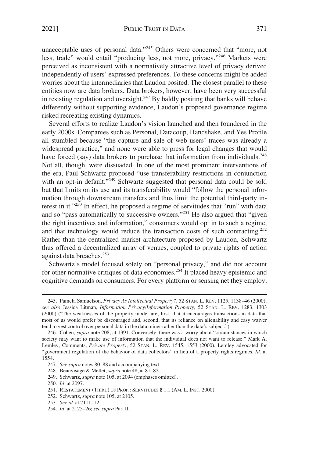unacceptable uses of personal data."245 Others were concerned that "more, not less, trade" would entail "producing less, not more, privacy."246 Markets were perceived as inconsistent with a normatively attractive level of privacy derived independently of users' expressed preferences. To these concerns might be added worries about the intermediaries that Laudon posited. The closest parallel to these entities now are data brokers. Data brokers, however, have been very successful in resisting regulation and oversight.<sup>247</sup> By baldly positing that banks will behave differently without supporting evidence, Laudon's proposed governance regime risked recreating existing dynamics.

Several efforts to realize Laudon's vision launched and then foundered in the early 2000s. Companies such as Personal, Datacoup, Handshake, and Yes Profile all stumbled because "the capture and sale of web users' traces was already a widespread practice," and none were able to press for legal changes that would have forced (say) data brokers to purchase that information from individuals.<sup>248</sup> Not all, though, were dissuaded. In one of the most prominent interventions of the era, Paul Schwartz proposed "use-transferability restrictions in conjunction with an opt-in default."<sup>249</sup> Schwartz suggested that personal data could be sold but that limits on its use and its transferability would "follow the personal information through downstream transfers and thus limit the potential third-party interest in it."250 In effect, he proposed a regime of servitudes that "run" with data and so "pass automatically to successive owners."251 He also argued that "given the right incentives and information," consumers would opt in to such a regime, and that technology would reduce the transaction costs of such contracting.<sup>252</sup> Rather than the centralized market architecture proposed by Laudon, Schwartz thus offered a decentralized array of venues, coupled to private rights of action against data breaches.<sup>253</sup>

Schwartz's model focused solely on "personal privacy," and did not account for other normative critiques of data economies.254 It placed heavy epistemic and cognitive demands on consumers. For every platform or sensing net they employ,

<sup>245.</sup> Pamela Samuelson, *Privacy As Intellectual Property?*, 52 STAN. L. REV. 1125, 1138–46 (2000); *see also* Jessica Litman, *Information Privacy/Information Property*, 52 STAN. L. REV. 1283, 1303 (2000) ("The weaknesses of the property model are, first, that it encourages transactions in data that most of us would prefer be discouraged and, second, that its reliance on alienability and easy waiver tend to vest control over personal data in the data miner rather than the data's subject.").

<sup>246.</sup> Cohen, *supra* note 208, at 1391. Conversely, there was a worry about "circumstances in which society may want to make use of information that the individual does not want to release." Mark A. Lemley, Comments, *Private Property*, 52 STAN. L. REV. 1545, 1553 (2000). Lemley advocated for "government regulation of the behavior of data collectors" in lieu of a property rights regimes. *Id.* at 1554.

<sup>247.</sup> *See supra* notes 80–88 and accompanying text.

<sup>248.</sup> Beauvisage & Mellet, *supra* note 48, at 81–82.

<sup>249.</sup> Schwartz, *supra* note 105, at 2094 (emphases omitted).

<sup>250.</sup> *Id.* at 2097.

<sup>251.</sup> RESTATEMENT (THIRD) OF PROP.: SERVITUDES § 1.1 (AM. L. INST. 2000).

<sup>252.</sup> Schwartz, *supra* note 105, at 2105.

<sup>253.</sup> *See id.* at 2111–12.

<sup>254.</sup> *Id.* at 2125–26; *see supra* Part II.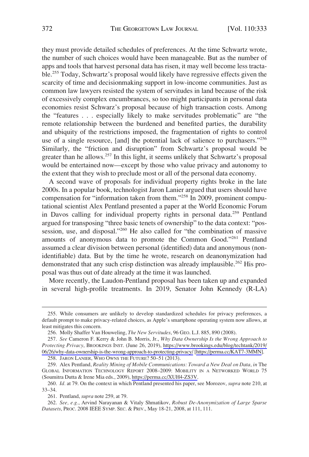they must provide detailed schedules of preferences. At the time Schwartz wrote, the number of such choices would have been manageable. But as the number of apps and tools that harvest personal data has risen, it may well become less tractable.255 Today, Schwartz's proposal would likely have regressive effects given the scarcity of time and decisionmaking support in low-income communities. Just as common law lawyers resisted the system of servitudes in land because of the risk of excessively complex encumbrances, so too might participants in personal data economies resist Schwarz's proposal because of high transaction costs. Among the "features . . . especially likely to make servitudes problematic" are "the remote relationship between the burdened and benefited parties, the durability and ubiquity of the restrictions imposed, the fragmentation of rights to control use of a single resource, [and] the potential lack of salience to purchasers."<sup>256</sup> Similarly, the "friction and disruption" from Schwartz's proposal would be greater than he allows.<sup>257</sup> In this light, it seems unlikely that Schwartz's proposal would be entertained now—except by those who value privacy and autonomy to the extent that they wish to preclude most or all of the personal data economy.

A second wave of proposals for individual property rights broke in the late 2000s. In a popular book, technologist Jaron Lanier argued that users should have compensation for "information taken from them."258 In 2009, prominent computational scientist Alex Pentland presented a paper at the World Economic Forum in Davos calling for individual property rights in personal data.<sup>259</sup> Pentland argued for transposing "three basic tenets of ownership" to the data context: "possession, use, and disposal."<sup>260</sup> He also called for "the combination of massive amounts of anonymous data to promote the Common Good."261 Pentland assumed a clear division between personal (identified) data and anonymous (nonidentifiable) data. But by the time he wrote, research on deanonymization had demonstrated that any such crisp distinction was already implausible.<sup>262</sup> His proposal was thus out of date already at the time it was launched.

More recently, the Laudon-Pentland proposal has been taken up and expanded in several high-profile treatments. In 2019, Senator John Kennedy (R-LA)

258. JARON LANIER, WHO OWNS THE FUTURE? 50–51 (2013).

<sup>255.</sup> While consumers are unlikely to develop standardized schedules for privacy preferences, a default prompt to make privacy-related choices, as Apple's smartphone operating system now allows, at least mitigates this concern.

<sup>256.</sup> Molly Shaffer Van Houweling, *The New Servitudes*, 96 GEO. L.J. 885, 890 (2008).

*See* Cameron F. Kerry & John B. Morris, Jr., *Why Data Ownership Is the Wrong Approach to*  257. *Protecting Privacy*, BROOKINGS INST. (June 26, 2019), [https://www.brookings.edu/blog/techtank/2019/](https://www.brookings.edu/blog/techtank/2019/06/26/why-data-ownership-is-the-wrong-approach-to-protecting-privacy/)  [06/26/why-data-ownership-is-the-wrong-approach-to-protecting-privacy/](https://www.brookings.edu/blog/techtank/2019/06/26/why-data-ownership-is-the-wrong-approach-to-protecting-privacy/) [<https://perma.cc/KAT7-3MMN>].

<sup>259.</sup> Alex Pentland, *Reality Mining of Mobile Communications: Toward a New Deal on Data, in The* GLOBAL INFORMATION TECHNOLOGY REPORT 2008–2009: MOBILITY IN A NETWORKED WORLD 75 (Soumitra Dutta & Irene Mia eds., 2009),<https://perma.cc/XUH4-ZS3V>.

<sup>260.</sup> *Id.* at 79. On the context in which Pentland presented his paper, see Morozov, *supra* note 210, at 33–34.

<sup>261.</sup> Pentland, *supra* note 259, at 79.

<sup>262.</sup> *See, e.g.*, Arvind Narayanan & Vitaly Shmatikov, *Robust De-Anonymization of Large Sparse Datasets*, PROC. 2008 IEEE SYMP. SEC. & PRIV., May 18-21, 2008, at 111, 111.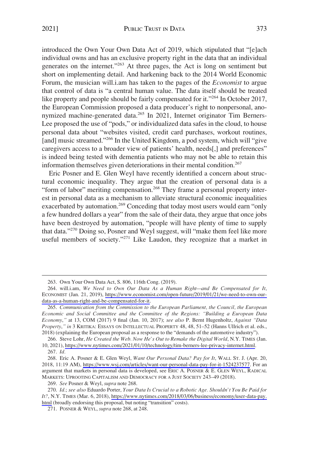introduced the Own Your Own Data Act of 2019, which stipulated that "[e]ach individual owns and has an exclusive property right in the data that an individual generates on the internet."263 At three pages, the Act is long on sentiment but short on implementing detail. And harkening back to the 2014 World Economic Forum, the musician will.i.am has taken to the pages of the *Economist* to argue that control of data is "a central human value. The data itself should be treated like property and people should be fairly compensated for it."<sup>264</sup> In October 2017, the European Commission proposed a data producer's right to nonpersonal, anonymized machine-generated data.<sup>265</sup> In 2021, Internet originator Tim Berners-Lee proposed the use of "pods," or individualized data safes in the cloud, to house personal data about "websites visited, credit card purchases, workout routines, [and] music streamed."<sup>266</sup> In the United Kingdom, a pod system, which will "give caregivers access to a broader view of patients' health, needs[,] and preferences" is indeed being tested with dementia patients who may not be able to retain this information themselves given deteriorations in their mental condition.<sup>267</sup>

Eric Posner and E. Glen Weyl have recently identified a concern about structural economic inequality. They argue that the creation of personal data is a "form of labor" meriting compensation.<sup>268</sup> They frame a personal property interest in personal data as a mechanism to alleviate structural economic inequalities exacerbated by automation.<sup>269</sup> Conceding that today most users would earn "only a few hundred dollars a year" from the sale of their data, they argue that once jobs have been destroyed by automation, "people will have plenty of time to supply that data."<sup>270</sup> Doing so, Posner and Weyl suggest, will "make them feel like more useful members of society."<sup>271</sup> Like Laudon, they recognize that a market in

266. Steve Lohr, *He Created the Web. Now He's Out to Remake the Digital World*, N.Y. TIMES (Jan. 10, 2021),<https://www.nytimes.com/2021/01/10/technology/tim-berners-lee-privacy-internet.html>.

<sup>263.</sup> Own Your Own Data Act, S. 806, 116th Cong. (2019).

<sup>264.</sup> will.i.am, We Need to Own Our Data As a Human Right—and Be Compensated for It, ECONOMIST (Jan. 21, 2019), [https://www.economist.com/open-future/2019/01/21/we-need-to-own-our](https://www.economist.com/open-future/2019/01/21/we-need-to-own-our-data-as-a-human-right-and-be-compensated-for-it)[data-as-a-human-right-and-be-compensated-for-it.](https://www.economist.com/open-future/2019/01/21/we-need-to-own-our-data-as-a-human-right-and-be-compensated-for-it)

<sup>265.</sup> *Communication from the Commission to the European Parliament, the Council, the European Economic and Social Committee and the Committee of the Regions: "Building a European Data Economy*,*"* at 13, COM (2017) 9 final (Jan. 10, 2017); *see also* P. Bernt Hugenholtz, *Against "Data Property*,*" in* 3 KRITIKA: ESSAYS ON INTELLECTUAL PROPERTY 48, 48, 51–52 (Hanns Ullrich et al. eds., 2018) (explaining the European proposal as a response to the "demands of the automotive industry").

<sup>267.</sup> *Id.* 

<sup>268.</sup> Eric A. Posner & E. Glen Weyl, *Want Our Personal Data? Pay for It*, WALL ST. J. (Apr. 20, 2018, 11:19 AM), <https://www.wsj.com/articles/want-our-personal-data-pay-for-it-1524237577>. For an argument that markets in personal data is developed, see ERIC A. POSNER & E. GLEN WEYL, RADICAL MARKETS: UPROOTING CAPITALISM AND DEMOCRACY FOR A JUST SOCIETY 243–49 (2018).

<sup>269.</sup> *See* Posner & Weyl, *supra* note 268.

*Id.*; *see also* Eduardo Porter, *Your Data Is Crucial to a Robotic Age. Shouldn't You Be Paid for*  270. *It?*, N.Y. TIMES (Mar. 6, 2018), [https://www.nytimes.com/2018/03/06/business/economy/user-data-pay.](https://www.nytimes.com/2018/03/06/business/economy/user-data-pay.html)  [html](https://www.nytimes.com/2018/03/06/business/economy/user-data-pay.html) (broadly endorsing this proposal, but noting "transition" costs).

<sup>271.</sup> POSNER & WEYL, *supra* note 268, at 248.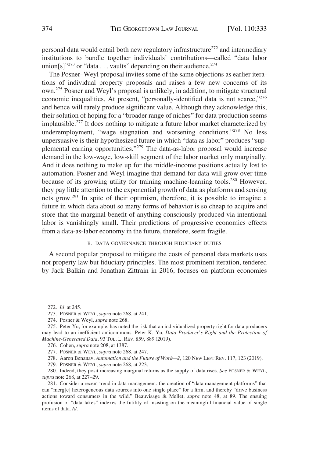<span id="page-41-0"></span>personal data would entail both new regulatory infrastructure<sup>272</sup> and intermediary institutions to bundle together individuals' contributions—called "data labor union $[s]$ <sup>"273</sup> or "data . . . vaults" depending on their audience.<sup>274</sup>

The Posner–Weyl proposal invites some of the same objections as earlier iterations of individual property proposals and raises a few new concerns of its own.275 Posner and Weyl's proposal is unlikely, in addition, to mitigate structural economic inequalities. At present, "personally-identified data is not scarce,"<sup>276</sup> and hence will rarely produce significant value. Although they acknowledge this, their solution of hoping for a "broader range of niches" for data production seems implausible.277 It does nothing to mitigate a future labor market characterized by underemployment, "wage stagnation and worsening conditions."<sup>278</sup> No less unpersuasive is their hypothesized future in which "data as labor" produces "supplemental earning opportunities."279 The data-as-labor proposal would increase demand in the low-wage, low-skill segment of the labor market only marginally. And it does nothing to make up for the middle-income positions actually lost to automation. Posner and Weyl imagine that demand for data will grow over time because of its growing utility for training machine-learning tools.<sup>280</sup> However, they pay little attention to the exponential growth of data as platforms and sensing nets grow.281 In spite of their optimism, therefore, it is possible to imagine a future in which data about so many forms of behavior is so cheap to acquire and store that the marginal benefit of anything consciously produced via intentional labor is vanishingly small. Their predictions of progressive economics effects from a data-as-labor economy in the future, therefore, seem fragile.

## B. DATA GOVERNANCE THROUGH FIDUCIARY DUTIES

A second popular proposal to mitigate the costs of personal data markets uses not property law but fiduciary principles. The most prominent iteration, tendered by Jack Balkin and Jonathan Zittrain in 2016, focuses on platform economies

279. POSNER & WEYL, *supra* note 268, at 223.

<sup>272.</sup> *Id.* at 245.

<sup>273.</sup> POSNER & WEYL, *supra* note 268, at 241.

<sup>274.</sup> Posner & Weyl, *supra* note 268.

<sup>275.</sup> Peter Yu, for example, has noted the risk that an individualized property right for data producers may lead to an inefficient anticommons. Peter K. Yu, *Data Producer's Right and the Protection of Machine-Generated Data*, 93 TUL. L. REV. 859, 889 (2019).

<sup>276.</sup> Cohen, *supra* note 208, at 1387.

<sup>277.</sup> POSNER & WEYL, *supra* note 268, at 247.

<sup>278.</sup> Aaron Benanav, *Automation and the Future of Work—2*, 120 NEW LEFT REV. 117, 123 (2019).

<sup>280.</sup> Indeed, they posit increasing marginal returns as the supply of data rises. *See* POSNER & WEYL, *supra* note 268, at 227–29.

<sup>281.</sup> Consider a recent trend in data management: the creation of "data management platforms" that can "merg[e] heterogeneous data sources into one single place" for a firm, and thereby "drive business actions toward consumers in the wild." Beauvisage & Mellet, *supra* note 48, at 89. The ensuing profusion of "data lakes" indexes the futility of insisting on the meaningful financial value of single items of data. *Id.*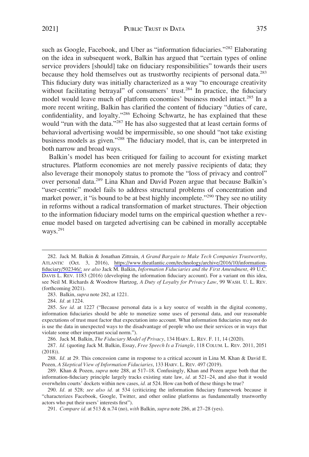such as Google, Facebook, and Uber as "information fiduciaries."<sup>282</sup> Elaborating on the idea in subsequent work, Balkin has argued that "certain types of online service providers [should] take on fiduciary responsibilities" towards their users because they hold themselves out as trustworthy recipients of personal data.283 This fiduciary duty was initially characterized as a way "to encourage creativity without facilitating betrayal" of consumers' trust.<sup>284</sup> In practice, the fiduciary model would leave much of platform economies' business model intact.<sup>285</sup> In a more recent writing, Balkin has clarified the content of fiduciary "duties of care, confidentiality, and loyalty."286 Echoing Schwartz, he has explained that these would "run with the data."<sup>287</sup> He has also suggested that at least certain forms of behavioral advertising would be impermissible, so one should "not take existing business models as given."288 The fiduciary model, that is, can be interpreted in both narrow and broad ways.

Balkin's model has been critiqued for failing to account for existing market structures. Platform economies are not merely passive recipients of data; they also leverage their monopoly status to promote the "loss of privacy and control" over personal data.<sup>289</sup> Lina Khan and David Pozen argue that because Balkin's "user-centric" model fails to address structural problems of concentration and market power, it "is bound to be at best highly incomplete."<sup>290</sup> They see no utility in reforms without a radical transformation of market structures. Their objection to the information fiduciary model turns on the empirical question whether a revenue model based on targeted advertising can be cabined in morally acceptable ways.<sup>291</sup>

286. Jack M. Balkin, *The Fiduciary Model of Privacy*, 134 HARV. L. REV. F. 11, 14 (2020).

287. *Id.* (quoting Jack M. Balkin, Essay, *Free Speech Is a Triangle*, 118 COLUM. L. REV. 2011, 2051 (2018)).

288. *Id.* at 29. This concession came in response to a critical account in Lina M. Khan & David E. Pozen*, A Skeptical View of Information Fiduciaries*, 133 HARV. L. REV. 497 (2019).

289. Khan & Pozen, *supra* note 288, at 517–18. Confusingly, Khan and Pozen argue both that the information-fiduciary principle largely tracks existing state law, *id.* at 521–24, and also that it would overwhelm courts' dockets within new cases, *id.* at 524. How can both of these things be true?

290. *Id.* at 528; *see also id.* at 534 (criticizing the information fiduciary framework because it "characterizes Facebook, Google, Twitter, and other online platforms as fundamentally trustworthy actors who put their users' interests first").

291. *Compare id.* at 513 & n.74 (no), *with* Balkin, *supra* note 286, at 27–28 (yes).

Jack M. Balkin & Jonathan Zittrain, *A Grand Bargain to Make Tech Companies Trustworthy*, 282. ATLANTIC (Oct. 3, 2016), [https://www.theatlantic.com/technology/archive/2016/10/information](https://www.theatlantic.com/technology/archive/2016/10/information-fiduciary/502346/)[fiduciary/502346/;](https://www.theatlantic.com/technology/archive/2016/10/information-fiduciary/502346/) *see also* Jack M. Balkin, *Information Fiduciaries and the First Amendment*, 49 U.C. DAVIS L. REV. 1183 (2016) (developing the information fiduciary account). For a variant on this idea, see Neil M. Richards & Woodrow Hartzog, *A Duty of Loyalty for Privacy Law*, 99 WASH. U. L. REV. (forthcoming 2021).

<sup>283.</sup> Balkin, *supra* note 282, at 1221.

<sup>284.</sup> *Id.* at 1224.

<sup>285.</sup> *See id.* at 1227 ("Because personal data is a key source of wealth in the digital economy, information fiduciaries should be able to monetize some uses of personal data, and our reasonable expectations of trust must factor that expectation into account. What information fiduciaries may not do is use the data in unexpected ways to the disadvantage of people who use their services or in ways that violate some other important social norm.").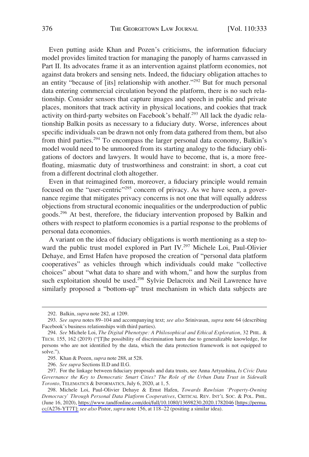Even putting aside Khan and Pozen's criticisms, the information fiduciary model provides limited traction for managing the panoply of harms canvassed in Part II. Its advocates frame it as an intervention against platform economies, not against data brokers and sensing nets. Indeed, the fiduciary obligation attaches to an entity "because of [its] relationship with another."292 But for much personal data entering commercial circulation beyond the platform, there is no such relationship. Consider sensors that capture images and speech in public and private places, monitors that track activity in physical locations, and cookies that track activity on third-party websites on Facebook's behalf.<sup>293</sup> All lack the dyadic relationship Balkin posits as necessary to a fiduciary duty. Worse, inferences about specific individuals can be drawn not only from data gathered from them, but also from third parties.<sup>294</sup> To encompass the larger personal data economy, Balkin's model would need to be unmoored from its starting analogy to the fiduciary obligations of doctors and lawyers. It would have to become, that is, a more freefloating, miasmatic duty of trustworthiness and constraint: in short, a coat cut from a different doctrinal cloth altogether.

Even in that reimagined form, moreover, a fiduciary principle would remain focused on the "user-centric"<sup>295</sup> concern of privacy. As we have seen, a governance regime that mitigates privacy concerns is not one that will equally address objections from structural economic inequalities or the underproduction of public goods.296 At best, therefore, the fiduciary intervention proposed by Balkin and others with respect to platform economies is a partial response to the problems of personal data economies.

A variant on the idea of fiduciary obligations is worth mentioning as a step toward the public trust model explored in Part IV.<sup>297</sup> Michele Loi, Paul-Olivier Dehaye, and Ernst Hafen have proposed the creation of "personal data platform cooperatives" as vehicles through which individuals could make "collective choices" about "what data to share and with whom," and how the surplus from such exploitation should be used.<sup>298</sup> Sylvie Delacroix and Neil Lawrence have similarly proposed a "bottom-up" trust mechanism in which data subjects are

<sup>292.</sup> Balkin, *supra* note 282, at 1209.

<sup>293.</sup> *See supra* notes 89–104 and accompanying text; *see also* Srinivasan, *supra* note 64 (describing Facebook's business relationships with third parties).

<sup>294.</sup> *See* Michele Loi, *The Digital Phenotype: A Philosophical and Ethical Exploration*, 32 PHIL. & TECH. 155, 162 (2019) ("[T]he possibility of discrimination harm due to generalizable knowledge, for persons who are not identified by the data, which the data protection framework is not equipped to solve.").

<sup>295.</sup> Khan & Pozen, *supra* note 288, at 528.

<sup>296.</sup> *See supra* Sections II.D and II.G.

<sup>297.</sup> For the linkage between fiduciary proposals and data trusts, see Anna Artyushina, *Is Civic Data Governance the Key to Democratic Smart Cities? The Role of the Urban Data Trust in Sidewalk Toronto*, TELEMATICS & INFORMATICS, July 6, 2020, at 1, 5.

<sup>298.</sup> Michele Loi, Paul-Olivier Dehaye & Ernst Hafen, *Towards Rawlsian 'Property-Owning Democracy' Through Personal Data Platform Cooperatives*, CRITICAL REV. INT'L SOC. & POL. PHIL. (June 16, 2020),<https://www.tandfonline.com/doi/full/10.1080/13698230.2020.1782046>[[https://perma.](https://perma.cc/A276-YT7T];)  [cc/A276-YT7T\];](https://perma.cc/A276-YT7T];) *see also* Pistor, *supra* note 156, at 118–22 (positing a similar idea).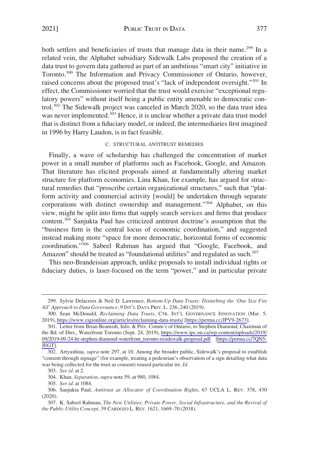<span id="page-44-0"></span>both settlers and beneficiaries of trusts that manage data in their name.<sup>299</sup> In a related vein, the Alphabet subsidiary Sidewalk Labs proposed the creation of a data trust to govern data gathered as part of an ambitious "smart city" initiative in Toronto.<sup>300</sup> The Information and Privacy Commissioner of Ontario, however, raised concerns about the proposed trust's "lack of independent oversight."<sup>301</sup> In effect, the Commissioner worried that the trust would exercise "exceptional regulatory powers" without itself being a public entity amenable to democratic control.302 The Sidewalk project was canceled in March 2020, so the data trust idea was never implemented.<sup>303</sup> Hence, it is unclear whether a private data trust model that is distinct from a fiduciary model, or indeed, the intermediaries first imagined in 1996 by Harry Laudon, is in fact feasible.

# C. STRUCTURAL ANTITRUST REMEDIES

Finally, a wave of scholarship has challenged the concentration of market power in a small number of platforms such as Facebook, Google, and Amazon. That literature has elicited proposals aimed at fundamentally altering market structure for platform economies. Lina Khan, for example, has argued for structural remedies that "proscribe certain organizational structures," such that "platform activity and commercial activity [would] be undertaken through separate corporations with distinct ownership and management."<sup>304</sup> Alphabet, on this view, might be split into firms that supply search services and firms that produce content.305 Sanjukta Paul has criticized antitrust doctrine's assumption that the "business firm is the central locus of economic coordination," and suggested instead making more "space for more democratic, horizontal forms of economic coordination."306 Sabeel Rahman has argued that "Google, Facebook, and Amazon" should be treated as "foundational utilities" and regulated as such.<sup>307</sup>

This neo-Brandeisian approach, unlike proposals to install individual rights or fiduciary duties, is laser-focused on the term "power," and in particular private

<sup>299.</sup> Sylvie Delacroix & Neil D. Lawrence, *Bottom-Up Data Trusts: Disturbing the 'One Size Fits All' Approach to Data Governance,* 9 INT'L DATA PRIV. L. 236, 240 (2019).

Sean McDonald, *Reclaiming Data Trusts*, CTR. INT'L GOVERNANCE INNOVATION (Mar. 5, 300. 2019),<https://www.cigionline.org/articles/reclaiming-data-trusts/> [\[https://perma.cc/JPV9-2673](https://perma.cc/JPV9-2673)].

<sup>301.</sup> Letter from Brian Beamish, Info. & Priv. Comm'r of Ontario, to Stephen Diamond, Chairman of the Bd. of Dirs., Waterfront Toronto (Sept. 24, 2019), [https://www.ipc.on.ca/wp-content/uploads/2019/](https://www.ipc.on.ca/wp-content/uploads/2019/09/2019-09-24-ltr-stephen-diamond-waterfront_toronto-residewalk-proposal.pdf)  [09/2019-09-24-ltr-stephen-diamond-waterfront\\_toronto-residewalk-proposal.pdf](https://www.ipc.on.ca/wp-content/uploads/2019/09/2019-09-24-ltr-stephen-diamond-waterfront_toronto-residewalk-proposal.pdf). [\[https://perma.cc/7QN5-](https://perma.cc/7QN5-JEGT)  [JEGT](https://perma.cc/7QN5-JEGT)].

<sup>302.</sup> Artyushina, *supra* note 297, at 10. Among the broader public, Sidewalk's proposal to establish "consent through signage" (for example, treating a pedestrian's observation of a sign detailing what data was being collected for the trust as consent) roused particular ire. *Id.* 

<sup>303.</sup> *See id.* at 2.

<sup>304.</sup> Khan, *Separation*, *supra* note 59, at 980, 1084.

<sup>305.</sup> *See id*. at 1084.

<sup>306.</sup> Sanjukta Paul, *Antitrust as Allocator of Coordination Rights*, 67 UCLA L. REV. 378, 430 (2020).

<sup>307.</sup> K. Sabeel Rahman, *The New Utilities: Private Power, Social Infrastructure, and the Revival of the Public Utility Concept*, 39 CARDOZO L. REV. 1621, 1669–70 (2018).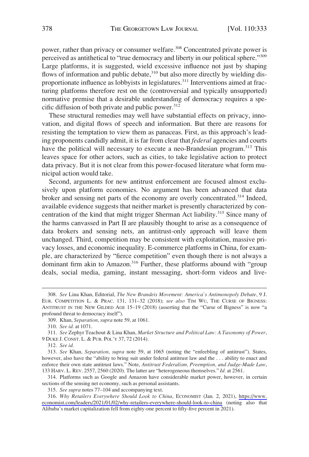power, rather than privacy or consumer welfare.<sup>308</sup> Concentrated private power is perceived as antithetical to "true democracy and liberty in our political sphere."<sup>309</sup> Large platforms, it is suggested, wield excessive influence not just by shaping flows of information and public debate,<sup>310</sup> but also more directly by wielding disproportionate influence as lobbyists in legislatures.311 Interventions aimed at fracturing platforms therefore rest on the (controversial and typically unsupported) normative premise that a desirable understanding of democracy requires a specific diffusion of both private and public power. $312$ 

These structural remedies may well have substantial effects on privacy, innovation, and digital flows of speech and information. But there are reasons for resisting the temptation to view them as panaceas. First, as this approach's leading proponents candidly admit, it is far from clear that *federal* agencies and courts have the political will necessary to execute a neo-Brandesian program.<sup>313</sup> This leaves space for other actors, such as cities, to take legislative action to protect data privacy. But it is not clear from this power-focused literature what form municipal action would take.

Second, arguments for new antitrust enforcement are focused almost exclusively upon platform economies. No argument has been advanced that data broker and sensing net parts of the economy are overly concentrated.<sup>314</sup> Indeed, available evidence suggests that neither market is presently characterized by concentration of the kind that might trigger Sherman Act liability.<sup>315</sup> Since many of the harms canvassed in Part II are plausibly thought to arise as a consequence of data brokers and sensing nets, an antitrust-only approach will leave them unchanged. Third, competition may be consistent with exploitation, massive privacy losses, and economic inequality. E-commerce platforms in China, for example, are characterized by "fierce competition" even though there is not always a dominant firm akin to Amazon.<sup>316</sup> Further, these platforms abound with "group deals, social media, gaming, instant messaging, short-form videos and live-

312. *See id.* 

314. Platforms such as Google and Amazon have considerable market power, however, in certain sections of the sensing net economy, such as personal assistants.

315. *See supra* notes 77–104 and accompanying text.

*Why Retailers Everywhere Should Look to China*, ECONOMIST (Jan. 2, 2021), [https://www.](https://www.economist.com/leaders/2021/01/02/why-retailers-everywhere-should-look-to-china)  316. [economist.com/leaders/2021/01/02/why-retailers-everywhere-should-look-to-china](https://www.economist.com/leaders/2021/01/02/why-retailers-everywhere-should-look-to-china) (noting also that Alibaba's market capitalization fell from eighty-one percent to fifty-five percent in 2021).

<sup>308.</sup> *See* Lina Khan, Editorial, *The New Brandeis Movement: America's Antimonopoly Debate*, 9 J. EUR. COMPETITION L. & PRAC. 131, 131–32 (2018); *see also* TIM WU, THE CURSE OF BIGNESS: ANTITRUST IN THE NEW GILDED AGE 15–19 (2018) (asserting that the "Curse of Bigness" is now "a profound threat to democracy itself").

<sup>309.</sup> Khan, *Separation*, *supra* note 59, at 1061.

<sup>310.</sup> *See id.* at 1071.

<sup>311.</sup> *See* Zephyr Teachout & Lina Khan, *Market Structure and Political Law: A Taxonomy of Power*, 9 DUKE J. CONST. L. & PUB. POL'Y 37, 72 (2014).

<sup>313.</sup> *See* Khan, *Separation*, *supra* note 59, at 1065 (noting the "enfeebling of antitrust"). States, however, also have the "ability to bring suit under federal antitrust law and the . . . ability to enact and enforce their own state antitrust laws." Note, *Antitrust Federalism, Preemption, and Judge-Made Law*, 133 HARV. L. REV. 2557, 2560 (2020). The latter are "heterogeneous themselves." *Id.* at 2561.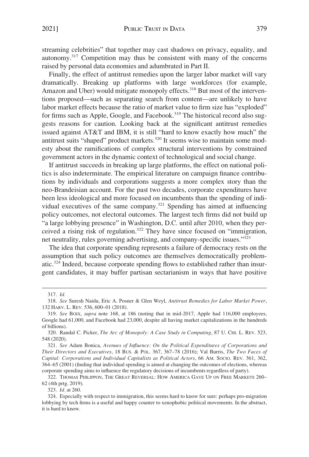streaming celebrities" that together may cast shadows on privacy, equality, and autonomy.317 Competition may thus be consistent with many of the concerns raised by personal data economies and adumbrated in Part II.

Finally, the effect of antitrust remedies upon the larger labor market will vary dramatically. Breaking up platforms with large workforces (for example, Amazon and Uber) would mitigate monopoly effects.<sup>318</sup> But most of the interventions proposed—such as separating search from content—are unlikely to have labor market effects because the ratio of market value to firm size has "exploded" for firms such as Apple, Google, and Facebook.<sup>319</sup> The historical record also suggests reasons for caution. Looking back at the significant antitrust remedies issued against AT&T and IBM, it is still "hard to know exactly how much" the antitrust suits "shaped" product markets.<sup>320</sup> It seems wise to maintain some modesty about the ramifications of complex structural interventions by constrained government actors in the dynamic context of technological and social change.

If antitrust succeeds in breaking up large platforms, the effect on national politics is also indeterminate. The empirical literature on campaign finance contributions by individuals and corporations suggests a more complex story than the neo-Brandeisian account. For the past two decades, corporate expenditures have been less ideological and more focused on incumbents than the spending of individual executives of the same company.<sup>321</sup> Spending has aimed at influencing policy outcomes, not electoral outcomes. The largest tech firms did not build up "a large lobbying presence" in Washington, D.C. until after 2010, when they perceived a rising risk of regulation.322 They have since focused on "immigration, net neutrality, rules governing advertising, and company-specific issues."<sup>323</sup>

The idea that corporate spending represents a failure of democracy rests on the assumption that such policy outcomes are themselves democratically problematic.324 Indeed, because corporate spending flows to established rather than insurgent candidates, it may buffer partisan sectarianism in ways that have positive

323. *Id.* at 260.

<sup>317.</sup> *Id.* 

<sup>318.</sup> *See* Suresh Naidu, Eric A. Posner & Glen Weyl, *Antitrust Remedies for Labor Market Power*, 132 HARV. L. REV. 536, 600–01 (2018).

<sup>319.</sup> *See* BOIX, *supra* note 168, at 186 (noting that in mid-2017, Apple had 116,000 employees, Google had 61,000, and Facebook had 23,000, despite all having market capitalizations in the hundreds of billions).

<sup>320.</sup> Randal C. Picker, *The Arc of Monopoly: A Case Study in Computing*, 87 U. CHI. L. REV. 523, 548 (2020).

<sup>321.</sup> *See* Adam Bonica, *Avenues of Influence: On the Political Expenditures of Corporations and Their Directors and Executives*, 18 BUS. & POL. 367, 367–78 (2016); Val Burris, *The Two Faces of Capital: Corporations and Individual Capitalists as Political Actors*, 66 AM. SOCIO. REV. 361, 362, 364–65 (2001) (finding that individual spending is aimed at changing the outcomes of elections, whereas corporate spending aims to influence the regulatory decisions of incumbents regardless of party).

<sup>322.</sup> THOMAS PHILIPPON, THE GREAT REVERSAL: HOW AMERICA GAVE UP ON FREE MARKETS 260– 62 (4th prtg. 2019).

<sup>324.</sup> Especially with respect to immigration, this seems hard to know for sure: perhaps pro-migration lobbying by tech firms is a useful and happy counter to xenophobic political movements. In the abstract, it is hard to know.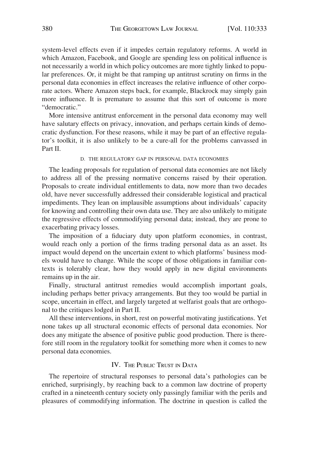<span id="page-47-0"></span>system-level effects even if it impedes certain regulatory reforms. A world in which Amazon, Facebook, and Google are spending less on political influence is not necessarily a world in which policy outcomes are more tightly linked to popular preferences. Or, it might be that ramping up antitrust scrutiny on firms in the personal data economies in effect increases the relative influence of other corporate actors. Where Amazon steps back, for example, Blackrock may simply gain more influence. It is premature to assume that this sort of outcome is more "democratic."

More intensive antitrust enforcement in the personal data economy may well have salutary effects on privacy, innovation, and perhaps certain kinds of democratic dysfunction. For these reasons, while it may be part of an effective regulator's toolkit, it is also unlikely to be a cure-all for the problems canvassed in Part II.

#### D. THE REGULATORY GAP IN PERSONAL DATA ECONOMIES

The leading proposals for regulation of personal data economies are not likely to address all of the pressing normative concerns raised by their operation. Proposals to create individual entitlements to data, now more than two decades old, have never successfully addressed their considerable logistical and practical impediments. They lean on implausible assumptions about individuals' capacity for knowing and controlling their own data use. They are also unlikely to mitigate the regressive effects of commodifying personal data; instead, they are prone to exacerbating privacy losses.

The imposition of a fiduciary duty upon platform economies, in contrast, would reach only a portion of the firms trading personal data as an asset. Its impact would depend on the uncertain extent to which platforms' business models would have to change. While the scope of those obligations in familiar contexts is tolerably clear, how they would apply in new digital environments remains up in the air.

Finally, structural antitrust remedies would accomplish important goals, including perhaps better privacy arrangements. But they too would be partial in scope, uncertain in effect, and largely targeted at welfarist goals that are orthogonal to the critiques lodged in Part II.

All these interventions, in short, rest on powerful motivating justifications. Yet none takes up all structural economic effects of personal data economies. Nor does any mitigate the absence of positive public good production. There is therefore still room in the regulatory toolkit for something more when it comes to new personal data economies.

## IV. THE PUBLIC TRUST IN DATA

The repertoire of structural responses to personal data's pathologies can be enriched, surprisingly, by reaching back to a common law doctrine of property crafted in a nineteenth century society only passingly familiar with the perils and pleasures of commodifying information. The doctrine in question is called the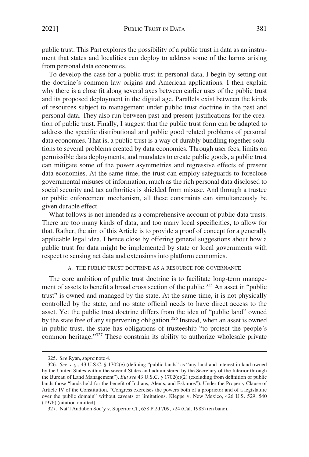<span id="page-48-0"></span>public trust. This Part explores the possibility of a public trust in data as an instrument that states and localities can deploy to address some of the harms arising from personal data economies.

To develop the case for a public trust in personal data, I begin by setting out the doctrine's common law origins and American applications. I then explain why there is a close fit along several axes between earlier uses of the public trust and its proposed deployment in the digital age. Parallels exist between the kinds of resources subject to management under public trust doctrine in the past and personal data. They also run between past and present justifications for the creation of public trust. Finally, I suggest that the public trust form can be adapted to address the specific distributional and public good related problems of personal data economies. That is, a public trust is a way of durably bundling together solutions to several problems created by data economies. Through user fees, limits on permissible data deployments, and mandates to create public goods, a public trust can mitigate some of the power asymmetries and regressive effects of present data economies. At the same time, the trust can employ safeguards to foreclose governmental misuses of information, much as the rich personal data disclosed to social security and tax authorities is shielded from misuse. And through a trustee or public enforcement mechanism, all these constraints can simultaneously be given durable effect.

What follows is not intended as a comprehensive account of public data trusts. There are too many kinds of data, and too many local specificities, to allow for that. Rather, the aim of this Article is to provide a proof of concept for a generally applicable legal idea. I hence close by offering general suggestions about how a public trust for data might be implemented by state or local governments with respect to sensing net data and extensions into platform economies.

## A. THE PUBLIC TRUST DOCTRINE AS A RESOURCE FOR GOVERNANCE

The core ambition of public trust doctrine is to facilitate long-term management of assets to benefit a broad cross section of the public.<sup>325</sup> An asset in "public" trust" is owned and managed by the state. At the same time, it is not physically controlled by the state, and no state official needs to have direct access to the asset. Yet the public trust doctrine differs from the idea of "public land" owned by the state free of any supervening obligation.<sup>326</sup> Instead, when an asset is owned in public trust, the state has obligations of trusteeship "to protect the people's common heritage."327 These constrain its ability to authorize wholesale private

<sup>325.</sup> *See* Ryan, *supra* note 4.

<sup>326.</sup> *See, e.g.*, 43 U.S.C. § 1702(e) (defining "public lands" as "any land and interest in land owned by the United States within the several States and administered by the Secretary of the Interior through the Bureau of Land Management"). *But see* 43 U.S.C. § 1702(e)(2) (excluding from definition of public lands those "lands held for the benefit of Indians, Aleuts, and Eskimos"). Under the Property Clause of Article IV of the Constitution, "Congress exercises the powers both of a proprietor and of a legislature over the public domain" without caveats or limitations. Kleppe v. New Mexico, 426 U.S. 529, 540 (1976) (citation omitted).

<sup>327.</sup> Nat'l Audubon Soc'y v. Superior Ct., 658 P.2d 709, 724 (Cal. 1983) (en banc).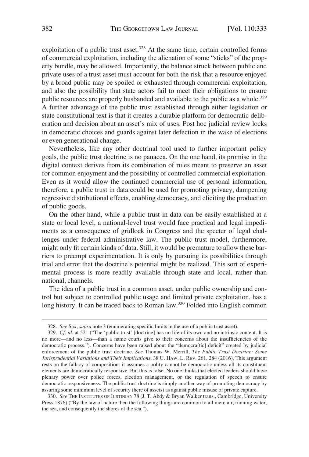exploitation of a public trust asset. $328$  At the same time, certain controlled forms of commercial exploitation, including the alienation of some "sticks" of the property bundle, may be allowed. Importantly, the balance struck between public and private uses of a trust asset must account for both the risk that a resource enjoyed by a broad public may be spoiled or exhausted through commercial exploitation, and also the possibility that state actors fail to meet their obligations to ensure public resources are properly husbanded and available to the public as a whole.<sup>329</sup> A further advantage of the public trust established through either legislation or state constitutional text is that it creates a durable platform for democratic deliberation and decision about an asset's mix of uses. Post hoc judicial review locks in democratic choices and guards against later defection in the wake of elections or even generational change.

Nevertheless, like any other doctrinal tool used to further important policy goals, the public trust doctrine is no panacea. On the one hand, its promise in the digital context derives from its combination of rules meant to preserve an asset for common enjoyment and the possibility of controlled commercial exploitation. Even as it would allow the continued commercial use of personal information, therefore, a public trust in data could be used for promoting privacy, dampening regressive distributional effects, enabling democracy, and eliciting the production of public goods.

On the other hand, while a public trust in data can be easily established at a state or local level, a national-level trust would face practical and legal impediments as a consequence of gridlock in Congress and the specter of legal challenges under federal administrative law. The public trust model, furthermore, might only fit certain kinds of data. Still, it would be premature to allow these barriers to preempt experimentation. It is only by pursuing its possibilities through trial and error that the doctrine's potential might be realized. This sort of experimental process is more readily available through state and local, rather than national, channels.

The idea of a public trust in a common asset, under public ownership and control but subject to controlled public usage and limited private exploitation, has a long history. It can be traced back to Roman law.<sup>330</sup> Folded into English common

330. *See* THE INSTITUTES OF JUSTINIAN 78 (J. T. Abdy & Bryan Walker trans., Cambridge, University Press 1876) ("By the law of nature then the following things are common to all men; air, running water, the sea, and consequently the shores of the sea.").

<sup>328.</sup> *See* Sax, *supra* note 3 (enumerating specific limits in the use of a public trust asset).

<sup>329.</sup> *Cf. id.* at 521 ("The 'public trust' [doctrine] has no life of its own and no intrinsic content. It is no more—and no less—than a name courts give to their concerns about the insufficiencies of the democratic process."). Concerns have been raised about the "democra[tic] deficit" created by judicial enforcement of the public trust doctrine. *See* Thomas W. Merrill, *The Public Trust Doctrine: Some Jurisprudential Variations and Their Implications*, 38 U. HAW. L. REV. 261, 284 (2016). This argument rests on the fallacy of composition: it assumes a polity cannot be democratic unless all its constituent elements are democratically responsive. But this is false. No one thinks that elected leaders should have plenary power over police forces, election management, or the regulation of speech to ensure democratic responsiveness. The public trust doctrine is simply another way of promoting democracy by assuring some minimum level of security (here of assets) as against public misuse of private capture.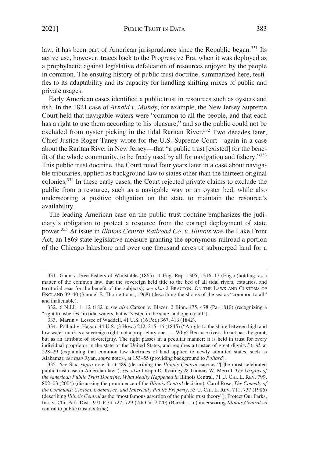law, it has been part of American jurisprudence since the Republic began.<sup>331</sup> Its active use, however, traces back to the Progressive Era, when it was deployed as a prophylactic against legislative defalcation of resources enjoyed by the people in common. The ensuing history of public trust doctrine, summarized here, testifies to its adaptability and its capacity for handling shifting mixes of public and private usages.

Early American cases identified a public trust in resources such as oysters and fish. In the 1821 case of *Arnold v. Mundy*, for example, the New Jersey Supreme Court held that navigable waters were "common to all the people, and that each has a right to use them according to his pleasure," and so the public could not be excluded from oyster picking in the tidal Raritan River.<sup>332</sup> Two decades later, Chief Justice Roger Taney wrote for the U.S. Supreme Court—again in a case about the Raritan River in New Jersey—that "a public trust [existed] for the benefit of the whole community, to be freely used by all for navigation and fishery."<sup>333</sup> This public trust doctrine, the Court ruled four years later in a case about navigable tributaries, applied as background law to states other than the thirteen original colonies.334 In these early cases, the Court rejected private claims to exclude the public from a resource, such as a navigable way or an oyster bed, while also underscoring a positive obligation on the state to maintain the resource's availability.

The leading American case on the public trust doctrine emphasizes the judiciary's obligation to protect a resource from the corrupt deployment of state power.335 At issue in *Illinois Central Railroad Co. v. Illinois* was the Lake Front Act, an 1869 state legislative measure granting the eponymous railroad a portion of the Chicago lakeshore and over one thousand acres of submerged land for a

<sup>331.</sup> Gann v. Free Fishers of Whitstable (1865) 11 Eng. Rep. 1305, 1316–17 (Eng.) (holding, as a matter of the common law, that the sovereign held title to the bed of all tidal rivers, estuaries, and territorial seas for the benefit of the subjects); *see also* 2 BRACTON: ON THE LAWS AND CUSTOMS OF ENGLAND 39–40 (Samuel E. Thorne trans., 1968) (describing the shores of the sea as "common to all" and inalienable).

<sup>332. 6</sup> N.J.L. 1, 12 (1821); *see also* Carson v. Blazer, 2 Binn. 475, 478 (Pa. 1810) (recognizing a "right to fisheries" in tidal waters that is "vested in the state, and open to all").

<sup>333.</sup> Martin v. Lessee of Waddell, 41 U.S. (16 Pet.) 367, 413 (1842).

<sup>334.</sup> Pollard v. Hagan, 44 U.S. (3 How.) 212, 215–16 (1845) ("A right to the shore between high and low water-mark is a sovereign right, not a proprietary one.... Why? Because rivers do not pass by grant, but as an attribute of sovereignty. The right passes in a peculiar manner; it is held in trust for every individual proprietor in the state or the United States, and requires a trustee of great dignity."); *id.* at 228–29 (explaining that common law doctrines of land applied to newly admitted states, such as Alabama); *see also* Ryan, *supra* note 4, at 153–55 (providing background to *Pollard*).

<sup>335.</sup> *See* Sax, *supra* note 3, at 489 (describing the *Illinois Central* case as "[t]he most celebrated public trust case in American law"); *see also* Joseph D. Kearney & Thomas W. Merrill, *The Origins of the American Public Trust Doctrine: What Really Happened in* Illinois Central, 71 U. CHI. L. REV. 799, 802–03 (2004) (discussing the prominence of the *Illinois Central* decision); Carol Rose, *The Comedy of the Commons: Custom, Commerce, and Inherently Public Property*, 53 U. CHI. L. REV. 711, 737 (1986) (describing *Illinois Central* as the "most famous assertion of the public trust theory"); Protect Our Parks, Inc. v. Chi. Park Dist., 971 F.3d 722, 729 (7th Cir. 2020) (Barrett, J.) (underscoring *Illinois Central* as central to public trust doctrine).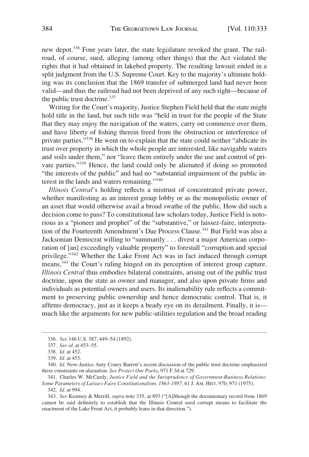new depot.336 Four years later, the state legislature revoked the grant. The railroad, of course, sued, alleging (among other things) that the Act violated the rights that it had obtained in lakebed property. The resulting lawsuit ended in a split judgment from the U.S. Supreme Court. Key to the majority's ultimate holding was its conclusion that the 1869 transfer of submerged land had never been valid—and thus the railroad had not been deprived of any such right—because of the public trust doctrine.<sup>337</sup>

Writing for the Court's majority, Justice Stephen Field held that the state might hold title in the land, but such title was "held in trust for the people of the State that they may enjoy the navigation of the waters, carry on commerce over them, and have liberty of fishing therein freed from the obstruction or interference of private parties."338 He went on to explain that the state could neither "abdicate its trust over property in which the whole people are interested, like navigable waters and soils under them," nor "leave them entirely under the use and control of private parties."339 Hence, the land could only be alienated if doing so promoted "the interests of the public" and had no "substantial impairment of the public interest in the lands and waters remaining."<sup>340</sup>

*Illinois Central*'s holding reflects a mistrust of concentrated private power, whether manifesting as an interest group lobby or as the monopolistic owner of an asset that would otherwise avail a broad swathe of the public. How did such a decision come to pass? To constitutional law scholars today, Justice Field is notorious as a "pioneer and prophet" of the "substantive," or laissez-faire, interpretation of the Fourteenth Amendment's Due Process Clause.<sup>341</sup> But Field was also a Jacksonian Democrat willing to "summarily . . . divest a major American corporation of [an] exceedingly valuable property" to forestall "corruption and special privilege."342 Whether the Lake Front Act was in fact induced through corrupt means,<sup>343</sup> the Court's ruling hinged on its perception of interest group capture. *Illinois Central* thus embodies bilateral constraints, arising out of the public trust doctrine, upon the state as owner and manager, and also upon private firms and individuals as potential owners and users. Its inalienability rule reflects a commitment to preserving public ownership and hence democratic control. That is, it affirms democracy, just as it keeps a beady eye on its derailment. Finally, it is much like the arguments for new public-utilities regulation and the broad reading

<sup>336.</sup> *See* 146 U.S. 387, 449–54 (1892).

<sup>337.</sup> *See id.* at 453–55.

<sup>338.</sup> *Id.* at 452.

<sup>339.</sup> *Id.* at 453.

<sup>340.</sup> *Id.* Now-Justice Amy Coney Barrett's recent discussion of the public trust doctrine emphasized these constraints on alienation. *See Protect Our Parks*, 971 F.3d at 729.

<sup>341.</sup> Charles W. McCurdy, *Justice Field and the Jurisprudence of Government-Business Relations: Some Parameters of Laissez-Faire Constitutionalism, 1863-1897*, 61 J. AM. HIST. 970, 971 (1975).

<sup>342.</sup> *Id.* at 994.

<sup>343.</sup> *See* Kearney & Merrill, *supra* note 335, at 893 ("[A]lthough the documentary record from 1869 cannot be said definitely to establish that the Illinois Central used corrupt means to facilitate the enactment of the Lake Front Act, it probably leans in that direction.").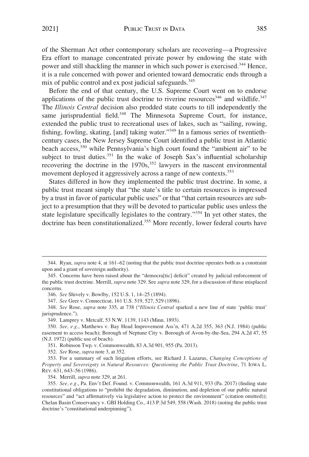2021] PUBLIC TRUST IN DATA 385

of the Sherman Act other contemporary scholars are recovering—a Progressive Era effort to manage concentrated private power by endowing the state with power and still shackling the manner in which such power is exercised.<sup>344</sup> Hence, it is a rule concerned with power and oriented toward democratic ends through a mix of public control and ex post judicial safeguards.<sup>345</sup>

Before the end of that century, the U.S. Supreme Court went on to endorse applications of the public trust doctrine to riverine resources $346$  and wildlife. $347$ The *Illinois Central* decision also prodded state courts to till independently the same jurisprudential field.<sup>348</sup> The Minnesota Supreme Court, for instance, extended the public trust to recreational uses of lakes, such as "sailing, rowing, fishing, fowling, skating, [and] taking water."349 In a famous series of twentiethcentury cases, the New Jersey Supreme Court identified a public trust in Atlantic beach access,<sup>350</sup> while Pennsylvania's high court found the "ambient air" to be subject to trust duties.<sup>351</sup> In the wake of Joseph Sax's influential scholarship recovering the doctrine in the  $1970s$ ,<sup>352</sup> lawyers in the nascent environmental movement deployed it aggressively across a range of new contexts.<sup>353</sup>

States differed in how they implemented the public trust doctrine. In some, a public trust meant simply that "the state's title to certain resources is impressed by a trust in favor of particular public uses" or that "that certain resources are subject to a presumption that they will be devoted to particular public uses unless the state legislature specifically legislates to the contrary."354 In yet other states, the doctrine has been constitutionalized.<sup>355</sup> More recently, lower federal courts have

347. *See* Geer v. Connecticut, 161 U.S. 519, 527, 529 (1896).

348. *See* Rose, *supra* note 335, at 738 ("*Illinois Central* sparked a new line of state 'public trust' jurisprudence.").

349. Lamprey v. Metcalf, 53 N.W. 1139, 1143 (Minn. 1893).

351. Robinson Twp. v. Commonwealth, 83 A.3d 901, 955 (Pa. 2013).

352. *See* Rose, *supra* note 3, at 352.

353. For a summary of such litigation efforts, see Richard J. Lazarus, *Changing Conceptions of Property and Sovereignty in Natural Resources: Questioning the Public Trust Doctrine*, 71 IOWA L. REV. 631, 643–56 (1986).

354. Merrill, *supra* note 329, at 261.

<sup>344.</sup> Ryan, *supra* note 4, at 161–62 (noting that the public trust doctrine operates both as a constraint upon and a grant of sovereign authority).

<sup>345.</sup> Concerns have been raised about the "democra[tic] deficit" created by judicial enforcement of the public trust doctrine. Merrill, *supra* note 329. See *supra* note 329, for a discussion of these misplaced concerns.

<sup>346.</sup> *See* Shively v. Bowlby, 152 U.S. 1, 14–25 (1894).

<sup>350.</sup> *See, e.g.*, Matthews v. Bay Head Improvement Ass'n, 471 A.2d 355, 363 (N.J. 1984) (public easement to access beach); Borough of Neptune City v. Borough of Avon-by-the-Sea, 294 A.2d 47, 55 (N.J. 1972) (public use of beach).

<sup>355.</sup> *See, e.g.*, Pa. Env't Def. Found. v. Commonwealth, 161 A.3d 911, 933 (Pa. 2017) (finding state constitutional obligations to "prohibit the degradation, diminution, and depletion of our public natural resources" and "act affirmatively via legislative action to protect the environment" (citation omitted)); Chelan Basin Conservancy v. GBI Holding Co., 413 P.3d 549, 558 (Wash. 2018) (noting the public trust doctrine's "constitutional underpinning").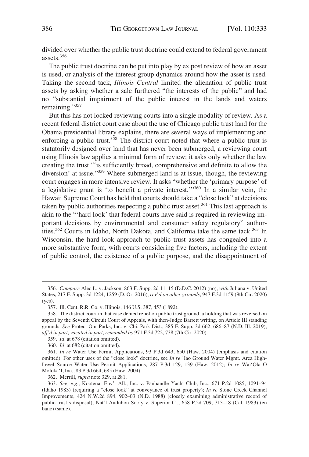divided over whether the public trust doctrine could extend to federal government assets.356

The public trust doctrine can be put into play by ex post review of how an asset is used, or analysis of the interest group dynamics around how the asset is used. Taking the second tack, *Illinois Central* limited the alienation of public trust assets by asking whether a sale furthered "the interests of the public" and had no "substantial impairment of the public interest in the lands and waters remaining."<sup>357</sup>

But this has not locked reviewing courts into a single modality of review. As a recent federal district court case about the use of Chicago public trust land for the Obama presidential library explains, there are several ways of implementing and enforcing a public trust.<sup>358</sup> The district court noted that where a public trust is statutorily designed over land that has never been submerged, a reviewing court using Illinois law applies a minimal form of review; it asks only whether the law creating the trust "'is sufficiently broad, comprehensive and definite to allow the diversion' at issue."<sup>359</sup> Where submerged land is at issue, though, the reviewing court engages in more intensive review. It asks "whether the 'primary purpose' of a legislative grant is 'to benefit a private interest.'"360 In a similar vein, the Hawaii Supreme Court has held that courts should take a "close look" at decisions taken by public authorities respecting a public trust asset.<sup>361</sup> This last approach is akin to the "'hard look' that federal courts have said is required in reviewing important decisions by environmental and consumer safety regulatory" authorities. $362$  Courts in Idaho, North Dakota, and California take the same tack. $363$  In Wisconsin, the hard look approach to public trust assets has congealed into a more substantive form, with courts considering five factors, including the extent of public control, the existence of a public purpose, and the disappointment of

<sup>356.</sup> *Compare* Alec L. v. Jackson, 863 F. Supp. 2d 11, 15 (D.D.C. 2012) (no), *with* Juliana v. United States, 217 F. Supp. 3d 1224, 1259 (D. Or. 2016), *rev'd on other grounds*, 947 F.3d 1159 (9th Cir. 2020) (yes).

<sup>357.</sup> Ill. Cent. R.R. Co. v. Illinois, 146 U.S. 387, 453 (1892).

<sup>358.</sup> The district court in that case denied relief on public trust ground, a holding that was reversed on appeal by the Seventh Circuit Court of Appeals, with then-Judge Barrett writing, on Article III standing grounds. *See* Protect Our Parks, Inc. v. Chi. Park Dist., 385 F. Supp. 3d 662, 686–87 (N.D. Ill. 2019), *aff'd in part, vacated in part, remanded by* 971 F.3d 722, 738 (7th Cir. 2020).

<sup>359.</sup> *Id.* at 678 (citation omitted).

<sup>360.</sup> *Id.* at 682 (citation omitted).

<sup>361.</sup> *In re* Water Use Permit Applications, 93 P.3d 643, 650 (Haw. 2004) (emphasis and citation omitted). For other uses of the "close look" doctrine, see *In re* 'Iao Ground Water Mgmt. Area High-Level Source Water Use Permit Applications, 287 P.3d 129, 139 (Haw. 2012); *In re* Wai'Ola O Moloka'I, Inc., 83 P.3d 664, 685 (Haw. 2004).

<sup>362.</sup> Merrill, *supra* note 329, at 281.

<sup>363.</sup> *See, e.g.*, Kootenai Env't All., Inc. v. Panhandle Yacht Club, Inc., 671 P.2d 1085, 1091–94 (Idaho 1983) (requiring a "close look" at conveyance of trust property); *In re* Stone Creek Channel Improvements, 424 N.W.2d 894, 902–03 (N.D. 1988) (closely examining administrative record of public trust's disposal); Nat'l Audubon Soc'y v. Superior Ct., 658 P.2d 709, 713–18 (Cal. 1983) (en banc) (same).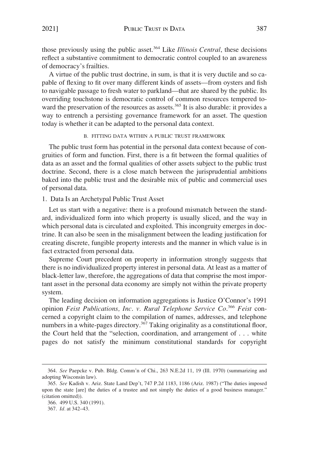<span id="page-54-0"></span>those previously using the public asset.364 Like *Illinois Central*, these decisions reflect a substantive commitment to democratic control coupled to an awareness of democracy's frailties.

A virtue of the public trust doctrine, in sum, is that it is very ductile and so capable of flexing to fit over many different kinds of assets—from oysters and fish to navigable passage to fresh water to parkland—that are shared by the public. Its overriding touchstone is democratic control of common resources tempered toward the preservation of the resources as assets.<sup>365</sup> It is also durable: it provides a way to entrench a persisting governance framework for an asset. The question today is whether it can be adapted to the personal data context.

B. FITTING DATA WITHIN A PUBLIC TRUST FRAMEWORK

The public trust form has potential in the personal data context because of congruities of form and function. First, there is a fit between the formal qualities of data as an asset and the formal qualities of other assets subject to the public trust doctrine. Second, there is a close match between the jurisprudential ambitions baked into the public trust and the desirable mix of public and commercial uses of personal data.

1. Data Is an Archetypal Public Trust Asset

Let us start with a negative: there is a profound mismatch between the standard, individualized form into which property is usually sliced, and the way in which personal data is circulated and exploited. This incongruity emerges in doctrine. It can also be seen in the misalignment between the leading justification for creating discrete, fungible property interests and the manner in which value is in fact extracted from personal data.

Supreme Court precedent on property in information strongly suggests that there is no individualized property interest in personal data. At least as a matter of black-letter law, therefore, the aggregations of data that comprise the most important asset in the personal data economy are simply not within the private property system.

The leading decision on information aggregations is Justice O'Connor's 1991 opinion Feist Publications, Inc. v. Rural Telephone Service Co.<sup>366</sup> Feist concerned a copyright claim to the compilation of names, addresses, and telephone numbers in a white-pages directory.<sup>367</sup> Taking originality as a constitutional floor, the Court held that the "selection, coordination, and arrangement of . . . white pages do not satisfy the minimum constitutional standards for copyright

<sup>364.</sup> *See* Paepcke v. Pub. Bldg. Comm'n of Chi., 263 N.E.2d 11, 19 (Ill. 1970) (summarizing and adopting Wisconsin law).

<sup>365.</sup> *See* Kadish v. Ariz. State Land Dep't, 747 P.2d 1183, 1186 (Ariz. 1987) ("The duties imposed upon the state [are] the duties of a trustee and not simply the duties of a good business manager." (citation omitted)).

<sup>366. 499</sup> U.S. 340 (1991).

<sup>367.</sup> *Id.* at 342–43.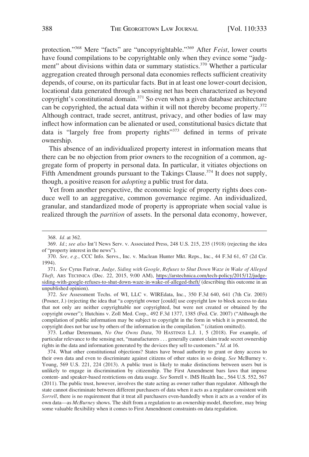protection."368 Mere "facts" are "uncopyrightable."369 After *Feist*, lower courts have found compilations to be copyrightable only when they evince some "judgment" about divisions within data or summary statistics.<sup>370</sup> Whether a particular aggregation created through personal data economies reflects sufficient creativity depends, of course, on its particular facts. But in at least one lower-court decision, locational data generated through a sensing net has been characterized as beyond copyright's constitutional domain.<sup>371</sup> So even when a given database architecture can be copyrighted, the actual data within it will not thereby become property.<sup>372</sup> Although contract, trade secret, antitrust, privacy, and other bodies of law may inflect how information can be alienated or used, constitutional basics dictate that data is "largely free from property rights"<sup>373</sup> defined in terms of private ownership.

This absence of an individualized property interest in information means that there can be no objection from prior owners to the recognition of a common, aggregate form of property in personal data. In particular, it vitiates objections on Fifth Amendment grounds pursuant to the Takings Clause.<sup>374</sup> It does not supply, though, a positive reason for *adopting* a public trust for data.

Yet from another perspective, the economic logic of property rights does conduce well to an aggregative, common governance regime. An individualized, granular, and standardized mode of property is appropriate when social value is realized through the *partition* of assets. In the personal data economy, however,

*See* Cyrus Farivar, *Judge, Siding with Google, Refuses to Shut Down Waze in Wake of Alleged*  371. *Theft*, ARS TECHNICA (Dec. 22, 2015, 9:00 AM), [https://arstechnica.com/tech-policy/2015/12/judge](https://arstechnica.com/tech-policy/2015/12/judge-siding-with-google-refuses-to-shut-down-waze-in-wake-of-alleged-theft/)[siding-with-google-refuses-to-shut-down-waze-in-wake-of-alleged-theft/](https://arstechnica.com/tech-policy/2015/12/judge-siding-with-google-refuses-to-shut-down-waze-in-wake-of-alleged-theft/) (describing this outcome in an unpublished opinion).

372. *See* Assessment Techs. of WI, LLC v. WIREdata, Inc., 350 F.3d 640, 641 (7th Cir. 2003) (Posner, J.) (rejecting the idea that "a copyright owner [could] use copyright law to block access to data that not only are neither copyrightable nor copyrighted, but were not created or obtained by the copyright owner"); Hutchins v. Zoll Med. Corp., 492 F.3d 1377, 1385 (Fed. Cir. 2007) ("Although the compilation of public information may be subject to copyright in the form in which it is presented, the copyright does not bar use by others of the information in the compilation." (citation omitted)).

373. Lothar Determann, *No One Owns Data*, 70 HASTINGS L.J. 1, 5 (2018). For example, of particular relevance to the sensing net, "manufacturers . . . generally cannot claim trade secret ownership rights in the data and information generated by the devices they sell to customers." *Id.* at 16.

374. What other constitutional objections? States have broad authority to grant or deny access to their own data and even to discriminate against citizens of other states in so doing. *See* McBurney v. Young, 569 U.S. 221, 224 (2013). A public trust is likely to make distinctions between users but is unlikely to engage in discrimination by citizenship. The First Amendment bars laws that impose content- and speaker-based restrictions on data usage. *See* Sorrell v. IMS Health Inc., 564 U.S. 552, 567 (2011). The public trust, however, involves the state acting as owner rather than regulator. Although the state cannot discriminate between different purchasers of data when it acts as a regulator consistent with *Sorrell*, there is no requirement that it treat all purchasers even-handedly when it acts as a vendor of its own data—as *McBurney* shows. The shift from a regulation to an ownership model, therefore, may bring some valuable flexibility when it comes to First Amendment constraints on data regulation.

<sup>368.</sup> *Id.* at 362.

<sup>369.</sup> *Id.*; *see also* Int'l News Serv. v. Associated Press, 248 U.S. 215, 235 (1918) (rejecting the idea of "property interest in the news").

<sup>370.</sup> *See, e.g.*, CCC Info. Servs., Inc. v. Maclean Hunter Mkt. Reps., Inc., 44 F.3d 61, 67 (2d Cir. 1994).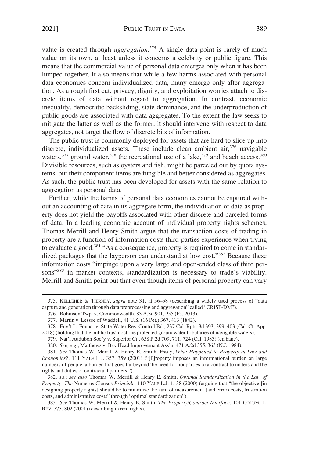value is created through *aggregation*. 375 A single data point is rarely of much value on its own, at least unless it concerns a celebrity or public figure. This means that the commercial value of personal data emerges only when it has been lumped together. It also means that while a few harms associated with personal data economies concern individualized data, many emerge only after aggregation. As a rough first cut, privacy, dignity, and exploitation worries attach to discrete items of data without regard to aggregation. In contrast, economic inequality, democratic backsliding, state dominance, and the underproduction of public goods are associated with data aggregates. To the extent the law seeks to mitigate the latter as well as the former, it should intervene with respect to data aggregates, not target the flow of discrete bits of information.

The public trust is commonly deployed for assets that are hard to slice up into discrete, individualized assets. These include clean ambient air, $376$  navigable waters, $377$  ground water, $378$  the recreational use of a lake, $379$  and beach access.  $380$ Divisible resources, such as oysters and fish, might be parceled out by quota systems, but their component items are fungible and better considered as aggregates. As such, the public trust has been developed for assets with the same relation to aggregation as personal data.

Further, while the harms of personal data economies cannot be captured without an accounting of data in its aggregate form, the individuation of data as property does not yield the payoffs associated with other discrete and parceled forms of data. In a leading economic account of individual property rights schemes, Thomas Merrill and Henry Smith argue that the transaction costs of trading in property are a function of information costs third-parties experience when trying to evaluate a good.381 "As a consequence, property is required to come in standardized packages that the layperson can understand at low cost."<sup>382</sup> Because these information costs "impinge upon a very large and open-ended class of third persons"<sup>383</sup> in market contexts, standardization is necessary to trade's viability. Merrill and Smith point out that even though items of personal property can vary

<sup>375.</sup> KELLEHER & TIERNEY, *supra* note 31, at 56–58 (describing a widely used process of "data capture and generation through data preprocessing and aggregation" called "CRISP-DM").

<sup>376.</sup> Robinson Twp. v. Commonwealth, 83 A.3d 901, 955 (Pa. 2013).

<sup>377.</sup> Martin v. Lessee of Waddell, 41 U.S. (16 Pet.) 367, 413 (1842).

<sup>378.</sup> Env't L. Found. v. State Water Res. Control Bd., 237 Cal. Rptr. 3d 393, 399–403 (Cal. Ct. App. 2018) (holding that the public trust doctrine protected groundwater tributaries of navigable waters).

<sup>379.</sup> Nat'l Audubon Soc'y v. Superior Ct., 658 P.2d 709, 711, 724 (Cal. 1983) (en banc).

<sup>380.</sup> *See, e.g.*, Matthews v. Bay Head Improvement Ass'n, 471 A.2d 355, 363 (N.J. 1984).

<sup>381.</sup> *See* Thomas W. Merrill & Henry E. Smith, Essay, *What Happened to Property in Law and Economics?*, 111 YALE L.J. 357, 359 (2001) ("[P]roperty imposes an informational burden on large numbers of people, a burden that goes far beyond the need for nonparties to a contract to understand the rights and duties of contractual partners.").

<sup>382.</sup> *Id.*; *see also* Thomas W. Merrill & Henry E. Smith, *Optimal Standardization in the Law of Property: The* Numerus Clausus *Principle*, 110 YALE L.J. 1, 38 (2000) (arguing that "the objective [in designing property rights] should be to minimize the sum of measurement (and error) costs, frustration costs, and administrative costs" through "optimal standardization").

<sup>383.</sup> *See* Thomas W. Merrill & Henry E. Smith, *The Property/Contract Interface*, 101 COLUM. L. REV. 773, 802 (2001) (describing in rem rights).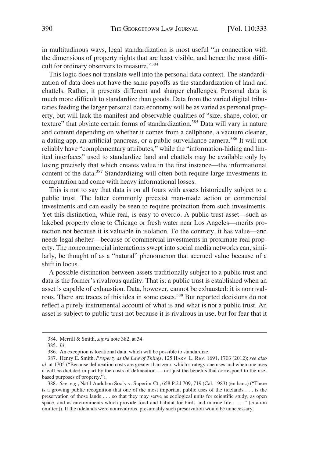in multitudinous ways, legal standardization is most useful "in connection with the dimensions of property rights that are least visible, and hence the most difficult for ordinary observers to measure."384

This logic does not translate well into the personal data context. The standardization of data does not have the same payoffs as the standardization of land and chattels. Rather, it presents different and sharper challenges. Personal data is much more difficult to standardize than goods. Data from the varied digital tributaries feeding the larger personal data economy will be as varied as personal property, but will lack the manifest and observable qualities of "size, shape, color, or texture" that obviate certain forms of standardization.<sup>385</sup> Data will vary in nature and content depending on whether it comes from a cellphone, a vacuum cleaner, a dating app, an artificial pancreas, or a public surveillance camera.<sup>386</sup> It will not reliably have "complementary attributes," while the "information-hiding and limited interfaces" used to standardize land and chattels may be available only by losing precisely that which creates value in the first instance—the informational content of the data.<sup>387</sup> Standardizing will often both require large investments in computation and come with heavy informational losses.

This is not to say that data is on all fours with assets historically subject to a public trust. The latter commonly preexist man-made action or commercial investments and can easily be seen to require protection from such investments. Yet this distinction, while real, is easy to overdo. A public trust asset—such as lakebed property close to Chicago or fresh water near Los Angeles—merits protection not because it is valuable in isolation. To the contrary, it has value—and needs legal shelter—because of commercial investments in proximate real property. The noncommercial interactions swept into social media networks can, similarly, be thought of as a "natural" phenomenon that accrued value because of a shift in locus.

A possible distinction between assets traditionally subject to a public trust and data is the former's rivalrous quality. That is: a public trust is established when an asset is capable of exhaustion. Data, however, cannot be exhausted: it is nonrivalrous. There are traces of this idea in some cases.<sup>388</sup> But reported decisions do not reflect a purely instrumental account of what is and what is not a public trust. An asset is subject to public trust not because it is rivalrous in use, but for fear that it

<sup>384.</sup> Merrill & Smith, *supra* note 382, at 34.

<sup>385.</sup> *Id.* 

<sup>386.</sup> An exception is locational data, which will be possible to standardize.

<sup>387.</sup> Henry E. Smith, *Property as the Law of Things*, 125 HARV. L. REV. 1691, 1703 (2012); *see also id.* at 1705 ("Because delineation costs are greater than zero, which strategy one uses and when one uses it will be dictated in part by the costs of delineation — not just the benefits that correspond to the usebased purposes of property.").

<sup>388.</sup> *See, e.g.*, Nat'l Audubon Soc'y v. Superior Ct., 658 P.2d 709, 719 (Cal. 1983) (en banc) ("There is a growing public recognition that one of the most important public uses of the tidelands . . . is the preservation of those lands . . . so that they may serve as ecological units for scientific study, as open space, and as environments which provide food and habitat for birds and marine life . . . ." (citation omitted)). If the tidelands were nonrivalrous, presumably such preservation would be unnecessary.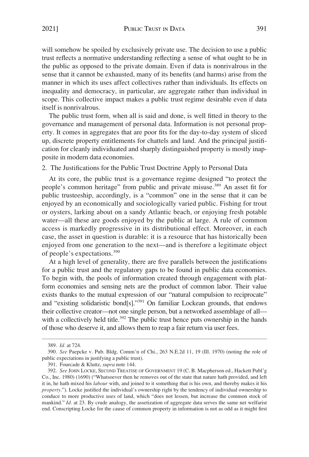<span id="page-58-0"></span>will somehow be spoiled by exclusively private use. The decision to use a public trust reflects a normative understanding reflecting a sense of what ought to be in the public as opposed to the private domain. Even if data is nonrivalrous in the sense that it cannot be exhausted, many of its benefits (and harms) arise from the manner in which its uses affect collectives rather than individuals. Its effects on inequality and democracy, in particular, are aggregate rather than individual in scope. This collective impact makes a public trust regime desirable even if data itself is nonrivalrous.

The public trust form, when all is said and done, is well fitted in theory to the governance and management of personal data. Information is not personal property. It comes in aggregates that are poor fits for the day-to-day system of sliced up, discrete property entitlements for chattels and land. And the principal justification for cleanly individuated and sharply distinguished property is mostly inapposite in modern data economies.

2. The Justifications for the Public Trust Doctrine Apply to Personal Data

At its core, the public trust is a governance regime designed "to protect the people's common heritage" from public and private misuse.389 An asset fit for public trusteeship, accordingly, is a "common" one in the sense that it can be enjoyed by an economically and sociologically varied public. Fishing for trout or oysters, larking about on a sandy Atlantic beach, or enjoying fresh potable water—all these are goods enjoyed by the public at large. A rule of common access is markedly progressive in its distributional effect. Moreover, in each case, the asset in question is durable: it is a resource that has historically been enjoyed from one generation to the next—and is therefore a legitimate object of people's expectations.<sup>390</sup>

At a high level of generality, there are five parallels between the justifications for a public trust and the regulatory gaps to be found in public data economies. To begin with, the pools of information created through engagement with platform economies and sensing nets are the product of common labor. Their value exists thanks to the mutual expression of our "natural compulsion to reciprocate" and "existing solidaristic bond[s]."391 On familiar Lockean grounds, that endows their collective creator—not one single person, but a networked assemblage of all with a collectively held title.<sup>392</sup> The public trust hence puts ownership in the hands of those who deserve it, and allows them to reap a fair return via user fees.

<sup>389.</sup> *Id.* at 724.

<sup>390.</sup> *See* Paepcke v. Pub. Bldg. Comm'n of Chi., 263 N.E.2d 11, 19 (Ill. 1970) (noting the role of public expectations in justifying a public trust).

<sup>391.</sup> Fourcade & Kluttz, *supra* note 144.

<sup>392.</sup> *See* JOHN LOCKE, SECOND TREATISE OF GOVERNMENT 19 (C. B. Macpherson ed., Hackett Publ'g Co., Inc. 1980) (1690) ("Whatsoever then he removes out of the state that nature hath provided, and left it in, he hath mixed his *labour* with, and joined to it something that is his own, and thereby makes it his *property*."). Locke justified the individual's ownership right by the tendency of individual ownership to conduce to more productive uses of land, which "does not lessen, but increase the common stock of mankind." *Id.* at 23. By crude analogy, the assetization of aggregate data serves the same net welfarist end. Conscripting Locke for the cause of common property in information is not as odd as it might first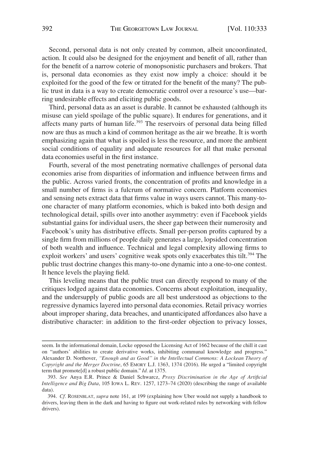Second, personal data is not only created by common, albeit uncoordinated, action. It could also be designed for the enjoyment and benefit of all, rather than for the benefit of a narrow coterie of monopsonistic purchasers and brokers. That is, personal data economies as they exist now imply a choice: should it be exploited for the good of the few or titrated for the benefit of the many? The public trust in data is a way to create democratic control over a resource's use—barring undesirable effects and eliciting public goods.

Third, personal data as an asset is durable. It cannot be exhausted (although its misuse can yield spoilage of the public square). It endures for generations, and it affects many parts of human life.<sup>393</sup> The reservoirs of personal data being filled now are thus as much a kind of common heritage as the air we breathe. It is worth emphasizing again that what is spoiled is less the resource, and more the ambient social conditions of equality and adequate resources for all that make personal data economies useful in the first instance.

Fourth, several of the most penetrating normative challenges of personal data economies arise from disparities of information and influence between firms and the public. Across varied fronts, the concentration of profits and knowledge in a small number of firms is a fulcrum of normative concern. Platform economies and sensing nets extract data that firms value in ways users cannot. This many-toone character of many platform economies, which is baked into both design and technological detail, spills over into another asymmetry: even if Facebook yields substantial gains for individual users, the sheer gap between their numerosity and Facebook's unity has distributive effects. Small per-person profits captured by a single firm from millions of people daily generates a large, lopsided concentration of both wealth and influence. Technical and legal complexity allowing firms to exploit workers' and users' cognitive weak spots only exacerbates this tilt.<sup>394</sup> The public trust doctrine changes this many-to-one dynamic into a one-to-one contest. It hence levels the playing field.

This leveling means that the public trust can directly respond to many of the critiques lodged against data economies. Concerns about exploitation, inequality, and the undersupply of public goods are all best understood as objections to the regressive dynamics layered into personal data economies. Retail privacy worries about improper sharing, data breaches, and unanticipated affordances also have a distributive character: in addition to the first-order objection to privacy losses,

seem. In the informational domain, Locke opposed the Licensing Act of 1662 because of the chill it cast on "authors' abilities to create derivative works, inhibiting communal knowledge and progress." Alexander D. Northover, *"Enough and as Good" in the Intellectual Commons: A Lockean Theory of Copyright and the Merger Doctrine*, 65 EMORY L.J. 1363, 1374 (2016). He urged a "limited copyright term that promote[d] a robust public domain." *Id.* at 1375.

<sup>393.</sup> *See* Anya E.R. Prince & Daniel Schwarcz, *Proxy Discrimination in the Age of Artificial Intelligence and Big Data*, 105 IOWA L. REV. 1257, 1273–74 (2020) (describing the range of available data).

<sup>394.</sup> *Cf.* ROSENBLAT, *supra* note 161, at 199 (explaining how Uber would not supply a handbook to drivers, leaving them in the dark and having to figure out work-related rules by networking with fellow drivers).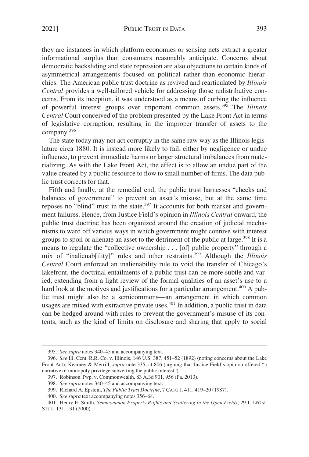they are instances in which platform economies or sensing nets extract a greater informational surplus than consumers reasonably anticipate. Concerns about democratic backsliding and state repression are also objections to certain kinds of asymmetrical arrangements focused on political rather than economic hierarchies. The American public trust doctrine as revived and rearticulated by *Illinois Central* provides a well-tailored vehicle for addressing those redistributive concerns. From its inception, it was understood as a means of curbing the influence of powerful interest groups over important common assets.395 The *Illinois Central* Court conceived of the problem presented by the Lake Front Act in terms of legislative corruption, resulting in the improper transfer of assets to the company.396

The state today may not act corruptly in the same raw way as the Illinois legislature circa 1880. It is instead more likely to fail, either by negligence or undue influence, to prevent immediate harms or larger structural imbalances from materializing. As with the Lake Front Act, the effect is to allow an undue part of the value created by a public resource to flow to small number of firms. The data public trust corrects for that.

Fifth and finally, at the remedial end, the public trust harnesses "checks and balances of government" to prevent an asset's misuse, but at the same time reposes no "blind" trust in the state. $397$  It accounts for both market and government failures. Hence, from Justice Field's opinion in *Illinois Central* onward, the public trust doctrine has been organized around the creation of judicial mechanisms to ward off various ways in which government might connive with interest groups to spoil or alienate an asset to the detriment of the public at large.<sup>398</sup> It is a means to regulate the "collective ownership . . . [of] public property" through a mix of "inalienab[ility]" rules and other restraints.399 Although the *Illinois Central* Court enforced an inalienability rule to void the transfer of Chicago's lakefront, the doctrinal entailments of a public trust can be more subtle and varied, extending from a light review of the formal qualities of an asset's use to a hard look at the motives and justifications for a particular arrangement.<sup>400</sup> A public trust might also be a semicommons—an arrangement in which common usages are mixed with extractive private uses.<sup>401</sup> In addition, a public trust in data can be hedged around with rules to prevent the government's misuse of its contents, such as the kind of limits on disclosure and sharing that apply to social

<sup>395.</sup> *See supra* notes 340–45 and accompanying text.

<sup>396.</sup> *See* Ill. Cent. R.R. Co. v. Illinois, 146 U.S. 387, 451–52 (1892) (noting concerns about the Lake Front Act); Kearney & Merrill, *supra* note 335, at 806 (arguing that Justice Field's opinion offered "a narrative of monopoly privilege subverting the public interest").

<sup>397.</sup> Robinson Twp. v. Commonwealth, 83 A.3d 901, 956 (Pa. 2013).

<sup>398.</sup> *See supra* notes 340–45 and accompanying text.

<sup>399.</sup> Richard A. Epstein, *The Public Trust Doctrine*, 7 CATO J. 411, 419–20 (1987).

<sup>400.</sup> *See supra* text accompanying notes 356–64.

<sup>401.</sup> Henry E. Smith, *Semicommon Property Rights and Scattering in the Open Fields*, 29 J. LEGAL STUD. 131, 131 (2000).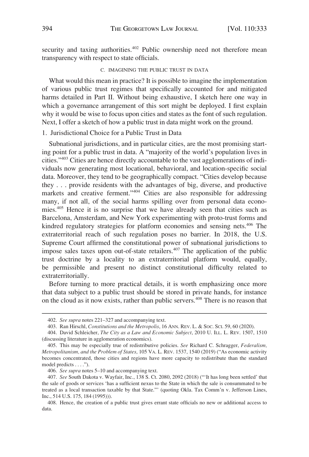<span id="page-61-0"></span>security and taxing authorities.<sup>402</sup> Public ownership need not therefore mean transparency with respect to state officials.

## C. IMAGINING THE PUBLIC TRUST IN DATA

What would this mean in practice? It is possible to imagine the implementation of various public trust regimes that specifically accounted for and mitigated harms detailed in Part II. Without being exhaustive, I sketch here one way in which a governance arrangement of this sort might be deployed. I first explain why it would be wise to focus upon cities and states as the font of such regulation. Next, I offer a sketch of how a public trust in data might work on the ground.

1. Jurisdictional Choice for a Public Trust in Data

Subnational jurisdictions, and in particular cities, are the most promising starting point for a public trust in data. A "majority of the world's population lives in cities."403 Cities are hence directly accountable to the vast agglomerations of individuals now generating most locational, behavioral, and location-specific social data. Moreover, they tend to be geographically compact. "Cities develop because they . . . provide residents with the advantages of big, diverse, and productive markets and creative ferment."404 Cities are also responsible for addressing many, if not all, of the social harms spilling over from personal data economies.405 Hence it is no surprise that we have already seen that cities such as Barcelona, Amsterdam, and New York experimenting with proto-trust forms and kindred regulatory strategies for platform economies and sensing nets.406 The extraterritorial reach of such regulation poses no barrier. In 2018, the U.S. Supreme Court affirmed the constitutional power of subnational jurisdictions to impose sales taxes upon out-of-state retailers.<sup>407</sup> The application of the public trust doctrine by a locality to an extraterritorial platform would, equally, be permissible and present no distinct constitutional difficulty related to extraterritorially.

Before turning to more practical details, it is worth emphasizing once more that data subject to a public trust should be stored in private hands, for instance on the cloud as it now exists, rather than public servers.<sup>408</sup> There is no reason that

<sup>402.</sup> *See supra* notes 221–327 and accompanying text.

<sup>403.</sup> Ran Hirschl, *Constitutions and the Metropolis*, 16 ANN. REV. L. & SOC. SCI. 59, 60 (2020).

<sup>404.</sup> David Schleicher, *The City as a Law and Economic Subject*, 2010 U. ILL. L. REV. 1507, 1510 (discussing literature in agglomeration economics).

<sup>405.</sup> This may be especially true of redistributive policies. *See* Richard C. Schragger, *Federalism, Metropolitanism, and the Problem of States*, 105 VA. L. REV. 1537, 1540 (2019) ("As economic activity becomes concentrated, those cities and regions have more capacity to redistribute than the standard model predicts . . . .").

<sup>406.</sup> *See supra* notes 5–10 and accompanying text.

<sup>407.</sup> *See* South Dakota v. Wayfair, Inc., 138 S. Ct. 2080, 2092 (2018) ("'It has long been settled' that the sale of goods or services 'has a sufficient nexus to the State in which the sale is consummated to be treated as a local transaction taxable by that State."' (quoting Okla. Tax Comm'n v. Jefferson Lines, Inc., 514 U.S. 175, 184 (1995))).

<sup>408.</sup> Hence, the creation of a public trust gives errant state officials no new or additional access to data.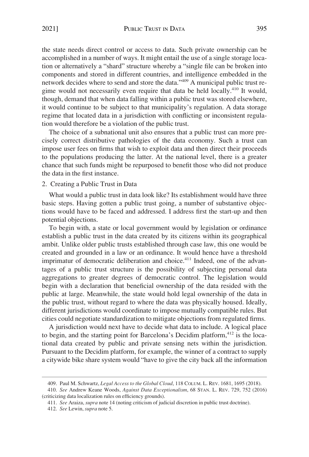<span id="page-62-0"></span>the state needs direct control or access to data. Such private ownership can be accomplished in a number of ways. It might entail the use of a single storage location or alternatively a "shard" structure whereby a "single file can be broken into components and stored in different countries, and intelligence embedded in the network decides where to send and store the data."409 A municipal public trust regime would not necessarily even require that data be held locally.<sup>410</sup> It would, though, demand that when data falling within a public trust was stored elsewhere, it would continue to be subject to that municipality's regulation. A data storage regime that located data in a jurisdiction with conflicting or inconsistent regulation would therefore be a violation of the public trust.

The choice of a subnational unit also ensures that a public trust can more precisely correct distributive pathologies of the data economy. Such a trust can impose user fees on firms that wish to exploit data and then direct their proceeds to the populations producing the latter. At the national level, there is a greater chance that such funds might be repurposed to benefit those who did not produce the data in the first instance.

## 2. Creating a Public Trust in Data

What would a public trust in data look like? Its establishment would have three basic steps. Having gotten a public trust going, a number of substantive objections would have to be faced and addressed. I address first the start-up and then potential objections.

To begin with, a state or local government would by legislation or ordinance establish a public trust in the data created by its citizens within its geographical ambit. Unlike older public trusts established through case law, this one would be created and grounded in a law or an ordinance. It would hence have a threshold imprimatur of democratic deliberation and choice.<sup>411</sup> Indeed, one of the advantages of a public trust structure is the possibility of subjecting personal data aggregations to greater degrees of democratic control. The legislation would begin with a declaration that beneficial ownership of the data resided with the public at large. Meanwhile, the state would hold legal ownership of the data in the public trust, without regard to where the data was physically housed. Ideally, different jurisdictions would coordinate to impose mutually compatible rules. But cities could negotiate standardization to mitigate objections from regulated firms.

A jurisdiction would next have to decide what data to include. A logical place to begin, and the starting point for Barcelona's Decidim platform,<sup>412</sup> is the locational data created by public and private sensing nets within the jurisdiction. Pursuant to the Decidim platform, for example, the winner of a contract to supply a citywide bike share system would "have to give the city back all the information

<sup>409.</sup> Paul M. Schwartz, *Legal Access to the Global Cloud*, 118 COLUM. L. REV. 1681, 1695 (2018).

<sup>410.</sup> *See* Andrew Keane Woods, *Against Data Exceptionalism*, 68 STAN. L. REV. 729, 752 (2016) (criticizing data localization rules on efficiency grounds).

<sup>411.</sup> *See* Araiza, *supra* note 14 (noting criticism of judicial discretion in public trust doctrine).

<sup>412.</sup> *See* Lewin, *supra* note 5.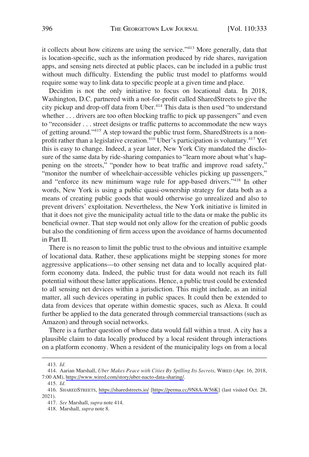it collects about how citizens are using the service."413 More generally, data that is location-specific, such as the information produced by ride shares, navigation apps, and sensing nets directed at public places, can be included in a public trust without much difficulty. Extending the public trust model to platforms would require some way to link data to specific people at a given time and place.

Decidim is not the only initiative to focus on locational data. In 2018, Washington, D.C. partnered with a not-for-profit called SharedStreets to give the city pickup and drop-off data from Uber.<sup>414</sup> This data is then used "to understand whether . . . drivers are too often blocking traffic to pick up passengers" and even to "reconsider . . . street designs or traffic patterns to accommodate the new ways of getting around."415 A step toward the public trust form, SharedStreets is a nonprofit rather than a legislative creation.<sup>416</sup> Uber's participation is voluntary.<sup>417</sup> Yet this is easy to change. Indeed, a year later, New York City mandated the disclosure of the same data by ride-sharing companies to "learn more about what's happening on the streets," "ponder how to beat traffic and improve road safety," "monitor the number of wheelchair-accessible vehicles picking up passengers," and "enforce its new minimum wage rule for app-based drivers."418 In other words, New York is using a public quasi-ownership strategy for data both as a means of creating public goods that would otherwise go unrealized and also to prevent drivers' exploitation. Nevertheless, the New York initiative is limited in that it does not give the municipality actual title to the data or make the public its beneficial owner. That step would not only allow for the creation of public goods but also the conditioning of firm access upon the avoidance of harms documented in Part II.

There is no reason to limit the public trust to the obvious and intuitive example of locational data. Rather, these applications might be stepping stones for more aggressive applications—to other sensing net data and to locally acquired platform economy data. Indeed, the public trust for data would not reach its full potential without these latter applications. Hence, a public trust could be extended to all sensing net devices within a jurisdiction. This might include, as an initial matter, all such devices operating in public spaces. It could then be extended to data from devices that operate within domestic spaces, such as Alexa. It could further be applied to the data generated through commercial transactions (such as Amazon) and through social networks.

There is a further question of whose data would fall within a trust. A city has a plausible claim to data locally produced by a local resident through interactions on a platform economy. When a resident of the municipality logs on from a local

<sup>413.</sup> *Id.* 

Aarian Marshall, *Uber Makes Peace with Cities By Spilling Its Secrets*, WIRED (Apr. 16, 2018, 414. 7:00 AM),<https://www.wired.com/story/uber-nacto-data-sharing/>.

<sup>415.</sup> *Id.* 

<sup>416.</sup> SHAREDSTREETS, <https://sharedstreets.io/> [<https://perma.cc/9N8A-W56K>] (last visited Oct. 28, 2021).

<sup>417.</sup> *See* Marshall, *supra* note 414.

<sup>418.</sup> Marshall, *supra* note 8.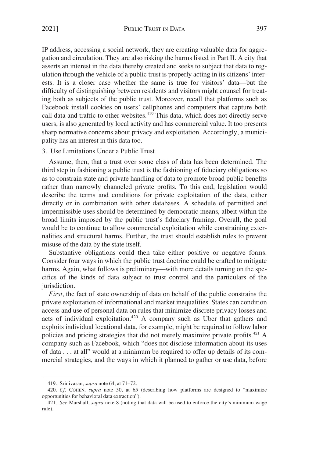<span id="page-64-0"></span>IP address, accessing a social network, they are creating valuable data for aggregation and circulation. They are also risking the harms listed in Part II. A city that asserts an interest in the data thereby created and seeks to subject that data to regulation through the vehicle of a public trust is properly acting in its citizens' interests. It is a closer case whether the same is true for visitors' data—but the difficulty of distinguishing between residents and visitors might counsel for treating both as subjects of the public trust. Moreover, recall that platforms such as Facebook install cookies on users' cellphones and computers that capture both call data and traffic to other websites.<sup>419</sup> This data, which does not directly serve users, is also generated by local activity and has commercial value. It too presents sharp normative concerns about privacy and exploitation. Accordingly, a municipality has an interest in this data too.

#### 3. Use Limitations Under a Public Trust

Assume, then, that a trust over some class of data has been determined. The third step in fashioning a public trust is the fashioning of fiduciary obligations so as to constrain state and private handling of data to promote broad public benefits rather than narrowly channeled private profits. To this end, legislation would describe the terms and conditions for private exploitation of the data, either directly or in combination with other databases. A schedule of permitted and impermissible uses should be determined by democratic means, albeit within the broad limits imposed by the public trust's fiduciary framing. Overall, the goal would be to continue to allow commercial exploitation while constraining externalities and structural harms. Further, the trust should establish rules to prevent misuse of the data by the state itself.

Substantive obligations could then take either positive or negative forms. Consider four ways in which the public trust doctrine could be crafted to mitigate harms. Again, what follows is preliminary—with more details turning on the specifics of the kinds of data subject to trust control and the particulars of the jurisdiction.

*First*, the fact of state ownership of data on behalf of the public constrains the private exploitation of informational and market inequalities. States can condition access and use of personal data on rules that minimize discrete privacy losses and acts of individual exploitation.420 A company such as Uber that gathers and exploits individual locational data, for example, might be required to follow labor policies and pricing strategies that did not merely maximize private profits.<sup>421</sup> A company such as Facebook, which "does not disclose information about its uses of data . . . at all" would at a minimum be required to offer up details of its commercial strategies, and the ways in which it planned to gather or use data, before

<sup>419.</sup> Srinivasan, *supra* note 64, at 71–72.

<sup>420.</sup> *Cf.* COHEN, *supra* note 50, at 65 (describing how platforms are designed to "maximize opportunities for behavioral data extraction").

<sup>421.</sup> *See* Marshall, *supra* note 8 (noting that data will be used to enforce the city's minimum wage rule).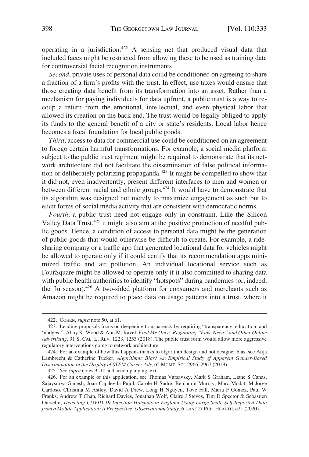operating in a jurisdiction.422 A sensing net that produced visual data that included faces might be restricted from allowing these to be used as training data for controversial facial recognition instruments.

*Second*, private uses of personal data could be conditioned on agreeing to share a fraction of a firm's profits with the trust. In effect, use taxes would ensure that those creating data benefit from its transformation into an asset. Rather than a mechanism for paying individuals for data upfront, a public trust is a way to recoup a return from the emotional, intellectual, and even physical labor that allowed its creation on the back end. The trust would be legally obliged to apply its funds to the general benefit of a city or state's residents. Local labor hence becomes a fiscal foundation for local public goods.

*Third*, access to data for commercial use could be conditioned on an agreement to forego certain harmful transformations. For example, a social media platform subject to the public trust regiment might be required to demonstrate that its network architecture did not facilitate the dissemination of false political information or deliberately polarizing propaganda.<sup>423</sup> It might be compelled to show that it did not, even inadvertently, present different interfaces to men and women or between different racial and ethnic groups.<sup>424</sup> It would have to demonstrate that its algorithm was designed not merely to maximize engagement as such but to elicit forms of social media activity that are consistent with democratic norms.

*Fourth*, a public trust need not engage only in constraint. Like the Silicon Valley Data Trust,<sup>425</sup> it might also aim at the positive production of needful public goods. Hence, a condition of access to personal data might be the generation of public goods that would otherwise be difficult to create. For example, a ridesharing company or a traffic app that generated locational data for vehicles might be allowed to operate only if it could certify that its recommendation apps minimized traffic and air pollution. An individual locational service such as FourSquare might be allowed to operate only if it also committed to sharing data with public health authorities to identify "hotspots" during pandemics (or, indeed, the flu season). $426$  A two-sided platform for consumers and merchants such as Amazon might be required to place data on usage patterns into a trust, where it

425. *See supra* notes 9–10 and accompanying text.

<sup>422.</sup> COHEN, *supra* note 50, at 61.

<sup>423.</sup> Leading proposals focus on deepening transparency by requiring "transparency, education, and 'nudges.'" Abby K. Wood & Ann M. Ravel, *Fool Me Once: Regulating "Fake News" and Other Online Advertising*, 91 S. CAL. L. REV. 1223, 1253 (2018). The public trust form would allow more aggressive regulatory interventions going to network architecture.

<sup>424.</sup> For an example of how this happens thanks to algorithm design and not designer bias, see Anja Lambrecht & Catherine Tucker, *Algorithmic Bias? An Empirical Study of Apparent Gender-Based Discrimination in the Display of STEM Career Ads*, 65 MGMT. SCI. 2966, 2967 (2019).

<sup>426.</sup> For an example of this application, see Thomas Varsavsky, Mark S Graham, Liane S Canas, Sajaysurya Ganesh, Joan Capdevila Pujol, Carole H Sudre, Benjamin Murray, Marc Modat, M Jorge Cardoso, Christina M Astley, David A Drew, Long H Nguyen, Tove Fall, Maria F Gomez, Paul W Franks, Andrew T Chan, Richard Davies, Jonathan Wolf, Claire J Steves, Tim D Spector & Sebastien Ourselin, *Detecting COVID-19 Infection Hotspots in England Using Large-Scale Self-Reported Data from a Mobile Application: A Prospective, Observational Study*, 6 LANCET PUB. HEALTH, e21 (2020).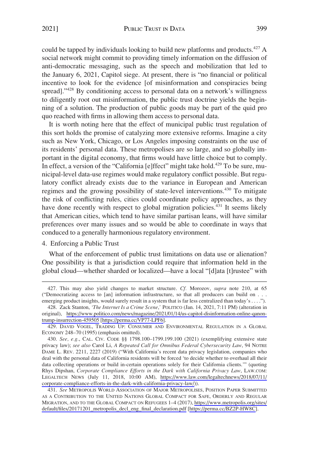<span id="page-66-0"></span>could be tapped by individuals looking to build new platforms and products.427 A social network might commit to providing timely information on the diffusion of anti-democratic messaging, such as the speech and mobilization that led to the January 6, 2021, Capitol siege. At present, there is "no financial or political incentive to look for the evidence [of misinformation and conspiracies being spread]."<sup>428</sup> By conditioning access to personal data on a network's willingness to diligently root out misinformation, the public trust doctrine yields the beginning of a solution. The production of public goods may be part of the quid pro quo reached with firms in allowing them access to personal data.

It is worth noting here that the effect of municipal public trust regulation of this sort holds the promise of catalyzing more extensive reforms. Imagine a city such as New York, Chicago, or Los Angeles imposing constraints on the use of its residents' personal data. These metropolises are so large, and so globally important in the digital economy, that firms would have little choice but to comply. In effect, a version of the "California [e]ffect" might take hold.<sup>429</sup> To be sure, municipal-level data-use regimes would make regulatory conflict possible. But regulatory conflict already exists due to the variance in European and American regimes and the growing possibility of state-level interventions.<sup>430</sup> To mitigate the risk of conflicting rules, cities could coordinate policy approaches, as they have done recently with respect to global migration policies.<sup>431</sup> It seems likely that American cities, which tend to have similar partisan leans, will have similar preferences over many issues and so would be able to coordinate in ways that conduced to a generally harmonious regulatory environment.

## 4. Enforcing a Public Trust

What of the enforcement of public trust limitations on data use or alienation? One possibility is that a jurisdiction could require that information held in the global cloud—whether sharded or localized—have a local "[d]ata [t]rustee" with

<sup>427.</sup> This may also yield changes to market structure. *Cf.* Morozov, *supra* note 210, at 65 ("Democratizing access to [an] information infrastructure, so that all producers can build on . . . emerging product insights, would surely result in a system that is far less centralized than today's . . . .").

<sup>428.</sup> Zack Stanton, 'The Internet Is a Crime Scene,' POLITICO (Jan. 14, 2021, 7:11 PM) (alteration in original), [https://www.politico.com/news/magazine/2021/01/14/us-capitol-disinformation-online-qanon](https://www.politico.com/news/magazine/2021/01/14/us-capitol-disinformation-online-qanon-trump-insurrection-459505)[trump-insurrection-459505](https://www.politico.com/news/magazine/2021/01/14/us-capitol-disinformation-online-qanon-trump-insurrection-459505) [[https://perma.cc/VP77-LPF6\]](https://perma.cc/VP77-LPF6).

<sup>429.</sup> DAVID VOGEL, TRADING UP: CONSUMER AND ENVIRONMENTAL REGULATION IN A GLOBAL ECONOMY 248–70 (1995) (emphasis omitted).

*See, e.g.*, CAL. CIV. CODE §§ 1798.100–1799.199.100 (2021) (exemplifying extensive state 430. privacy law); *see also* Carol Li, *A Repeated Call for Omnibus Federal Cybersecurity Law*, 94 NOTRE DAME L. REV. 2211, 2227 (2019) ("With California's recent data privacy legislation, companies who deal with the personal data of California residents will be forced 'to decide whether to overhaul all their data collecting operations or build in-certain operations solely for their California clients.'" (quoting Rhys Dipshan, *Corporate Compliance Efforts in the Dark with California Privacy Law*, LAW.COM: LEGALTECH NEWS (July 11, 2018, 10:00 AM), [https://www.law.com/legaltechnews/2018/07/11/](https://www.law.com/legaltechnews/2018/07/11/corporate-compliance-efforts-in-the-dark-with-california-privacy-law/)  [corporate-compliance-efforts-in-the-dark-with-california-privacy-law/\)](https://www.law.com/legaltechnews/2018/07/11/corporate-compliance-efforts-in-the-dark-with-california-privacy-law/)).

*See* METROPOLIS WORLD ASSOCIATION OF MAJOR METROPOLISES, POSITION PAPER SUBMITTED 431. AS A CONTRIBUTION TO THE UNITED NATIONS GLOBAL COMPACT FOR SAFE, ORDERLY AND REGULAR MIGRATION, AND TO THE GLOBAL COMPACT ON REFUGEES 1–4 (2017), [https://www.metropolis.org/sites/](https://www.metropolis.org/sites/default/files/20171201_metropolis_decl_eng_final_declaration.pdf)  [default/files/20171201\\_metropolis\\_decl\\_eng\\_final\\_declaration.pdf](https://www.metropolis.org/sites/default/files/20171201_metropolis_decl_eng_final_declaration.pdf) [\[https://perma.cc/BZ2P-HW8C](https://perma.cc/BZ2P-HW8C)].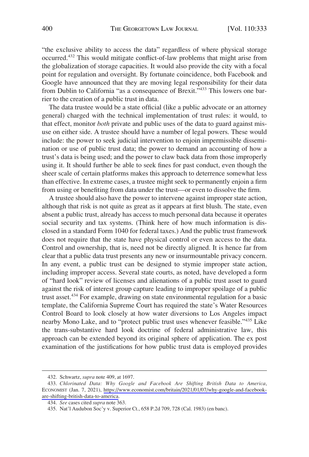"the exclusive ability to access the data" regardless of where physical storage occurred.432 This would mitigate conflict-of-law problems that might arise from the globalization of storage capacities. It would also provide the city with a focal point for regulation and oversight. By fortunate coincidence, both Facebook and Google have announced that they are moving legal responsibility for their data from Dublin to California "as a consequence of Brexit."<sup>433</sup> This lowers one barrier to the creation of a public trust in data.

The data trustee would be a state official (like a public advocate or an attorney general) charged with the technical implementation of trust rules: it would, to that effect, monitor *both* private and public uses of the data to guard against misuse on either side. A trustee should have a number of legal powers. These would include: the power to seek judicial intervention to enjoin impermissible dissemination or use of public trust data; the power to demand an accounting of how a trust's data is being used; and the power to claw back data from those improperly using it. It should further be able to seek fines for past conduct, even though the sheer scale of certain platforms makes this approach to deterrence somewhat less than effective. In extreme cases, a trustee might seek to permanently enjoin a firm from using or benefiting from data under the trust—or even to dissolve the firm.

A trustee should also have the power to intervene against improper state action, although that risk is not quite as great as it appears at first blush. The state, even absent a public trust, already has access to much personal data because it operates social security and tax systems. (Think here of how much information is disclosed in a standard Form 1040 for federal taxes.) And the public trust framework does not require that the state have physical control or even access to the data. Control and ownership, that is, need not be directly aligned. It is hence far from clear that a public data trust presents any new or insurmountable privacy concern. In any event, a public trust can be designed to stymie improper state action, including improper access. Several state courts, as noted, have developed a form of "hard look" review of licenses and alienations of a public trust asset to guard against the risk of interest group capture leading to improper spoilage of a public trust asset.<sup>434</sup> For example, drawing on state environmental regulation for a basic template, the California Supreme Court has required the state's Water Resources Control Board to look closely at how water diversions to Los Angeles impact nearby Mono Lake, and to "protect public trust uses whenever feasible."435 Like the trans-substantive hard look doctrine of federal administrative law, this approach can be extended beyond its original sphere of application. The ex post examination of the justifications for how public trust data is employed provides

<sup>432.</sup> Schwartz, *supra* note 409, at 1697.

*Chlorinated Data: Why Google and Facebook Are Shifting British Data to America*, 433. ECONOMIST (Jan. 7, 2021), [https://www.economist.com/britain/2021/01/07/why-google-and-facebook](https://www.economist.com/britain/2021/01/07/why-google-and-facebook-are-shifting-british-data-to-america)[are-shifting-british-data-to-america](https://www.economist.com/britain/2021/01/07/why-google-and-facebook-are-shifting-british-data-to-america).

<sup>434.</sup> *See* cases cited *supra* note 363.

<sup>435.</sup> Nat'l Audubon Soc'y v. Superior Ct., 658 P.2d 709, 728 (Cal. 1983) (en banc).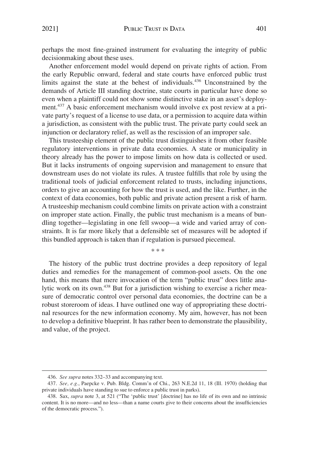perhaps the most fine-grained instrument for evaluating the integrity of public decisionmaking about these uses.

Another enforcement model would depend on private rights of action. From the early Republic onward, federal and state courts have enforced public trust limits against the state at the behest of individuals.436 Unconstrained by the demands of Article III standing doctrine, state courts in particular have done so even when a plaintiff could not show some distinctive stake in an asset's deployment.437 A basic enforcement mechanism would involve ex post review at a private party's request of a license to use data, or a permission to acquire data within a jurisdiction, as consistent with the public trust. The private party could seek an injunction or declaratory relief, as well as the rescission of an improper sale.

This trusteeship element of the public trust distinguishes it from other feasible regulatory interventions in private data economies. A state or municipality in theory already has the power to impose limits on how data is collected or used. But it lacks instruments of ongoing supervision and management to ensure that downstream uses do not violate its rules. A trustee fulfills that role by using the traditional tools of judicial enforcement related to trusts, including injunctions, orders to give an accounting for how the trust is used, and the like. Further, in the context of data economies, both public and private action present a risk of harm. A trusteeship mechanism could combine limits on private action with a constraint on improper state action. Finally, the public trust mechanism is a means of bundling together—legislating in one fell swoop—a wide and varied array of constraints. It is far more likely that a defensible set of measures will be adopted if this bundled approach is taken than if regulation is pursued piecemeal.

\* \* \*

The history of the public trust doctrine provides a deep repository of legal duties and remedies for the management of common-pool assets. On the one hand, this means that mere invocation of the term "public trust" does little analytic work on its own.438 But for a jurisdiction wishing to exercise a richer measure of democratic control over personal data economies, the doctrine can be a robust storeroom of ideas. I have outlined one way of appropriating these doctrinal resources for the new information economy. My aim, however, has not been to develop a definitive blueprint. It has rather been to demonstrate the plausibility, and value, of the project.

<sup>436.</sup> *See supra* notes 332–33 and accompanying text.

<sup>437.</sup> *See, e.g.*, Paepcke v. Pub. Bldg. Comm'n of Chi., 263 N.E.2d 11, 18 (Ill. 1970) (holding that private individuals have standing to sue to enforce a public trust in parks).

<sup>438.</sup> Sax, *supra* note 3, at 521 ("The 'public trust' [doctrine] has no life of its own and no intrinsic content. It is no more—and no less—than a name courts give to their concerns about the insufficiencies of the democratic process.").